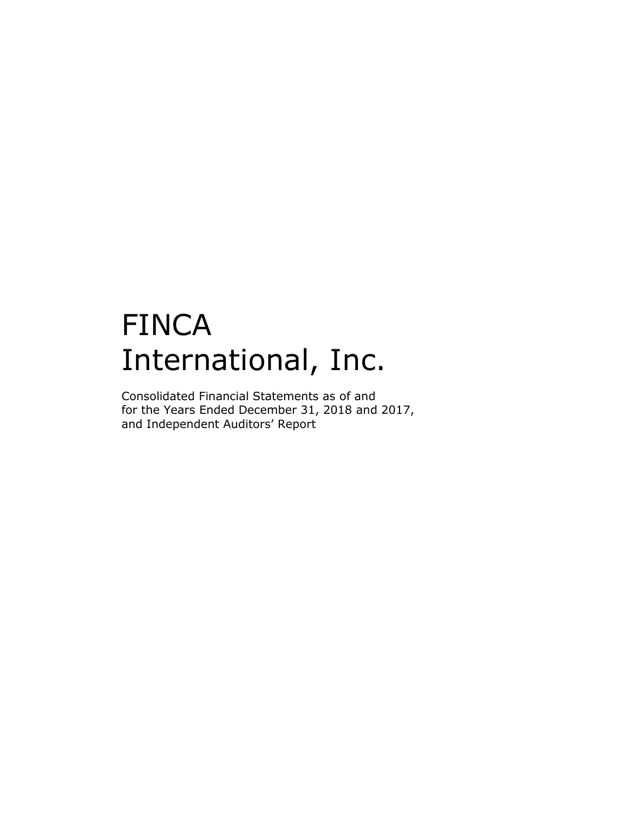# FINCA International, Inc.

Consolidated Financial Statements as of and for the Years Ended December 31, 2018 and 2017, and Independent Auditors' Report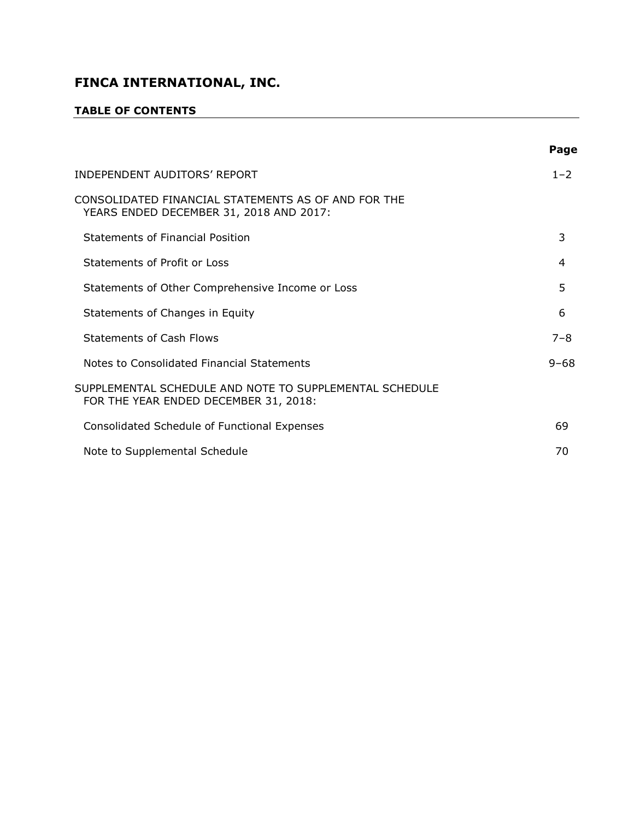## **TABLE OF CONTENTS**

|                                                                                                  | Page     |
|--------------------------------------------------------------------------------------------------|----------|
| <b>INDEPENDENT AUDITORS' REPORT</b>                                                              | $1 - 2$  |
| CONSOLIDATED FINANCIAL STATEMENTS AS OF AND FOR THE<br>YEARS ENDED DECEMBER 31, 2018 AND 2017:   |          |
| Statements of Financial Position                                                                 | 3        |
| Statements of Profit or Loss                                                                     | 4        |
| Statements of Other Comprehensive Income or Loss                                                 | 5        |
| Statements of Changes in Equity                                                                  | 6        |
| Statements of Cash Flows                                                                         | $7 - 8$  |
| Notes to Consolidated Financial Statements                                                       | $9 - 68$ |
| SUPPLEMENTAL SCHEDULE AND NOTE TO SUPPLEMENTAL SCHEDULE<br>FOR THE YEAR ENDED DECEMBER 31, 2018: |          |
| Consolidated Schedule of Functional Expenses                                                     | 69       |
| Note to Supplemental Schedule                                                                    | 70       |

<u> 1980 - Johann Barn, mars ann an t-Amhain Aonaich an t-Aonaich an t-Aonaich ann an t-Aonaich ann an t-Aonaich</u>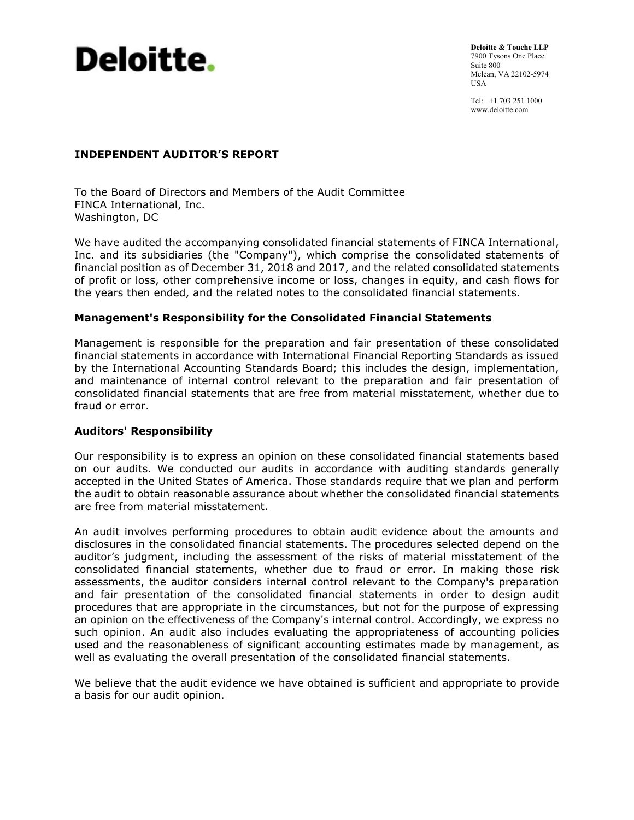# Deloitte.

**Deloitte & Touche LLP** 7900 Tysons One Place Suite 800 Mclean, VA 22102-5974 USA

 $Tel: +17032511000$ www.deloitte.com

## **INDEPENDENT AUDITOR'S REPORT**

To the Board of Directors and Members of the Audit Committee FINCA International, Inc. Washington, DC

We have audited the accompanying consolidated financial statements of FINCA International, Inc. and its subsidiaries (the "Company"), which comprise the consolidated statements of financial position as of December 31, 2018 and 2017, and the related consolidated statements of profit or loss, other comprehensive income or loss, changes in equity, and cash flows for the years then ended, and the related notes to the consolidated financial statements.

### **Management's Responsibility for the Consolidated Financial Statements**

Management is responsible for the preparation and fair presentation of these consolidated financial statements in accordance with International Financial Reporting Standards as issued by the International Accounting Standards Board; this includes the design, implementation, and maintenance of internal control relevant to the preparation and fair presentation of consolidated financial statements that are free from material misstatement, whether due to fraud or error.

#### **Auditors' Responsibility**

Our responsibility is to express an opinion on these consolidated financial statements based on our audits. We conducted our audits in accordance with auditing standards generally accepted in the United States of America. Those standards require that we plan and perform the audit to obtain reasonable assurance about whether the consolidated financial statements are free from material misstatement.

An audit involves performing procedures to obtain audit evidence about the amounts and disclosures in the consolidated financial statements. The procedures selected depend on the auditor's judgment, including the assessment of the risks of material misstatement of the consolidated financial statements, whether due to fraud or error. In making those risk assessments, the auditor considers internal control relevant to the Company's preparation and fair presentation of the consolidated financial statements in order to design audit procedures that are appropriate in the circumstances, but not for the purpose of expressing an opinion on the effectiveness of the Company's internal control. Accordingly, we express no such opinion. An audit also includes evaluating the appropriateness of accounting policies used and the reasonableness of significant accounting estimates made by management, as well as evaluating the overall presentation of the consolidated financial statements.

We believe that the audit evidence we have obtained is sufficient and appropriate to provide a basis for our audit opinion.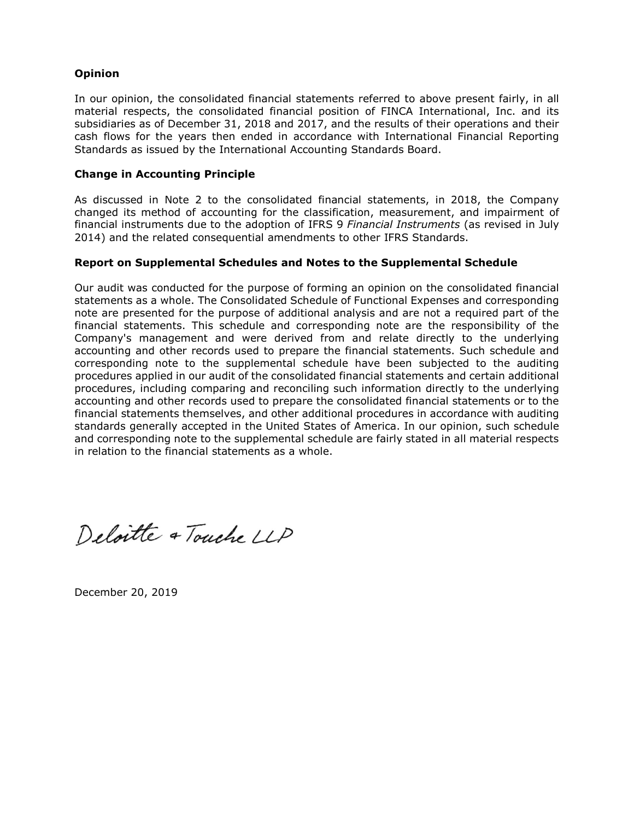### **Opinion**

In our opinion, the consolidated financial statements referred to above present fairly, in all material respects, the consolidated financial position of FINCA International, Inc. and its subsidiaries as of December 31, 2018 and 2017, and the results of their operations and their cash flows for the years then ended in accordance with International Financial Reporting Standards as issued by the International Accounting Standards Board.

#### **Change in Accounting Principle**

As discussed in Note 2 to the consolidated financial statements, in 2018, the Company changed its method of accounting for the classification, measurement, and impairment of financial instruments due to the adoption of IFRS 9 *Financial Instruments* (as revised in July 2014) and the related consequential amendments to other IFRS Standards.

#### **Report on Supplemental Schedules and Notes to the Supplemental Schedule**

Our audit was conducted for the purpose of forming an opinion on the consolidated financial statements as a whole. The Consolidated Schedule of Functional Expenses and corresponding note are presented for the purpose of additional analysis and are not a required part of the financial statements. This schedule and corresponding note are the responsibility of the Company's management and were derived from and relate directly to the underlying accounting and other records used to prepare the financial statements. Such schedule and corresponding note to the supplemental schedule have been subjected to the auditing procedures applied in our audit of the consolidated financial statements and certain additional procedures, including comparing and reconciling such information directly to the underlying accounting and other records used to prepare the consolidated financial statements or to the financial statements themselves, and other additional procedures in accordance with auditing standards generally accepted in the United States of America. In our opinion, such schedule and corresponding note to the supplemental schedule are fairly stated in all material respects in relation to the financial statements as a whole.

Deloitte & Touche LLP

December 20, 2019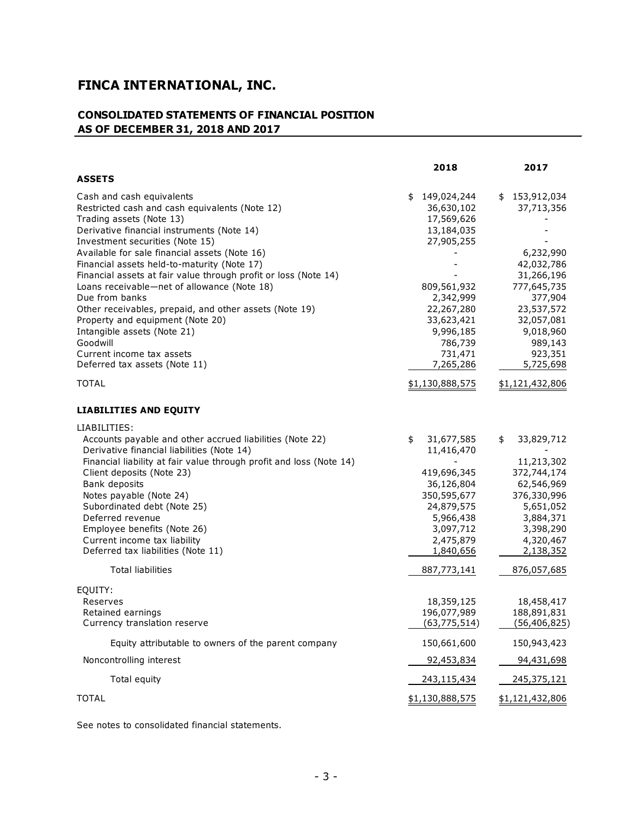## **CONSOLIDATED STATEMENTS OF FINANCIAL POSITION AS OF DECEMBER 31, 2018 AND 2017**

|                                                                                                                | 2018                            | 2017                        |
|----------------------------------------------------------------------------------------------------------------|---------------------------------|-----------------------------|
| <b>ASSETS</b>                                                                                                  |                                 |                             |
| Cash and cash equivalents<br>Restricted cash and cash equivalents (Note 12)                                    | 149,024,244<br>\$<br>36,630,102 | \$153,912,034<br>37,713,356 |
| Trading assets (Note 13)                                                                                       | 17,569,626                      |                             |
| Derivative financial instruments (Note 14)                                                                     | 13,184,035                      |                             |
| Investment securities (Note 15)                                                                                | 27,905,255                      |                             |
| Available for sale financial assets (Note 16)                                                                  |                                 | 6,232,990                   |
| Financial assets held-to-maturity (Note 17)<br>Financial assets at fair value through profit or loss (Note 14) |                                 | 42,032,786<br>31,266,196    |
| Loans receivable-net of allowance (Note 18)                                                                    | 809,561,932                     | 777,645,735                 |
| Due from banks                                                                                                 | 2,342,999                       | 377,904                     |
| Other receivables, prepaid, and other assets (Note 19)                                                         | 22,267,280                      | 23,537,572                  |
| Property and equipment (Note 20)                                                                               | 33,623,421                      | 32,057,081                  |
| Intangible assets (Note 21)                                                                                    | 9,996,185                       | 9,018,960                   |
| Goodwill                                                                                                       | 786,739                         | 989,143                     |
| Current income tax assets                                                                                      | 731,471                         | 923,351                     |
| Deferred tax assets (Note 11)                                                                                  | 7,265,286                       | 5,725,698                   |
| <b>TOTAL</b>                                                                                                   | \$1,130,888,575                 | \$1,121,432,806             |
| <b>LIABILITIES AND EQUITY</b>                                                                                  |                                 |                             |
| LIABILITIES:                                                                                                   |                                 |                             |
| Accounts payable and other accrued liabilities (Note 22)                                                       | \$<br>31,677,585                | \$<br>33,829,712            |
| Derivative financial liabilities (Note 14)                                                                     | 11,416,470                      |                             |
| Financial liability at fair value through profit and loss (Note 14)                                            | $\overline{a}$                  | 11,213,302                  |
| Client deposits (Note 23)                                                                                      | 419,696,345                     | 372,744,174                 |
| Bank deposits                                                                                                  | 36,126,804                      | 62,546,969                  |
| Notes payable (Note 24)<br>Subordinated debt (Note 25)                                                         | 350,595,677<br>24,879,575       | 376,330,996<br>5,651,052    |
| Deferred revenue                                                                                               | 5,966,438                       | 3,884,371                   |
| Employee benefits (Note 26)                                                                                    | 3,097,712                       | 3,398,290                   |
| Current income tax liability                                                                                   | 2,475,879                       | 4,320,467                   |
| Deferred tax liabilities (Note 11)                                                                             | 1,840,656                       | 2,138,352                   |
| <b>Total liabilities</b>                                                                                       | <u>887,773,141</u>              | 876,057,685                 |
| EQUITY:                                                                                                        |                                 |                             |
| Reserves                                                                                                       | 18,359,125                      | 18,458,417                  |
| Retained earnings                                                                                              | 196,077,989                     | 188,891,831                 |
| Currency translation reserve                                                                                   | (63, 775, 514)                  | (56, 406, 825)              |
| Equity attributable to owners of the parent company                                                            | 150,661,600                     | 150,943,423                 |
| Noncontrolling interest                                                                                        | 92,453,834                      | 94,431,698                  |
| Total equity                                                                                                   | 243,115,434                     | 245,375,121                 |
| <b>TOTAL</b>                                                                                                   | \$1,130,888,575                 | <u>\$1,121,432,806</u>      |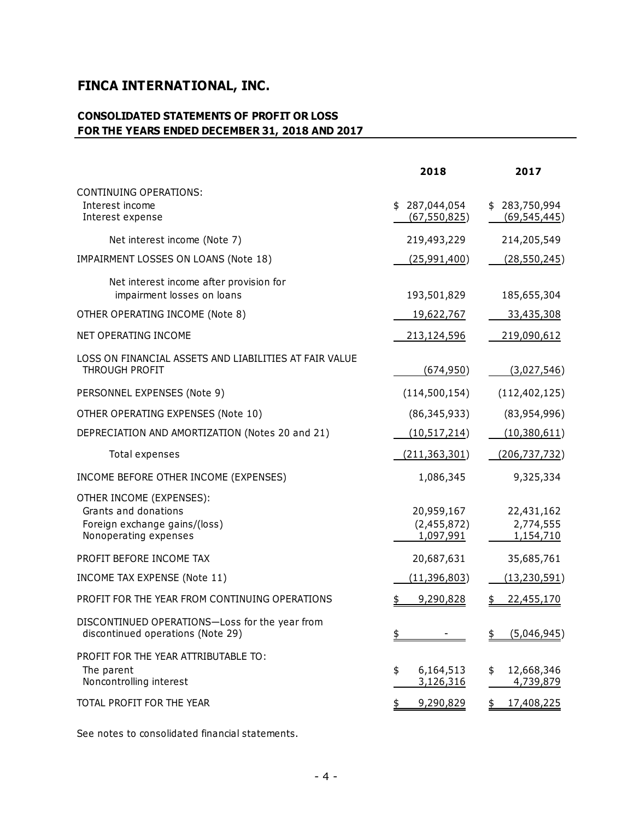## **CONSOLIDATED STATEMENTS OF PROFIT OR LOSS FOR THE YEARS ENDED DECEMBER 31, 2018 AND 2017**

|                                                                                                            | 2018                                   | 2017                                 |
|------------------------------------------------------------------------------------------------------------|----------------------------------------|--------------------------------------|
| <b>CONTINUING OPERATIONS:</b><br>Interest income<br>Interest expense                                       | 287,044,054<br>\$<br>(67, 550, 825)    | 283,750,994<br>\$<br>(69, 545, 445)  |
| Net interest income (Note 7)                                                                               | 219,493,229                            | 214,205,549                          |
| IMPAIRMENT LOSSES ON LOANS (Note 18)                                                                       | (25,991,400)                           | (28, 550, 245)                       |
| Net interest income after provision for<br>impairment losses on loans                                      | 193,501,829                            | 185,655,304                          |
| OTHER OPERATING INCOME (Note 8)                                                                            | 19,622,767                             | 33,435,308                           |
| NET OPERATING INCOME                                                                                       | 213,124,596                            | 219,090,612                          |
| LOSS ON FINANCIAL ASSETS AND LIABILITIES AT FAIR VALUE<br>THROUGH PROFIT                                   | (674, 950)                             | (3,027,546)                          |
| PERSONNEL EXPENSES (Note 9)                                                                                | (114,500,154)                          | (112, 402, 125)                      |
| OTHER OPERATING EXPENSES (Note 10)                                                                         | (86, 345, 933)                         | (83,954,996)                         |
| DEPRECIATION AND AMORTIZATION (Notes 20 and 21)                                                            | (10, 517, 214)                         | (10, 380, 611)                       |
| Total expenses                                                                                             | (211, 363, 301)                        | (206, 737, 732)                      |
| INCOME BEFORE OTHER INCOME (EXPENSES)                                                                      | 1,086,345                              | 9,325,334                            |
| OTHER INCOME (EXPENSES):<br>Grants and donations<br>Foreign exchange gains/(loss)<br>Nonoperating expenses | 20,959,167<br>(2,455,872)<br>1,097,991 | 22,431,162<br>2,774,555<br>1,154,710 |
| PROFIT BEFORE INCOME TAX                                                                                   | 20,687,631                             | 35,685,761                           |
| INCOME TAX EXPENSE (Note 11)                                                                               | <u>(11,396,803)</u>                    | <u>(13,230,591)</u>                  |
| PROFIT FOR THE YEAR FROM CONTINUING OPERATIONS                                                             | 9,290,828                              | 22,455,170                           |
| DISCONTINUED OPERATIONS-Loss for the year from<br>discontinued operations (Note 29)                        | \$                                     | \$<br>(5,046,945)                    |
| PROFIT FOR THE YEAR ATTRIBUTABLE TO:<br>The parent<br>Noncontrolling interest                              | 6,164,513<br>\$<br>3,126,316           | 12,668,346<br>\$<br>4,739,879        |
| TOTAL PROFIT FOR THE YEAR                                                                                  | 9,290,829<br>\$                        | <u>17,408,225</u>                    |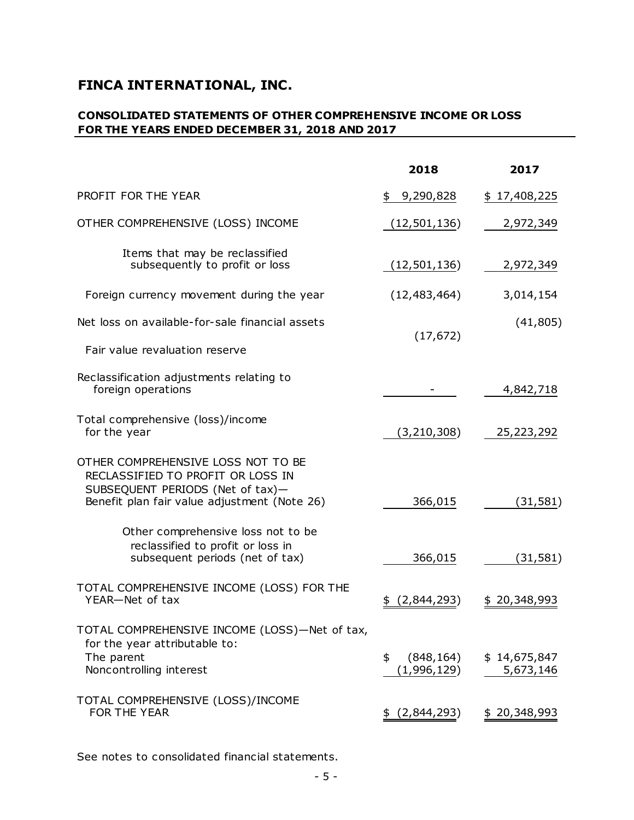## **CONSOLIDATED STATEMENTS OF OTHER COMPREHENSIVE INCOME OR LOSS FOR THE YEARS ENDED DECEMBER 31, 2018 AND 2017**

|                                                                                                                                                             | 2018                            | 2017                      |
|-------------------------------------------------------------------------------------------------------------------------------------------------------------|---------------------------------|---------------------------|
| PROFIT FOR THE YEAR                                                                                                                                         | \$9,290,828                     | \$17,408,225              |
| OTHER COMPREHENSIVE (LOSS) INCOME                                                                                                                           | (12, 501, 136)                  | 2,972,349                 |
| Items that may be reclassified<br>subsequently to profit or loss                                                                                            | (12, 501, 136)                  | 2,972,349                 |
| Foreign currency movement during the year                                                                                                                   | (12, 483, 464)                  | 3,014,154                 |
| Net loss on available-for-sale financial assets                                                                                                             |                                 | (41, 805)                 |
| Fair value revaluation reserve                                                                                                                              | (17, 672)                       |                           |
| Reclassification adjustments relating to<br>foreign operations                                                                                              |                                 | 4,842,718                 |
| Total comprehensive (loss)/income<br>for the year                                                                                                           | (3, 210, 308)                   | 25,223,292                |
| OTHER COMPREHENSIVE LOSS NOT TO BE<br>RECLASSIFIED TO PROFIT OR LOSS IN<br>SUBSEQUENT PERIODS (Net of tax)-<br>Benefit plan fair value adjustment (Note 26) | 366,015                         | (31, 581)                 |
| Other comprehensive loss not to be<br>reclassified to profit or loss in<br>subsequent periods (net of tax)                                                  | 366,015                         | (31, 581)                 |
| TOTAL COMPREHENSIVE INCOME (LOSS) FOR THE<br>YEAR-Net of tax                                                                                                | (2,844,293)                     | 20,348,993                |
| TOTAL COMPREHENSIVE INCOME (LOSS)-Net of tax,<br>for the year attributable to:<br>The parent<br>Noncontrolling interest                                     | \$<br>(848, 164)<br>(1,996,129) | \$14,675,847<br>5,673,146 |
| TOTAL COMPREHENSIVE (LOSS)/INCOME<br>FOR THE YEAR                                                                                                           | \$ (2,844,293)                  | \$20,348,993              |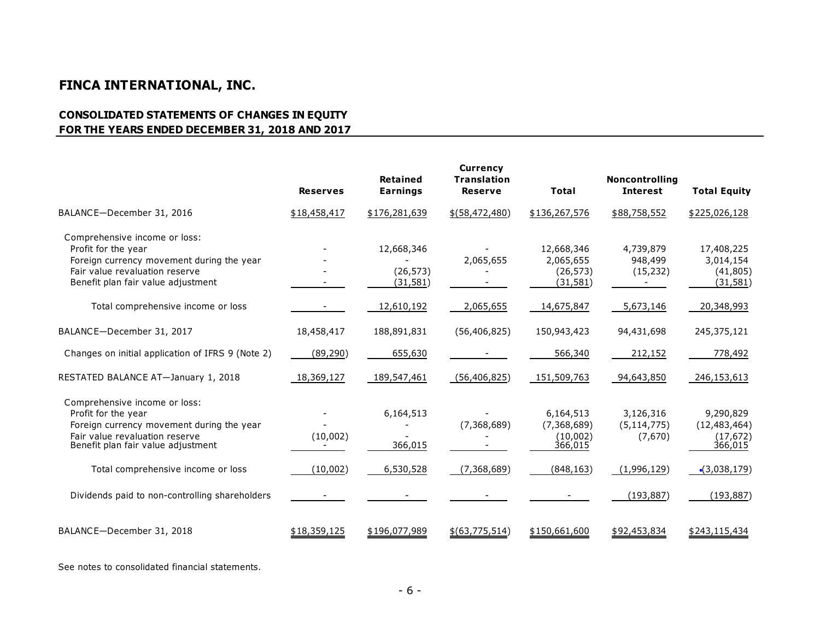## **CONSOLIDATED STATEMENTS OF CHANGES IN EQUITY FOR THE YEARS ENDED DECEMBER 31, 2018 AND 2017**

|                                                                                                                                                                           | <b>Reserves</b> | Retained<br><b>Earnings</b>          | <b>Currency</b><br><b>Translation</b><br><b>Reserve</b> | <b>Total</b>                                      | Noncontrolling<br><b>Interest</b>     | <b>Total Equity</b>                                 |
|---------------------------------------------------------------------------------------------------------------------------------------------------------------------------|-----------------|--------------------------------------|---------------------------------------------------------|---------------------------------------------------|---------------------------------------|-----------------------------------------------------|
| BALANCE-December 31, 2016                                                                                                                                                 | \$18,458,417    | \$176,281,639                        | \$(58, 472, 480)                                        | \$136,267,576                                     | \$88,758,552                          | \$225,026,128                                       |
| Comprehensive income or loss:<br>Profit for the year<br>Foreign currency movement during the year<br>Fair value revaluation reserve<br>Benefit plan fair value adjustment |                 | 12,668,346<br>(26, 573)<br>(31, 581) | 2,065,655                                               | 12,668,346<br>2,065,655<br>(26, 573)<br>(31, 581) | 4,739,879<br>948,499<br>(15, 232)     | 17,408,225<br>3,014,154<br>(41, 805)<br>(31, 581)   |
| Total comprehensive income or loss                                                                                                                                        |                 | 12,610,192                           | 2,065,655                                               | 14,675,847                                        | 5,673,146                             | 20,348,993                                          |
| BALANCE-December 31, 2017                                                                                                                                                 | 18,458,417      | 188,891,831                          | (56, 406, 825)                                          | 150,943,423                                       | 94,431,698                            | 245,375,121                                         |
| Changes on initial application of IFRS 9 (Note 2)                                                                                                                         | (89, 290)       | 655,630                              |                                                         | 566,340                                           | 212,152                               | 778,492                                             |
| RESTATED BALANCE AT-January 1, 2018                                                                                                                                       | 18,369,127      | 189,547,461                          | (56,406,825)                                            | 151,509,763                                       | 94,643,850                            | 246,153,613                                         |
| Comprehensive income or loss:<br>Profit for the year<br>Foreign currency movement during the year<br>Fair value revaluation reserve<br>Benefit plan fair value adjustment | (10,002)        | 6,164,513<br>366,015                 | (7,368,689)                                             | 6,164,513<br>(7,368,689)<br>(10.002)<br>366,015   | 3,126,316<br>(5, 114, 775)<br>(7,670) | 9,290,829<br>(12, 483, 464)<br>(17, 672)<br>366,015 |
| Total comprehensive income or loss                                                                                                                                        | (10,002)        | 6,530,528                            | (7,368,689)                                             | (848, 163)                                        | (1,996,129)                           | (3,038,179)                                         |
| Dividends paid to non-controlling shareholders                                                                                                                            |                 |                                      |                                                         |                                                   | (193, 887)                            | (193, 887)                                          |
| BALANCE-December 31, 2018                                                                                                                                                 | \$18,359,125    | \$196,077,989                        | \$(63, 775, 514)                                        | \$150,661,600                                     | \$92,453,834                          | \$243,115,434                                       |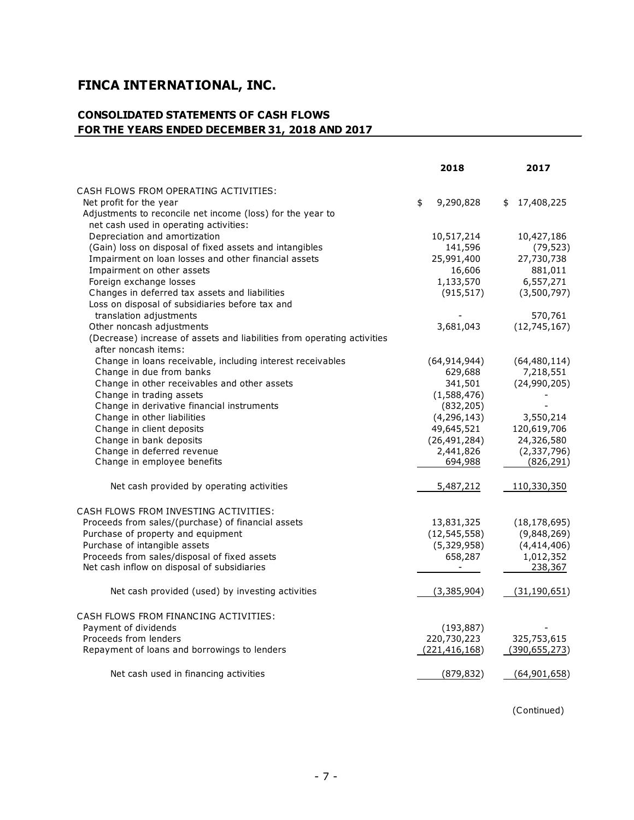## **CONSOLIDATED STATEMENTS OF CASH FLOWS FOR THE YEARS ENDED DECEMBER 31, 2018 AND 2017**

|                                                                         | 2018            | 2017             |  |
|-------------------------------------------------------------------------|-----------------|------------------|--|
| CASH FLOWS FROM OPERATING ACTIVITIES:                                   |                 |                  |  |
| Net profit for the year                                                 | \$<br>9,290,828 | 17,408,225<br>\$ |  |
| Adjustments to reconcile net income (loss) for the year to              |                 |                  |  |
| net cash used in operating activities:                                  |                 |                  |  |
| Depreciation and amortization                                           | 10,517,214      | 10,427,186       |  |
| (Gain) loss on disposal of fixed assets and intangibles                 | 141,596         | (79, 523)        |  |
| Impairment on loan losses and other financial assets                    | 25,991,400      | 27,730,738       |  |
| Impairment on other assets                                              | 16,606          | 881,011          |  |
| Foreign exchange losses                                                 | 1,133,570       | 6,557,271        |  |
| Changes in deferred tax assets and liabilities                          | (915, 517)      | (3,500,797)      |  |
| Loss on disposal of subsidiaries before tax and                         |                 |                  |  |
| translation adjustments                                                 |                 | 570,761          |  |
| Other noncash adjustments                                               | 3,681,043       | (12, 745, 167)   |  |
| (Decrease) increase of assets and liabilities from operating activities |                 |                  |  |
| after noncash items:                                                    |                 |                  |  |
| Change in loans receivable, including interest receivables              | (64, 914, 944)  | (64, 480, 114)   |  |
| Change in due from banks                                                | 629,688         | 7,218,551        |  |
| Change in other receivables and other assets                            | 341,501         | (24,990,205)     |  |
| Change in trading assets                                                | (1,588,476)     |                  |  |
| Change in derivative financial instruments                              | (832, 205)      |                  |  |
| Change in other liabilities                                             | (4, 296, 143)   | 3,550,214        |  |
| Change in client deposits                                               | 49,645,521      | 120,619,706      |  |
| Change in bank deposits                                                 | (26, 491, 284)  | 24,326,580       |  |
| Change in deferred revenue                                              | 2,441,826       | (2, 337, 796)    |  |
| Change in employee benefits                                             | 694,988         | (826, 291)       |  |
|                                                                         |                 |                  |  |
| Net cash provided by operating activities                               | 5,487,212       | 110,330,350      |  |
| CASH FLOWS FROM INVESTING ACTIVITIES:                                   |                 |                  |  |
| Proceeds from sales/(purchase) of financial assets                      | 13,831,325      | (18, 178, 695)   |  |
| Purchase of property and equipment                                      | (12, 545, 558)  | (9,848,269)      |  |
| Purchase of intangible assets                                           | (5,329,958)     | (4,414,406)      |  |
| Proceeds from sales/disposal of fixed assets                            | 658,287         | 1,012,352        |  |
| Net cash inflow on disposal of subsidiaries                             |                 | 238,367          |  |
|                                                                         |                 |                  |  |
| Net cash provided (used) by investing activities                        | (3,385,904)     | (31, 190, 651)   |  |
| CASH FLOWS FROM FINANCING ACTIVITIES:                                   |                 |                  |  |
| Payment of dividends                                                    | (193, 887)      |                  |  |
| Proceeds from lenders                                                   | 220,730,223     | 325,753,615      |  |
| Repayment of loans and borrowings to lenders                            | (221, 416, 168) | (390, 655, 273)  |  |
|                                                                         |                 |                  |  |
| Net cash used in financing activities                                   | (879, 832)      | (64,901,658)     |  |
|                                                                         |                 |                  |  |

(Continued)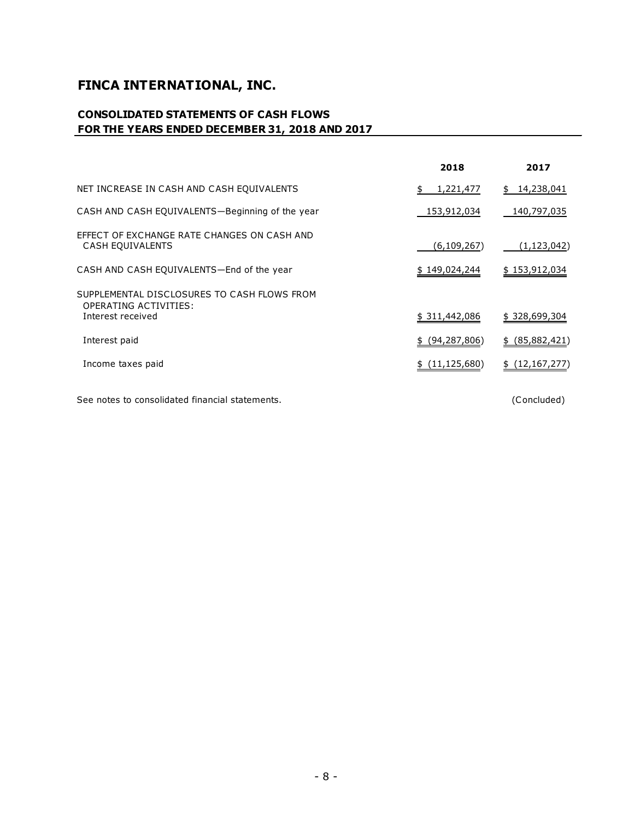## **CONSOLIDATED STATEMENTS OF CASH FLOWS FOR THE YEARS ENDED DECEMBER 31, 2018 AND 2017**

|                                                                                                  | 2018               | 2017               |
|--------------------------------------------------------------------------------------------------|--------------------|--------------------|
| NET INCREASE IN CASH AND CASH EQUIVALENTS                                                        | 1,221,477<br>\$    | 14,238,041<br>\$   |
| CASH AND CASH EQUIVALENTS-Beginning of the year                                                  | <u>153,912,034</u> | <u>140,797,035</u> |
| EFFECT OF EXCHANGE RATE CHANGES ON CASH AND<br>CASH EQUIVALENTS                                  | (6, 109, 267)      | (1, 123, 042)      |
| CASH AND CASH EQUIVALENTS-End of the year                                                        | \$149,024,244      | \$153,912,034      |
| SUPPLEMENTAL DISCLOSURES TO CASH FLOWS FROM<br><b>OPERATING ACTIVITIES:</b><br>Interest received | \$311,442,086      | \$328,699,304      |
| Interest paid                                                                                    | \$ (94, 287, 806)  | \$ (85,882,421)    |
| Income taxes paid                                                                                | \$ (11, 125, 680)  | \$ (12,167,277)    |
| See notes to consolidated financial statements.                                                  |                    | (Concluded)        |

- 8 -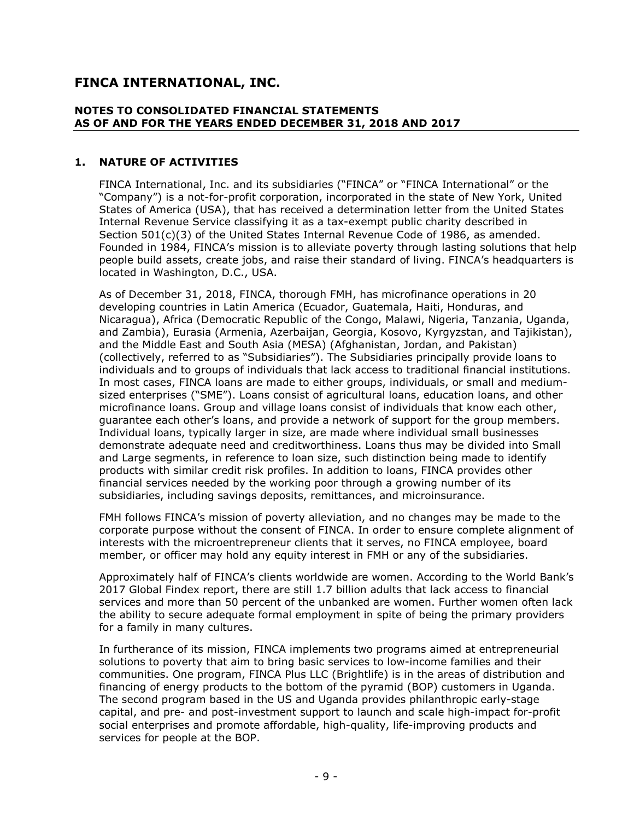#### **NOTES TO CONSOLIDATED FINANCIAL STATEMENTS AS OF AND FOR THE YEARS ENDED DECEMBER 31, 2018 AND 2017**

## **1. NATURE OF ACTIVITIES**

FINCA International, Inc. and its subsidiaries ("FINCA" or "FINCA International" or the "Company") is a not-for-profit corporation, incorporated in the state of New York, United States of America (USA), that has received a determination letter from the United States Internal Revenue Service classifying it as a tax-exempt public charity described in Section 501(c)(3) of the United States Internal Revenue Code of 1986, as amended. Founded in 1984, FINCA's mission is to alleviate poverty through lasting solutions that help people build assets, create jobs, and raise their standard of living. FINCA's headquarters is located in Washington, D.C., USA.

As of December 31, 2018, FINCA, thorough FMH, has microfinance operations in 20 developing countries in Latin America (Ecuador, Guatemala, Haiti, Honduras, and Nicaragua), Africa (Democratic Republic of the Congo, Malawi, Nigeria, Tanzania, Uganda, and Zambia), Eurasia (Armenia, Azerbaijan, Georgia, Kosovo, Kyrgyzstan, and Tajikistan), and the Middle East and South Asia (MESA) (Afghanistan, Jordan, and Pakistan) (collectively, referred to as "Subsidiaries"). The Subsidiaries principally provide loans to individuals and to groups of individuals that lack access to traditional financial institutions. In most cases, FINCA loans are made to either groups, individuals, or small and mediumsized enterprises ("SME"). Loans consist of agricultural loans, education loans, and other microfinance loans. Group and village loans consist of individuals that know each other, guarantee each other's loans, and provide a network of support for the group members. Individual loans, typically larger in size, are made where individual small businesses demonstrate adequate need and creditworthiness. Loans thus may be divided into Small and Large segments, in reference to loan size, such distinction being made to identify products with similar credit risk profiles. In addition to loans, FINCA provides other financial services needed by the working poor through a growing number of its subsidiaries, including savings deposits, remittances, and microinsurance.

FMH follows FINCA's mission of poverty alleviation, and no changes may be made to the corporate purpose without the consent of FINCA. In order to ensure complete alignment of interests with the microentrepreneur clients that it serves, no FINCA employee, board member, or officer may hold any equity interest in FMH or any of the subsidiaries.

Approximately half of FINCA's clients worldwide are women. According to the World Bank's 2017 Global Findex report, there are still 1.7 billion adults that lack access to financial services and more than 50 percent of the unbanked are women. Further women often lack the ability to secure adequate formal employment in spite of being the primary providers for a family in many cultures.

In furtherance of its mission, FINCA implements two programs aimed at entrepreneurial solutions to poverty that aim to bring basic services to low-income families and their communities. One program, FINCA Plus LLC (Brightlife) is in the areas of distribution and financing of energy products to the bottom of the pyramid (BOP) customers in Uganda. The second program based in the US and Uganda provides philanthropic early-stage capital, and pre- and post-investment support to launch and scale high-impact for-profit social enterprises and promote affordable, high-quality, life-improving products and services for people at the BOP.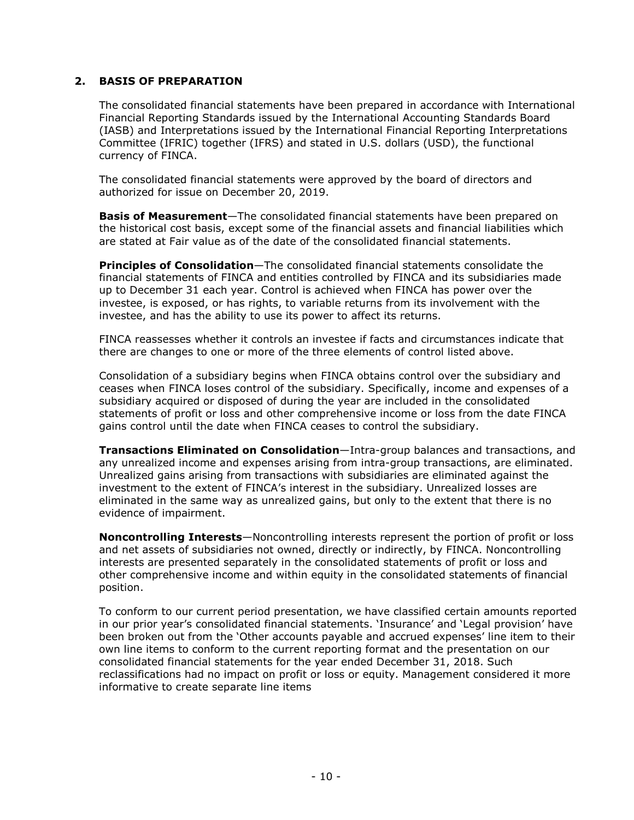### **2. BASIS OF PREPARATION**

The consolidated financial statements have been prepared in accordance with International Financial Reporting Standards issued by the International Accounting Standards Board (IASB) and Interpretations issued by the International Financial Reporting Interpretations Committee (IFRIC) together (IFRS) and stated in U.S. dollars (USD), the functional currency of FINCA.

The consolidated financial statements were approved by the board of directors and authorized for issue on December 20, 2019.

**Basis of Measurement**—The consolidated financial statements have been prepared on the historical cost basis, except some of the financial assets and financial liabilities which are stated at Fair value as of the date of the consolidated financial statements.

**Principles of Consolidation**—The consolidated financial statements consolidate the financial statements of FINCA and entities controlled by FINCA and its subsidiaries made up to December 31 each year. Control is achieved when FINCA has power over the investee, is exposed, or has rights, to variable returns from its involvement with the investee, and has the ability to use its power to affect its returns.

FINCA reassesses whether it controls an investee if facts and circumstances indicate that there are changes to one or more of the three elements of control listed above.

Consolidation of a subsidiary begins when FINCA obtains control over the subsidiary and ceases when FINCA loses control of the subsidiary. Specifically, income and expenses of a subsidiary acquired or disposed of during the year are included in the consolidated statements of profit or loss and other comprehensive income or loss from the date FINCA gains control until the date when FINCA ceases to control the subsidiary.

**Transactions Eliminated on Consolidation**—Intra-group balances and transactions, and any unrealized income and expenses arising from intra-group transactions, are eliminated. Unrealized gains arising from transactions with subsidiaries are eliminated against the investment to the extent of FINCA's interest in the subsidiary. Unrealized losses are eliminated in the same way as unrealized gains, but only to the extent that there is no evidence of impairment.

**Noncontrolling Interests**—Noncontrolling interests represent the portion of profit or loss and net assets of subsidiaries not owned, directly or indirectly, by FINCA. Noncontrolling interests are presented separately in the consolidated statements of profit or loss and other comprehensive income and within equity in the consolidated statements of financial position.

To conform to our current period presentation, we have classified certain amounts reported in our prior year's consolidated financial statements. 'Insurance' and 'Legal provision' have been broken out from the 'Other accounts payable and accrued expenses' line item to their own line items to conform to the current reporting format and the presentation on our consolidated financial statements for the year ended December 31, 2018. Such reclassifications had no impact on profit or loss or equity. Management considered it more informative to create separate line items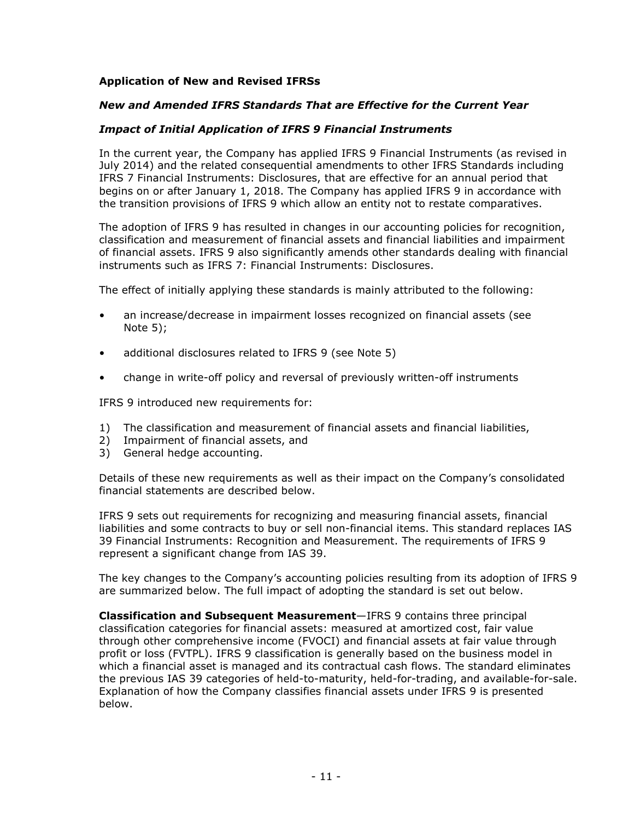## **Application of New and Revised IFRSs**

#### *New and Amended IFRS Standards That are Effective for the Current Year*

#### *Impact of Initial Application of IFRS 9 Financial Instruments*

In the current year, the Company has applied IFRS 9 Financial Instruments (as revised in July 2014) and the related consequential amendments to other IFRS Standards including IFRS 7 Financial Instruments: Disclosures, that are effective for an annual period that begins on or after January 1, 2018. The Company has applied IFRS 9 in accordance with the transition provisions of IFRS 9 which allow an entity not to restate comparatives.

The adoption of IFRS 9 has resulted in changes in our accounting policies for recognition, classification and measurement of financial assets and financial liabilities and impairment of financial assets. IFRS 9 also significantly amends other standards dealing with financial instruments such as IFRS 7: Financial Instruments: Disclosures.

The effect of initially applying these standards is mainly attributed to the following:

- an increase/decrease in impairment losses recognized on financial assets (see Note 5);
- additional disclosures related to IFRS 9 (see Note 5)
- change in write-off policy and reversal of previously written-off instruments

IFRS 9 introduced new requirements for:

- 1) The classification and measurement of financial assets and financial liabilities,
- 2) Impairment of financial assets, and
- 3) General hedge accounting.

Details of these new requirements as well as their impact on the Company's consolidated financial statements are described below.

IFRS 9 sets out requirements for recognizing and measuring financial assets, financial liabilities and some contracts to buy or sell non-financial items. This standard replaces IAS 39 Financial Instruments: Recognition and Measurement. The requirements of IFRS 9 represent a significant change from IAS 39.

The key changes to the Company's accounting policies resulting from its adoption of IFRS 9 are summarized below. The full impact of adopting the standard is set out below.

**Classification and Subsequent Measurement**—IFRS 9 contains three principal classification categories for financial assets: measured at amortized cost, fair value through other comprehensive income (FVOCI) and financial assets at fair value through profit or loss (FVTPL). IFRS 9 classification is generally based on the business model in which a financial asset is managed and its contractual cash flows. The standard eliminates the previous IAS 39 categories of held-to-maturity, held-for-trading, and available-for-sale. Explanation of how the Company classifies financial assets under IFRS 9 is presented below.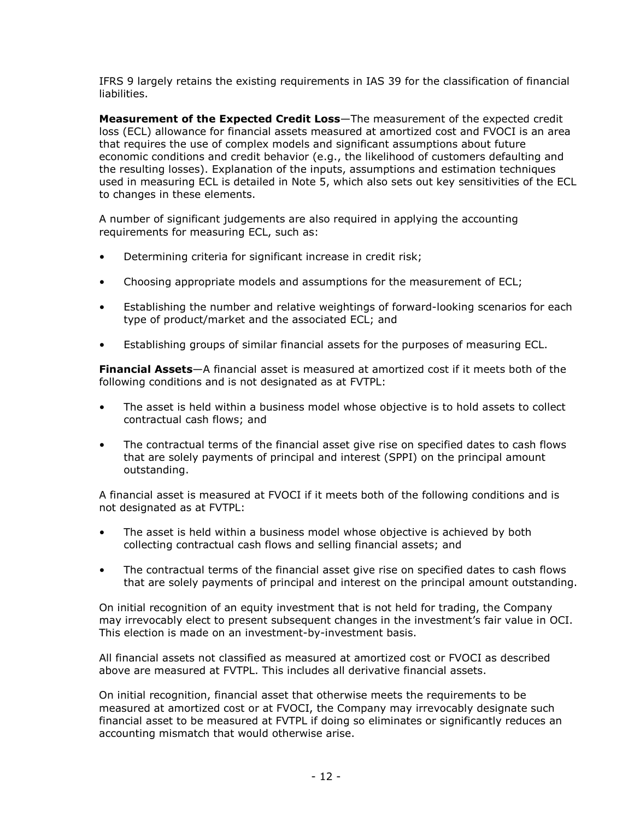IFRS 9 largely retains the existing requirements in IAS 39 for the classification of financial liabilities.

**Measurement of the Expected Credit Loss**—The measurement of the expected credit loss (ECL) allowance for financial assets measured at amortized cost and FVOCI is an area that requires the use of complex models and significant assumptions about future economic conditions and credit behavior (e.g., the likelihood of customers defaulting and the resulting losses). Explanation of the inputs, assumptions and estimation techniques used in measuring ECL is detailed in Note 5, which also sets out key sensitivities of the ECL to changes in these elements.

A number of significant judgements are also required in applying the accounting requirements for measuring ECL, such as:

- Determining criteria for significant increase in credit risk;
- Choosing appropriate models and assumptions for the measurement of ECL;
- Establishing the number and relative weightings of forward-looking scenarios for each type of product/market and the associated ECL; and
- Establishing groups of similar financial assets for the purposes of measuring ECL.

**Financial Assets**—A financial asset is measured at amortized cost if it meets both of the following conditions and is not designated as at FVTPL:

- The asset is held within a business model whose objective is to hold assets to collect contractual cash flows; and
- The contractual terms of the financial asset give rise on specified dates to cash flows that are solely payments of principal and interest (SPPI) on the principal amount outstanding.

A financial asset is measured at FVOCI if it meets both of the following conditions and is not designated as at FVTPL:

- The asset is held within a business model whose objective is achieved by both collecting contractual cash flows and selling financial assets; and
- The contractual terms of the financial asset give rise on specified dates to cash flows that are solely payments of principal and interest on the principal amount outstanding.

On initial recognition of an equity investment that is not held for trading, the Company may irrevocably elect to present subsequent changes in the investment's fair value in OCI. This election is made on an investment-by-investment basis.

All financial assets not classified as measured at amortized cost or FVOCI as described above are measured at FVTPL. This includes all derivative financial assets.

On initial recognition, financial asset that otherwise meets the requirements to be measured at amortized cost or at FVOCI, the Company may irrevocably designate such financial asset to be measured at FVTPL if doing so eliminates or significantly reduces an accounting mismatch that would otherwise arise.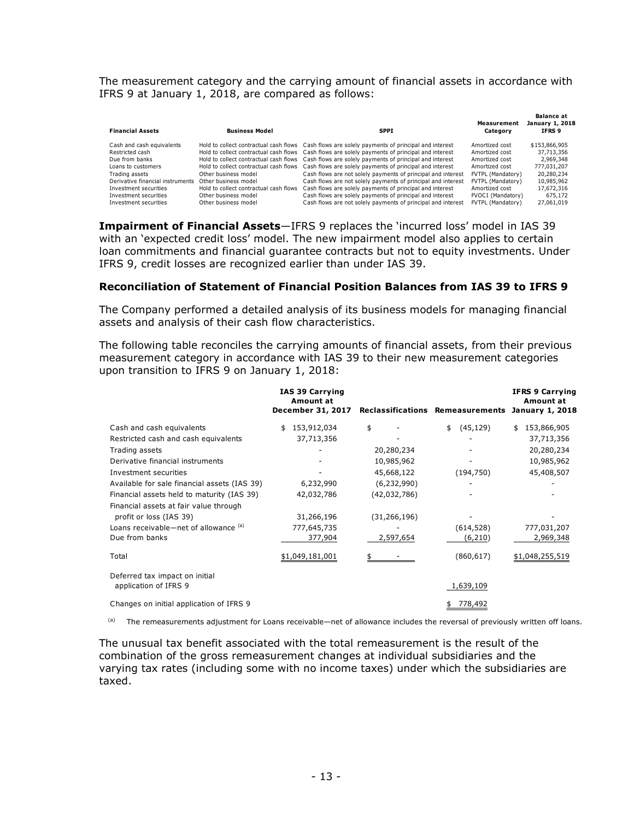The measurement category and the carrying amount of financial assets in accordance with IFRS 9 at January 1, 2018, are compared as follows:

| <b>Financial Assets</b>          | <b>Business Model</b>                  | <b>SPPI</b>                                                                                      | Measurement<br>Category | <b>Balance at</b><br>January 1, 2018<br>IFRS 9 |
|----------------------------------|----------------------------------------|--------------------------------------------------------------------------------------------------|-------------------------|------------------------------------------------|
| Cash and cash equivalents        |                                        | Hold to collect contractual cash flows Cash flows are solely payments of principal and interest  | Amortized cost          | \$153,866,905                                  |
| Restricted cash                  |                                        | Hold to collect contractual cash flows Cash flows are solely payments of principal and interest  | Amortized cost          | 37.713.356                                     |
| Due from banks                   |                                        | Hold to collect contractual cash flows  Cash flows are solely payments of principal and interest | Amortized cost          | 2,969,348                                      |
| Loans to customers               |                                        | Hold to collect contractual cash flows Cash flows are solely payments of principal and interest  | Amortized cost          | 777.031.207                                    |
| Trading assets                   | Other business model                   | Cash flows are not solely payments of principal and interest                                     | FVTPL (Mandatory)       | 20.280.234                                     |
| Derivative financial instruments | Other business model                   | Cash flows are not solely payments of principal and interest                                     | FVTPL (Mandatory)       | 10.985.962                                     |
| Investment securities            | Hold to collect contractual cash flows | Cash flows are solely payments of principal and interest                                         | Amortized cost          | 17.672.316                                     |
| Investment securities            | Other business model                   | Cash flows are solely payments of principal and interest                                         | FVOCI (Mandatory)       | 675,172                                        |
| Investment securities            | Other business model                   | Cash flows are not solely payments of principal and interest                                     | FVTPL (Mandatory)       | 27,061,019                                     |

**Impairment of Financial Assets**—IFRS 9 replaces the 'incurred loss' model in IAS 39 with an 'expected credit loss' model. The new impairment model also applies to certain loan commitments and financial guarantee contracts but not to equity investments. Under IFRS 9, credit losses are recognized earlier than under IAS 39.

#### **Reconciliation of Statement of Financial Position Balances from IAS 39 to IFRS 9**

The Company performed a detailed analysis of its business models for managing financial assets and analysis of their cash flow characteristics.

The following table reconciles the carrying amounts of financial assets, from their previous measurement category in accordance with IAS 39 to their new measurement categories upon transition to IFRS 9 on January 1, 2018:

|                                              | IAS 39 Carrying<br>Amount at<br>December 31, 2017 |                | Reclassifications Remeasurements | <b>IFRS 9 Carrying</b><br>Amount at<br><b>January 1, 2018</b> |
|----------------------------------------------|---------------------------------------------------|----------------|----------------------------------|---------------------------------------------------------------|
| Cash and cash equivalents                    | 153,912,034<br>\$                                 | \$             | (45, 129)<br>\$                  | 153,866,905<br>\$                                             |
| Restricted cash and cash equivalents         | 37,713,356                                        |                |                                  | 37,713,356                                                    |
| Trading assets                               |                                                   | 20,280,234     |                                  | 20,280,234                                                    |
| Derivative financial instruments             |                                                   | 10,985,962     |                                  | 10,985,962                                                    |
| Investment securities                        |                                                   | 45,668,122     | (194, 750)                       | 45,408,507                                                    |
| Available for sale financial assets (IAS 39) | 6,232,990                                         | (6, 232, 990)  |                                  |                                                               |
| Financial assets held to maturity (IAS 39)   | 42,032,786                                        | (42,032,786)   |                                  |                                                               |
| Financial assets at fair value through       |                                                   |                |                                  |                                                               |
| profit or loss (IAS 39)                      | 31,266,196                                        | (31, 266, 196) |                                  |                                                               |
| Loans receivable-net of allowance (a)        | 777,645,735                                       |                | (614, 528)                       | 777,031,207                                                   |
| Due from banks                               | 377,904                                           | 2,597,654      | (6,210)                          | 2,969,348                                                     |
| Total                                        | \$1,049,181,001                                   |                | (860, 617)                       | \$1,048,255,519                                               |
| Deferred tax impact on initial               |                                                   |                |                                  |                                                               |
| application of IFRS 9                        |                                                   |                | 1,639,109                        |                                                               |
| Changes on initial application of IFRS 9     |                                                   |                | 778,492                          |                                                               |

(a) The remeasurements adjustment for Loans receivable—net of allowance includes the reversal of previously written off loans.

The unusual tax benefit associated with the total remeasurement is the result of the combination of the gross remeasurement changes at individual subsidiaries and the varying tax rates (including some with no income taxes) under which the subsidiaries are taxed.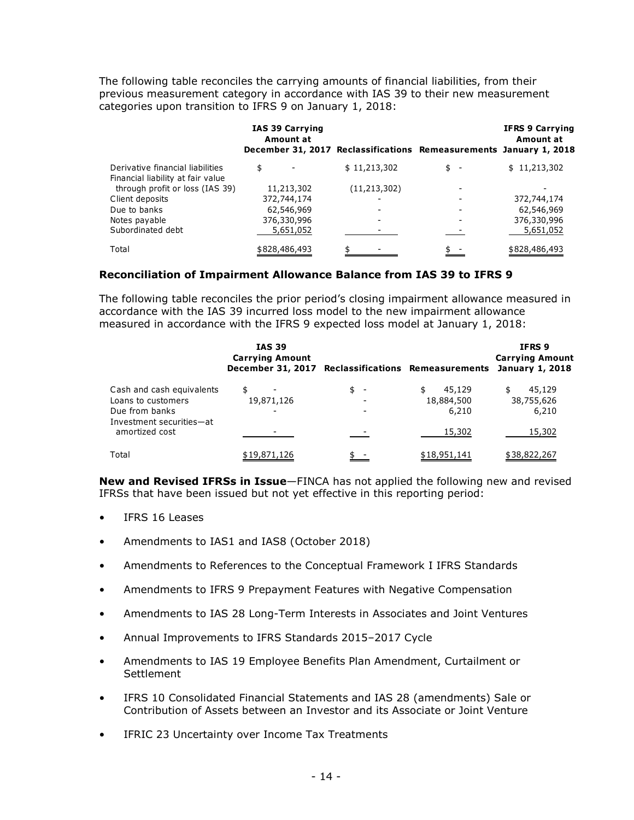The following table reconciles the carrying amounts of financial liabilities, from their previous measurement category in accordance with IAS 39 to their new measurement categories upon transition to IFRS 9 on January 1, 2018:

|                                                                       | IAS 39 Carrying<br>Amount at<br>December 31, 2017 Reclassifications Remeasurements January 1, 2018 |                | <b>IFRS 9 Carrying</b><br>Amount at |
|-----------------------------------------------------------------------|----------------------------------------------------------------------------------------------------|----------------|-------------------------------------|
| Derivative financial liabilities<br>Financial liability at fair value | \$                                                                                                 | \$11,213,302   | \$<br>\$11,213,302                  |
| through profit or loss (IAS 39)                                       | 11,213,302                                                                                         | (11, 213, 302) |                                     |
| Client deposits                                                       | 372,744,174                                                                                        |                | 372,744,174                         |
| Due to banks                                                          | 62,546,969                                                                                         |                | 62,546,969                          |
| Notes payable                                                         | 376,330,996                                                                                        |                | 376,330,996                         |
| Subordinated debt                                                     | 5,651,052                                                                                          |                | 5,651,052                           |
| Total                                                                 | \$828,486,493                                                                                      |                | \$828,486,493                       |

#### **Reconciliation of Impairment Allowance Balance from IAS 39 to IFRS 9**

The following table reconciles the prior period's closing impairment allowance measured in accordance with the IAS 39 incurred loss model to the new impairment allowance measured in accordance with the IFRS 9 expected loss model at January 1, 2018:

|                                                                   | <b>IAS 39</b><br><b>Carrying Amount</b><br>December 31, 2017 Reclassifications Remeasurements |                                |                                     | IFRS 9<br><b>Carrying Amount</b><br><b>January 1, 2018</b> |
|-------------------------------------------------------------------|-----------------------------------------------------------------------------------------------|--------------------------------|-------------------------------------|------------------------------------------------------------|
| Cash and cash equivalents<br>Loans to customers<br>Due from banks | \$<br>19,871,126                                                                              | \$<br>$\overline{\phantom{a}}$ | 45,129<br>\$<br>18,884,500<br>6,210 | 45,129<br>\$<br>38,755,626<br>6,210                        |
| Investment securities-at<br>amortized cost                        |                                                                                               |                                | 15,302                              | 15,302                                                     |
| Total                                                             | \$19,871,126                                                                                  |                                | \$18,951,141                        | \$38,822,267                                               |

**New and Revised IFRSs in Issue**—FINCA has not applied the following new and revised IFRSs that have been issued but not yet effective in this reporting period:

- IFRS 16 Leases
- Amendments to IAS1 and IAS8 (October 2018)
- Amendments to References to the Conceptual Framework I IFRS Standards
- Amendments to IFRS 9 Prepayment Features with Negative Compensation
- Amendments to IAS 28 Long-Term Interests in Associates and Joint Ventures
- Annual Improvements to IFRS Standards 2015–2017 Cycle
- Amendments to IAS 19 Employee Benefits Plan Amendment, Curtailment or **Settlement**
- IFRS 10 Consolidated Financial Statements and IAS 28 (amendments) Sale or Contribution of Assets between an Investor and its Associate or Joint Venture
- IFRIC 23 Uncertainty over Income Tax Treatments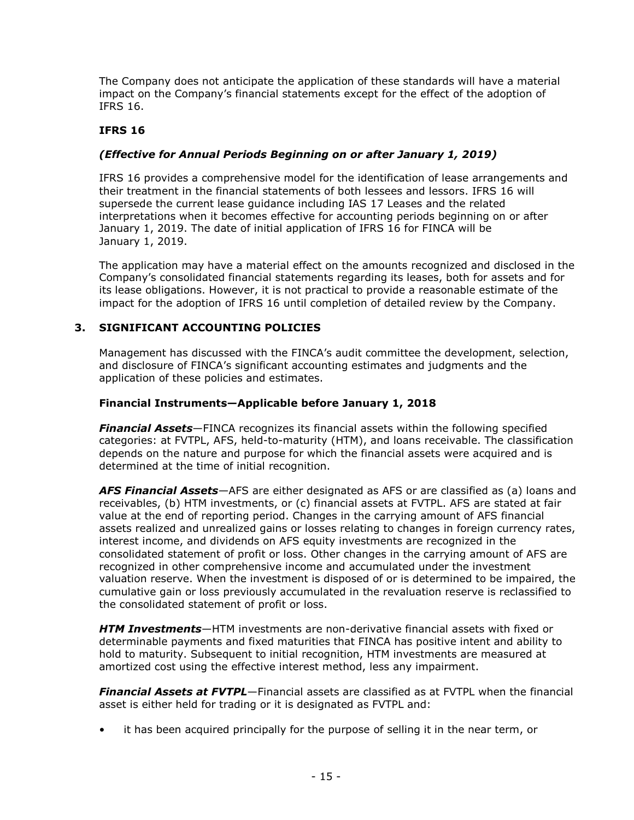The Company does not anticipate the application of these standards will have a material impact on the Company's financial statements except for the effect of the adoption of IFRS 16.

## **IFRS 16**

## *(Effective for Annual Periods Beginning on or after January 1, 2019)*

IFRS 16 provides a comprehensive model for the identification of lease arrangements and their treatment in the financial statements of both lessees and lessors. IFRS 16 will supersede the current lease guidance including IAS 17 Leases and the related interpretations when it becomes effective for accounting periods beginning on or after January 1, 2019. The date of initial application of IFRS 16 for FINCA will be January 1, 2019.

The application may have a material effect on the amounts recognized and disclosed in the Company's consolidated financial statements regarding its leases, both for assets and for its lease obligations. However, it is not practical to provide a reasonable estimate of the impact for the adoption of IFRS 16 until completion of detailed review by the Company.

## **3. SIGNIFICANT ACCOUNTING POLICIES**

Management has discussed with the FINCA's audit committee the development, selection, and disclosure of FINCA's significant accounting estimates and judgments and the application of these policies and estimates.

## **Financial Instruments—Applicable before January 1, 2018**

*Financial Assets*—FINCA recognizes its financial assets within the following specified categories: at FVTPL, AFS, held-to-maturity (HTM), and loans receivable. The classification depends on the nature and purpose for which the financial assets were acquired and is determined at the time of initial recognition.

*AFS Financial Assets*—AFS are either designated as AFS or are classified as (a) loans and receivables, (b) HTM investments, or (c) financial assets at FVTPL. AFS are stated at fair value at the end of reporting period. Changes in the carrying amount of AFS financial assets realized and unrealized gains or losses relating to changes in foreign currency rates, interest income, and dividends on AFS equity investments are recognized in the consolidated statement of profit or loss. Other changes in the carrying amount of AFS are recognized in other comprehensive income and accumulated under the investment valuation reserve. When the investment is disposed of or is determined to be impaired, the cumulative gain or loss previously accumulated in the revaluation reserve is reclassified to the consolidated statement of profit or loss.

*HTM Investments*—HTM investments are non-derivative financial assets with fixed or determinable payments and fixed maturities that FINCA has positive intent and ability to hold to maturity. Subsequent to initial recognition, HTM investments are measured at amortized cost using the effective interest method, less any impairment.

*Financial Assets at FVTPL*—Financial assets are classified as at FVTPL when the financial asset is either held for trading or it is designated as FVTPL and:

• it has been acquired principally for the purpose of selling it in the near term, or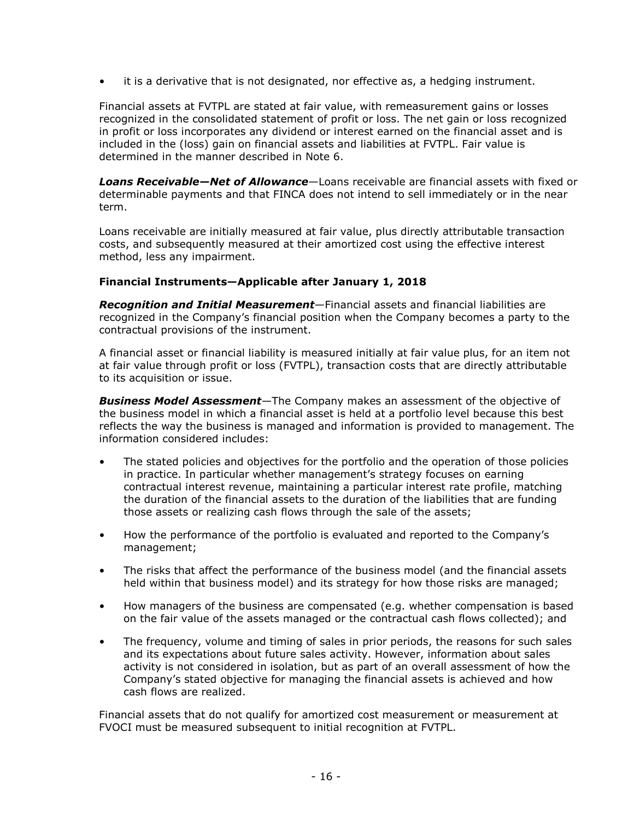• it is a derivative that is not designated, nor effective as, a hedging instrument.

Financial assets at FVTPL are stated at fair value, with remeasurement gains or losses recognized in the consolidated statement of profit or loss. The net gain or loss recognized in profit or loss incorporates any dividend or interest earned on the financial asset and is included in the (loss) gain on financial assets and liabilities at FVTPL. Fair value is determined in the manner described in Note 6.

*Loans Receivable—Net of Allowance*—Loans receivable are financial assets with fixed or determinable payments and that FINCA does not intend to sell immediately or in the near term.

Loans receivable are initially measured at fair value, plus directly attributable transaction costs, and subsequently measured at their amortized cost using the effective interest method, less any impairment.

### **Financial Instruments—Applicable after January 1, 2018**

*Recognition and Initial Measurement*—Financial assets and financial liabilities are recognized in the Company's financial position when the Company becomes a party to the contractual provisions of the instrument.

A financial asset or financial liability is measured initially at fair value plus, for an item not at fair value through profit or loss (FVTPL), transaction costs that are directly attributable to its acquisition or issue.

*Business Model Assessment*—The Company makes an assessment of the objective of the business model in which a financial asset is held at a portfolio level because this best reflects the way the business is managed and information is provided to management. The information considered includes:

- The stated policies and objectives for the portfolio and the operation of those policies in practice. In particular whether management's strategy focuses on earning contractual interest revenue, maintaining a particular interest rate profile, matching the duration of the financial assets to the duration of the liabilities that are funding those assets or realizing cash flows through the sale of the assets;
- How the performance of the portfolio is evaluated and reported to the Company's management;
- The risks that affect the performance of the business model (and the financial assets held within that business model) and its strategy for how those risks are managed;
- How managers of the business are compensated (e.g. whether compensation is based on the fair value of the assets managed or the contractual cash flows collected); and
- The frequency, volume and timing of sales in prior periods, the reasons for such sales and its expectations about future sales activity. However, information about sales activity is not considered in isolation, but as part of an overall assessment of how the Company's stated objective for managing the financial assets is achieved and how cash flows are realized.

Financial assets that do not qualify for amortized cost measurement or measurement at FVOCI must be measured subsequent to initial recognition at FVTPL.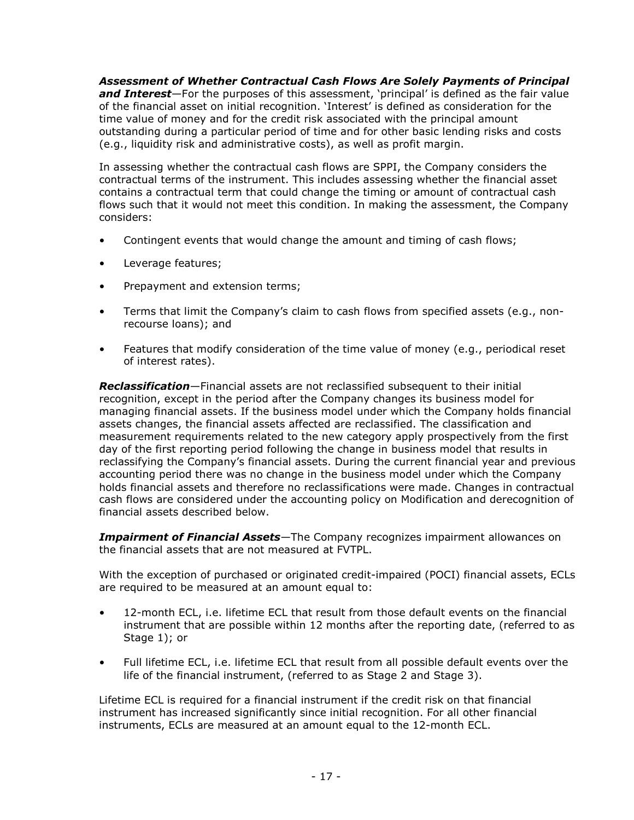*Assessment of Whether Contractual Cash Flows Are Solely Payments of Principal and Interest*—For the purposes of this assessment, 'principal' is defined as the fair value of the financial asset on initial recognition. 'Interest' is defined as consideration for the time value of money and for the credit risk associated with the principal amount outstanding during a particular period of time and for other basic lending risks and costs (e.g., liquidity risk and administrative costs), as well as profit margin.

In assessing whether the contractual cash flows are SPPI, the Company considers the contractual terms of the instrument. This includes assessing whether the financial asset contains a contractual term that could change the timing or amount of contractual cash flows such that it would not meet this condition. In making the assessment, the Company considers:

- Contingent events that would change the amount and timing of cash flows;
- Leverage features;
- Prepayment and extension terms;
- Terms that limit the Company's claim to cash flows from specified assets (e.g., nonrecourse loans); and
- Features that modify consideration of the time value of money (e.g., periodical reset of interest rates).

*Reclassification*—Financial assets are not reclassified subsequent to their initial recognition, except in the period after the Company changes its business model for managing financial assets. If the business model under which the Company holds financial assets changes, the financial assets affected are reclassified. The classification and measurement requirements related to the new category apply prospectively from the first day of the first reporting period following the change in business model that results in reclassifying the Company's financial assets. During the current financial year and previous accounting period there was no change in the business model under which the Company holds financial assets and therefore no reclassifications were made. Changes in contractual cash flows are considered under the accounting policy on Modification and derecognition of financial assets described below.

*Impairment of Financial Assets*—The Company recognizes impairment allowances on the financial assets that are not measured at FVTPL.

With the exception of purchased or originated credit-impaired (POCI) financial assets, ECLs are required to be measured at an amount equal to:

- 12-month ECL, i.e. lifetime ECL that result from those default events on the financial instrument that are possible within 12 months after the reporting date, (referred to as Stage 1); or
- Full lifetime ECL, i.e. lifetime ECL that result from all possible default events over the life of the financial instrument, (referred to as Stage 2 and Stage 3).

Lifetime ECL is required for a financial instrument if the credit risk on that financial instrument has increased significantly since initial recognition. For all other financial instruments, ECLs are measured at an amount equal to the 12-month ECL.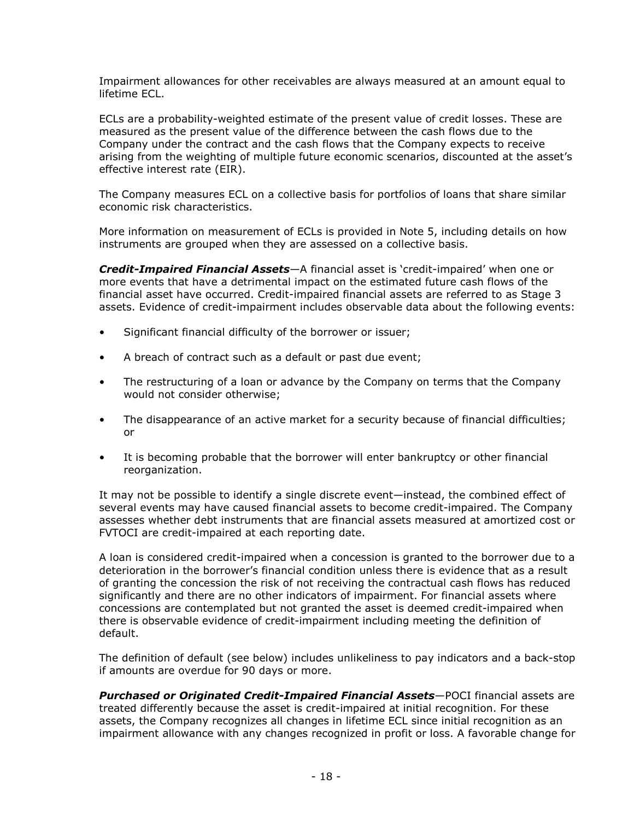Impairment allowances for other receivables are always measured at an amount equal to lifetime ECL.

ECLs are a probability-weighted estimate of the present value of credit losses. These are measured as the present value of the difference between the cash flows due to the Company under the contract and the cash flows that the Company expects to receive arising from the weighting of multiple future economic scenarios, discounted at the asset's effective interest rate (EIR).

The Company measures ECL on a collective basis for portfolios of loans that share similar economic risk characteristics.

More information on measurement of ECLs is provided in Note 5, including details on how instruments are grouped when they are assessed on a collective basis.

*Credit-Impaired Financial Assets*—A financial asset is 'credit-impaired' when one or more events that have a detrimental impact on the estimated future cash flows of the financial asset have occurred. Credit-impaired financial assets are referred to as Stage 3 assets. Evidence of credit-impairment includes observable data about the following events:

- Significant financial difficulty of the borrower or issuer;
- A breach of contract such as a default or past due event;
- The restructuring of a loan or advance by the Company on terms that the Company would not consider otherwise;
- The disappearance of an active market for a security because of financial difficulties; or
- It is becoming probable that the borrower will enter bankruptcy or other financial reorganization.

It may not be possible to identify a single discrete event—instead, the combined effect of several events may have caused financial assets to become credit-impaired. The Company assesses whether debt instruments that are financial assets measured at amortized cost or FVTOCI are credit-impaired at each reporting date.

A loan is considered credit-impaired when a concession is granted to the borrower due to a deterioration in the borrower's financial condition unless there is evidence that as a result of granting the concession the risk of not receiving the contractual cash flows has reduced significantly and there are no other indicators of impairment. For financial assets where concessions are contemplated but not granted the asset is deemed credit-impaired when there is observable evidence of credit-impairment including meeting the definition of default.

The definition of default (see below) includes unlikeliness to pay indicators and a back-stop if amounts are overdue for 90 days or more.

*Purchased or Originated Credit-Impaired Financial Assets*—POCI financial assets are treated differently because the asset is credit-impaired at initial recognition. For these assets, the Company recognizes all changes in lifetime ECL since initial recognition as an impairment allowance with any changes recognized in profit or loss. A favorable change for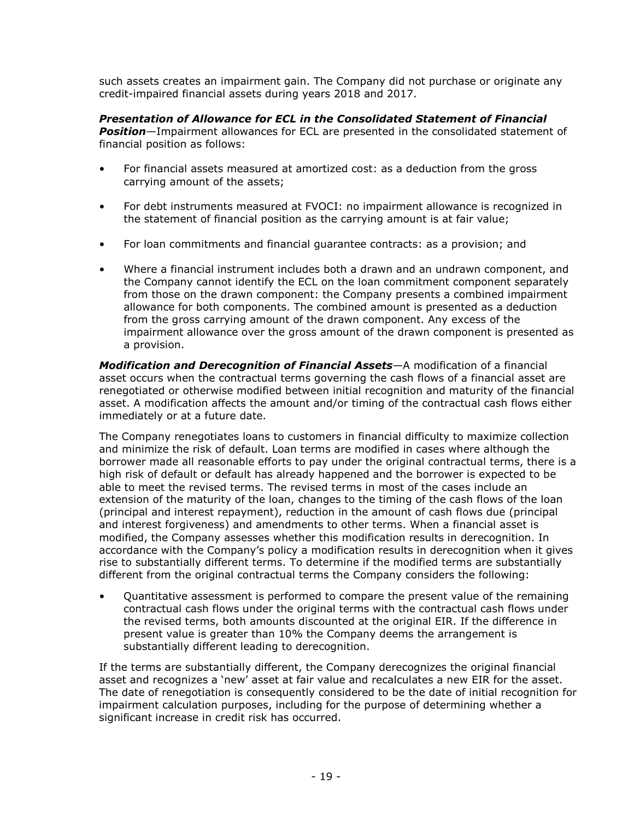such assets creates an impairment gain. The Company did not purchase or originate any credit-impaired financial assets during years 2018 and 2017.

## *Presentation of Allowance for ECL in the Consolidated Statement of Financial*

*Position*—Impairment allowances for ECL are presented in the consolidated statement of financial position as follows:

- For financial assets measured at amortized cost: as a deduction from the gross carrying amount of the assets;
- For debt instruments measured at FVOCI: no impairment allowance is recognized in the statement of financial position as the carrying amount is at fair value;
- For loan commitments and financial guarantee contracts: as a provision; and
- Where a financial instrument includes both a drawn and an undrawn component, and the Company cannot identify the ECL on the loan commitment component separately from those on the drawn component: the Company presents a combined impairment allowance for both components. The combined amount is presented as a deduction from the gross carrying amount of the drawn component. Any excess of the impairment allowance over the gross amount of the drawn component is presented as a provision.

*Modification and Derecognition of Financial Assets*—A modification of a financial asset occurs when the contractual terms governing the cash flows of a financial asset are renegotiated or otherwise modified between initial recognition and maturity of the financial asset. A modification affects the amount and/or timing of the contractual cash flows either immediately or at a future date.

The Company renegotiates loans to customers in financial difficulty to maximize collection and minimize the risk of default. Loan terms are modified in cases where although the borrower made all reasonable efforts to pay under the original contractual terms, there is a high risk of default or default has already happened and the borrower is expected to be able to meet the revised terms. The revised terms in most of the cases include an extension of the maturity of the loan, changes to the timing of the cash flows of the loan (principal and interest repayment), reduction in the amount of cash flows due (principal and interest forgiveness) and amendments to other terms. When a financial asset is modified, the Company assesses whether this modification results in derecognition. In accordance with the Company's policy a modification results in derecognition when it gives rise to substantially different terms. To determine if the modified terms are substantially different from the original contractual terms the Company considers the following:

• Quantitative assessment is performed to compare the present value of the remaining contractual cash flows under the original terms with the contractual cash flows under the revised terms, both amounts discounted at the original EIR. If the difference in present value is greater than 10% the Company deems the arrangement is substantially different leading to derecognition.

If the terms are substantially different, the Company derecognizes the original financial asset and recognizes a 'new' asset at fair value and recalculates a new EIR for the asset. The date of renegotiation is consequently considered to be the date of initial recognition for impairment calculation purposes, including for the purpose of determining whether a significant increase in credit risk has occurred.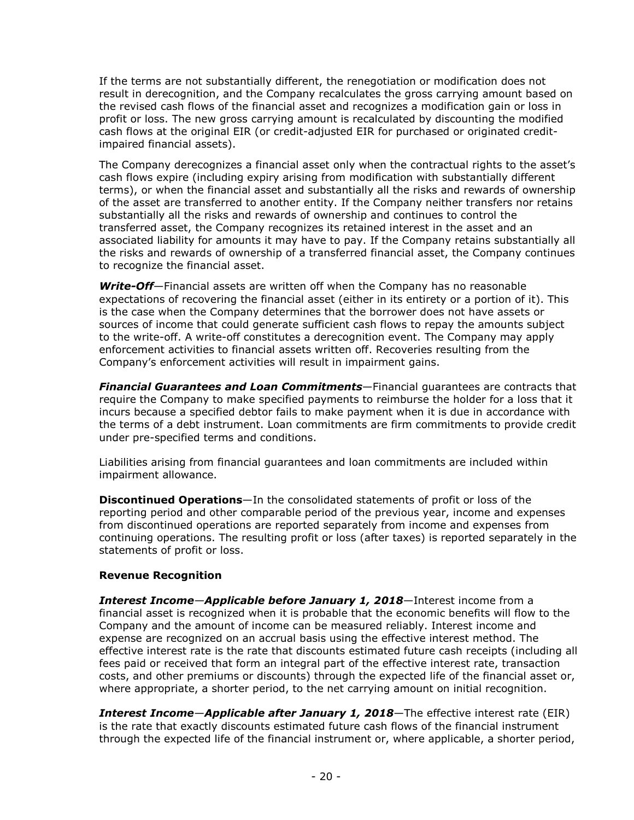If the terms are not substantially different, the renegotiation or modification does not result in derecognition, and the Company recalculates the gross carrying amount based on the revised cash flows of the financial asset and recognizes a modification gain or loss in profit or loss. The new gross carrying amount is recalculated by discounting the modified cash flows at the original EIR (or credit-adjusted EIR for purchased or originated creditimpaired financial assets).

The Company derecognizes a financial asset only when the contractual rights to the asset's cash flows expire (including expiry arising from modification with substantially different terms), or when the financial asset and substantially all the risks and rewards of ownership of the asset are transferred to another entity. If the Company neither transfers nor retains substantially all the risks and rewards of ownership and continues to control the transferred asset, the Company recognizes its retained interest in the asset and an associated liability for amounts it may have to pay. If the Company retains substantially all the risks and rewards of ownership of a transferred financial asset, the Company continues to recognize the financial asset.

*Write-Off*—Financial assets are written off when the Company has no reasonable expectations of recovering the financial asset (either in its entirety or a portion of it). This is the case when the Company determines that the borrower does not have assets or sources of income that could generate sufficient cash flows to repay the amounts subject to the write-off. A write-off constitutes a derecognition event. The Company may apply enforcement activities to financial assets written off. Recoveries resulting from the Company's enforcement activities will result in impairment gains.

*Financial Guarantees and Loan Commitments*—Financial guarantees are contracts that require the Company to make specified payments to reimburse the holder for a loss that it incurs because a specified debtor fails to make payment when it is due in accordance with the terms of a debt instrument. Loan commitments are firm commitments to provide credit under pre-specified terms and conditions.

Liabilities arising from financial guarantees and loan commitments are included within impairment allowance.

**Discontinued Operations**—In the consolidated statements of profit or loss of the reporting period and other comparable period of the previous year, income and expenses from discontinued operations are reported separately from income and expenses from continuing operations. The resulting profit or loss (after taxes) is reported separately in the statements of profit or loss.

## **Revenue Recognition**

*Interest Income—Applicable before January 1, 2018*—Interest income from a financial asset is recognized when it is probable that the economic benefits will flow to the Company and the amount of income can be measured reliably. Interest income and expense are recognized on an accrual basis using the effective interest method. The effective interest rate is the rate that discounts estimated future cash receipts (including all fees paid or received that form an integral part of the effective interest rate, transaction costs, and other premiums or discounts) through the expected life of the financial asset or, where appropriate, a shorter period, to the net carrying amount on initial recognition.

*Interest Income—Applicable after January 1, 2018*—The effective interest rate (EIR) is the rate that exactly discounts estimated future cash flows of the financial instrument through the expected life of the financial instrument or, where applicable, a shorter period,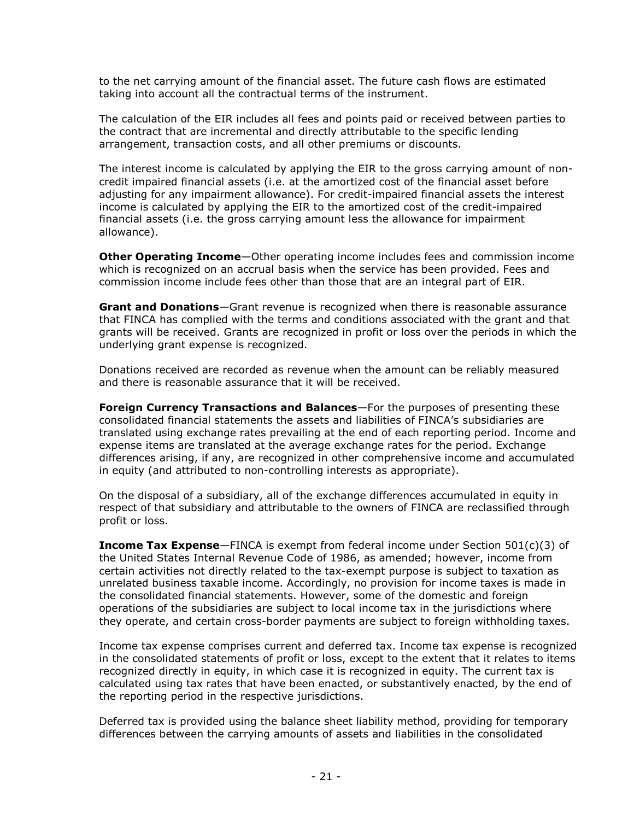to the net carrying amount of the financial asset. The future cash flows are estimated taking into account all the contractual terms of the instrument.

The calculation of the EIR includes all fees and points paid or received between parties to the contract that are incremental and directly attributable to the specific lending arrangement, transaction costs, and all other premiums or discounts.

The interest income is calculated by applying the EIR to the gross carrying amount of noncredit impaired financial assets (i.e. at the amortized cost of the financial asset before adjusting for any impairment allowance). For credit-impaired financial assets the interest income is calculated by applying the EIR to the amortized cost of the credit-impaired financial assets (i.e. the gross carrying amount less the allowance for impairment allowance).

**Other Operating Income**—Other operating income includes fees and commission income which is recognized on an accrual basis when the service has been provided. Fees and commission income include fees other than those that are an integral part of EIR.

**Grant and Donations**—Grant revenue is recognized when there is reasonable assurance that FINCA has complied with the terms and conditions associated with the grant and that grants will be received. Grants are recognized in profit or loss over the periods in which the underlying grant expense is recognized.

Donations received are recorded as revenue when the amount can be reliably measured and there is reasonable assurance that it will be received.

**Foreign Currency Transactions and Balances**—For the purposes of presenting these consolidated financial statements the assets and liabilities of FINCA's subsidiaries are translated using exchange rates prevailing at the end of each reporting period. Income and expense items are translated at the average exchange rates for the period. Exchange differences arising, if any, are recognized in other comprehensive income and accumulated in equity (and attributed to non-controlling interests as appropriate).

On the disposal of a subsidiary, all of the exchange differences accumulated in equity in respect of that subsidiary and attributable to the owners of FINCA are reclassified through profit or loss.

**Income Tax Expense**—FINCA is exempt from federal income under Section 501(c)(3) of the United States Internal Revenue Code of 1986, as amended; however, income from certain activities not directly related to the tax-exempt purpose is subject to taxation as unrelated business taxable income. Accordingly, no provision for income taxes is made in the consolidated financial statements. However, some of the domestic and foreign operations of the subsidiaries are subject to local income tax in the jurisdictions where they operate, and certain cross-border payments are subject to foreign withholding taxes.

Income tax expense comprises current and deferred tax. Income tax expense is recognized in the consolidated statements of profit or loss, except to the extent that it relates to items recognized directly in equity, in which case it is recognized in equity. The current tax is calculated using tax rates that have been enacted, or substantively enacted, by the end of the reporting period in the respective jurisdictions.

Deferred tax is provided using the balance sheet liability method, providing for temporary differences between the carrying amounts of assets and liabilities in the consolidated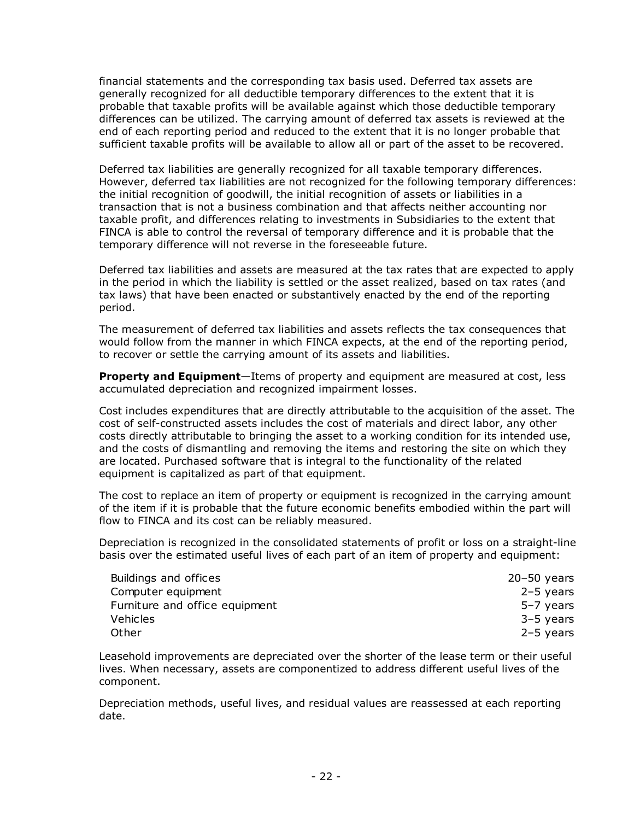financial statements and the corresponding tax basis used. Deferred tax assets are generally recognized for all deductible temporary differences to the extent that it is probable that taxable profits will be available against which those deductible temporary differences can be utilized. The carrying amount of deferred tax assets is reviewed at the end of each reporting period and reduced to the extent that it is no longer probable that sufficient taxable profits will be available to allow all or part of the asset to be recovered.

Deferred tax liabilities are generally recognized for all taxable temporary differences. However, deferred tax liabilities are not recognized for the following temporary differences: the initial recognition of goodwill, the initial recognition of assets or liabilities in a transaction that is not a business combination and that affects neither accounting nor taxable profit, and differences relating to investments in Subsidiaries to the extent that FINCA is able to control the reversal of temporary difference and it is probable that the temporary difference will not reverse in the foreseeable future.

Deferred tax liabilities and assets are measured at the tax rates that are expected to apply in the period in which the liability is settled or the asset realized, based on tax rates (and tax laws) that have been enacted or substantively enacted by the end of the reporting period.

The measurement of deferred tax liabilities and assets reflects the tax consequences that would follow from the manner in which FINCA expects, at the end of the reporting period, to recover or settle the carrying amount of its assets and liabilities.

**Property and Equipment**—Items of property and equipment are measured at cost, less accumulated depreciation and recognized impairment losses.

Cost includes expenditures that are directly attributable to the acquisition of the asset. The cost of self-constructed assets includes the cost of materials and direct labor, any other costs directly attributable to bringing the asset to a working condition for its intended use, and the costs of dismantling and removing the items and restoring the site on which they are located. Purchased software that is integral to the functionality of the related equipment is capitalized as part of that equipment.

The cost to replace an item of property or equipment is recognized in the carrying amount of the item if it is probable that the future economic benefits embodied within the part will flow to FINCA and its cost can be reliably measured.

Depreciation is recognized in the consolidated statements of profit or loss on a straight-line basis over the estimated useful lives of each part of an item of property and equipment:

| Buildings and offices          | $20 - 50$ years |
|--------------------------------|-----------------|
| Computer equipment             | $2-5$ years     |
| Furniture and office equipment | 5–7 years       |
| Vehicles                       | $3-5$ years     |
| Other                          | $2-5$ years     |

Leasehold improvements are depreciated over the shorter of the lease term or their useful lives. When necessary, assets are componentized to address different useful lives of the component.

Depreciation methods, useful lives, and residual values are reassessed at each reporting date.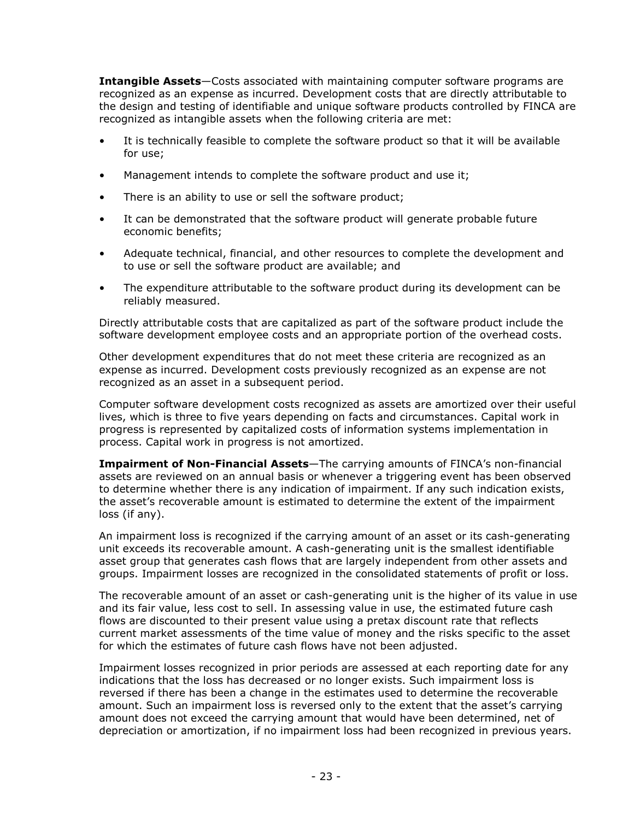**Intangible Assets**—Costs associated with maintaining computer software programs are recognized as an expense as incurred. Development costs that are directly attributable to the design and testing of identifiable and unique software products controlled by FINCA are recognized as intangible assets when the following criteria are met:

- It is technically feasible to complete the software product so that it will be available for use;
- Management intends to complete the software product and use it;
- There is an ability to use or sell the software product;
- It can be demonstrated that the software product will generate probable future economic benefits;
- Adequate technical, financial, and other resources to complete the development and to use or sell the software product are available; and
- The expenditure attributable to the software product during its development can be reliably measured.

Directly attributable costs that are capitalized as part of the software product include the software development employee costs and an appropriate portion of the overhead costs.

Other development expenditures that do not meet these criteria are recognized as an expense as incurred. Development costs previously recognized as an expense are not recognized as an asset in a subsequent period.

Computer software development costs recognized as assets are amortized over their useful lives, which is three to five years depending on facts and circumstances. Capital work in progress is represented by capitalized costs of information systems implementation in process. Capital work in progress is not amortized.

**Impairment of Non-Financial Assets**—The carrying amounts of FINCA's non-financial assets are reviewed on an annual basis or whenever a triggering event has been observed to determine whether there is any indication of impairment. If any such indication exists, the asset's recoverable amount is estimated to determine the extent of the impairment loss (if any).

An impairment loss is recognized if the carrying amount of an asset or its cash-generating unit exceeds its recoverable amount. A cash-generating unit is the smallest identifiable asset group that generates cash flows that are largely independent from other assets and groups. Impairment losses are recognized in the consolidated statements of profit or loss.

The recoverable amount of an asset or cash-generating unit is the higher of its value in use and its fair value, less cost to sell. In assessing value in use, the estimated future cash flows are discounted to their present value using a pretax discount rate that reflects current market assessments of the time value of money and the risks specific to the asset for which the estimates of future cash flows have not been adjusted.

Impairment losses recognized in prior periods are assessed at each reporting date for any indications that the loss has decreased or no longer exists. Such impairment loss is reversed if there has been a change in the estimates used to determine the recoverable amount. Such an impairment loss is reversed only to the extent that the asset's carrying amount does not exceed the carrying amount that would have been determined, net of depreciation or amortization, if no impairment loss had been recognized in previous years.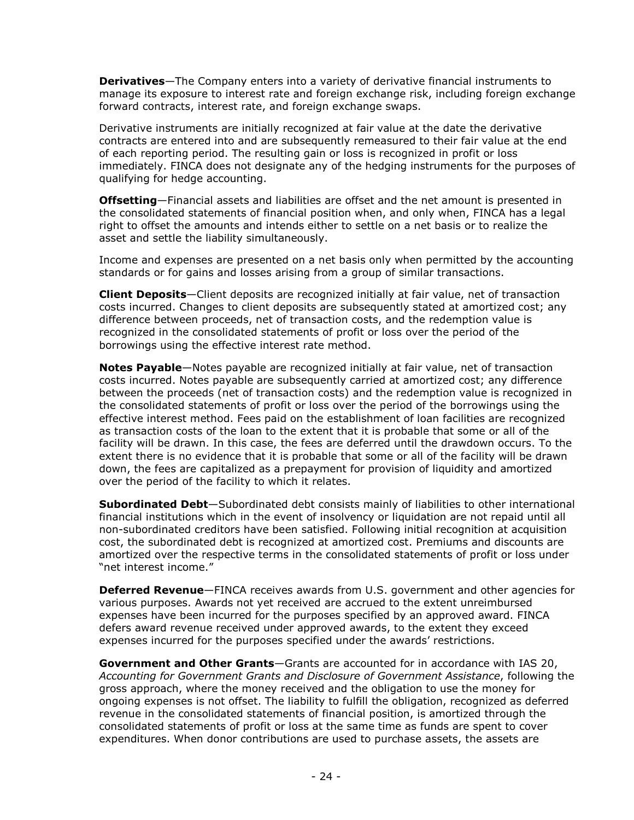**Derivatives**—The Company enters into a variety of derivative financial instruments to manage its exposure to interest rate and foreign exchange risk, including foreign exchange forward contracts, interest rate, and foreign exchange swaps.

Derivative instruments are initially recognized at fair value at the date the derivative contracts are entered into and are subsequently remeasured to their fair value at the end of each reporting period. The resulting gain or loss is recognized in profit or loss immediately. FINCA does not designate any of the hedging instruments for the purposes of qualifying for hedge accounting.

**Offsetting**—Financial assets and liabilities are offset and the net amount is presented in the consolidated statements of financial position when, and only when, FINCA has a legal right to offset the amounts and intends either to settle on a net basis or to realize the asset and settle the liability simultaneously.

Income and expenses are presented on a net basis only when permitted by the accounting standards or for gains and losses arising from a group of similar transactions.

**Client Deposits**—Client deposits are recognized initially at fair value, net of transaction costs incurred. Changes to client deposits are subsequently stated at amortized cost; any difference between proceeds, net of transaction costs, and the redemption value is recognized in the consolidated statements of profit or loss over the period of the borrowings using the effective interest rate method.

**Notes Payable**—Notes payable are recognized initially at fair value, net of transaction costs incurred. Notes payable are subsequently carried at amortized cost; any difference between the proceeds (net of transaction costs) and the redemption value is recognized in the consolidated statements of profit or loss over the period of the borrowings using the effective interest method. Fees paid on the establishment of loan facilities are recognized as transaction costs of the loan to the extent that it is probable that some or all of the facility will be drawn. In this case, the fees are deferred until the drawdown occurs. To the extent there is no evidence that it is probable that some or all of the facility will be drawn down, the fees are capitalized as a prepayment for provision of liquidity and amortized over the period of the facility to which it relates.

**Subordinated Debt**—Subordinated debt consists mainly of liabilities to other international financial institutions which in the event of insolvency or liquidation are not repaid until all non-subordinated creditors have been satisfied. Following initial recognition at acquisition cost, the subordinated debt is recognized at amortized cost. Premiums and discounts are amortized over the respective terms in the consolidated statements of profit or loss under "net interest income."

**Deferred Revenue**—FINCA receives awards from U.S. government and other agencies for various purposes. Awards not yet received are accrued to the extent unreimbursed expenses have been incurred for the purposes specified by an approved award. FINCA defers award revenue received under approved awards, to the extent they exceed expenses incurred for the purposes specified under the awards' restrictions.

**Government and Other Grants**—Grants are accounted for in accordance with IAS 20, *Accounting for Government Grants and Disclosure of Government Assistance*, following the gross approach, where the money received and the obligation to use the money for ongoing expenses is not offset. The liability to fulfill the obligation, recognized as deferred revenue in the consolidated statements of financial position, is amortized through the consolidated statements of profit or loss at the same time as funds are spent to cover expenditures. When donor contributions are used to purchase assets, the assets are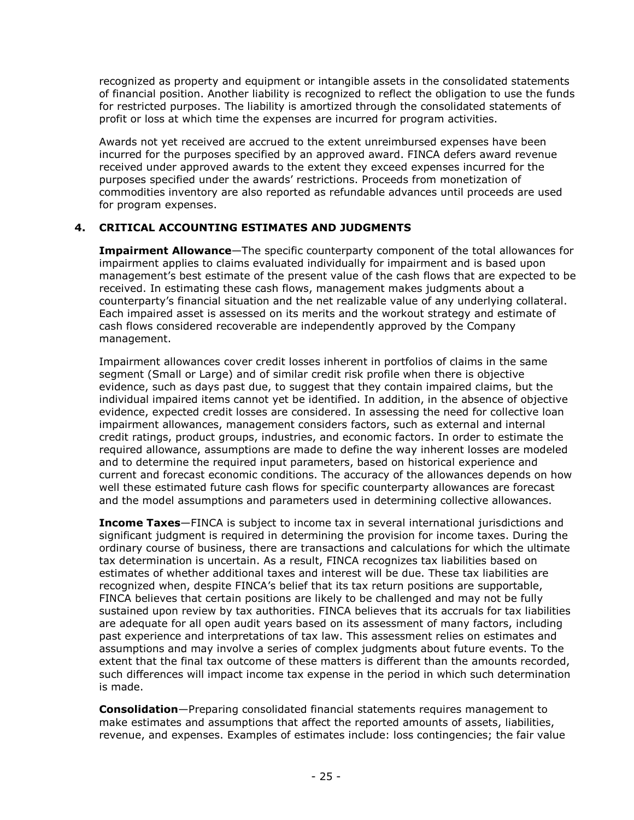recognized as property and equipment or intangible assets in the consolidated statements of financial position. Another liability is recognized to reflect the obligation to use the funds for restricted purposes. The liability is amortized through the consolidated statements of profit or loss at which time the expenses are incurred for program activities.

Awards not yet received are accrued to the extent unreimbursed expenses have been incurred for the purposes specified by an approved award. FINCA defers award revenue received under approved awards to the extent they exceed expenses incurred for the purposes specified under the awards' restrictions. Proceeds from monetization of commodities inventory are also reported as refundable advances until proceeds are used for program expenses.

## **4. CRITICAL ACCOUNTING ESTIMATES AND JUDGMENTS**

**Impairment Allowance**—The specific counterparty component of the total allowances for impairment applies to claims evaluated individually for impairment and is based upon management's best estimate of the present value of the cash flows that are expected to be received. In estimating these cash flows, management makes judgments about a counterparty's financial situation and the net realizable value of any underlying collateral. Each impaired asset is assessed on its merits and the workout strategy and estimate of cash flows considered recoverable are independently approved by the Company management.

Impairment allowances cover credit losses inherent in portfolios of claims in the same segment (Small or Large) and of similar credit risk profile when there is objective evidence, such as days past due, to suggest that they contain impaired claims, but the individual impaired items cannot yet be identified. In addition, in the absence of objective evidence, expected credit losses are considered. In assessing the need for collective loan impairment allowances, management considers factors, such as external and internal credit ratings, product groups, industries, and economic factors. In order to estimate the required allowance, assumptions are made to define the way inherent losses are modeled and to determine the required input parameters, based on historical experience and current and forecast economic conditions. The accuracy of the allowances depends on how well these estimated future cash flows for specific counterparty allowances are forecast and the model assumptions and parameters used in determining collective allowances.

**Income Taxes**—FINCA is subject to income tax in several international jurisdictions and significant judgment is required in determining the provision for income taxes. During the ordinary course of business, there are transactions and calculations for which the ultimate tax determination is uncertain. As a result, FINCA recognizes tax liabilities based on estimates of whether additional taxes and interest will be due. These tax liabilities are recognized when, despite FINCA's belief that its tax return positions are supportable, FINCA believes that certain positions are likely to be challenged and may not be fully sustained upon review by tax authorities. FINCA believes that its accruals for tax liabilities are adequate for all open audit years based on its assessment of many factors, including past experience and interpretations of tax law. This assessment relies on estimates and assumptions and may involve a series of complex judgments about future events. To the extent that the final tax outcome of these matters is different than the amounts recorded, such differences will impact income tax expense in the period in which such determination is made.

**Consolidation**—Preparing consolidated financial statements requires management to make estimates and assumptions that affect the reported amounts of assets, liabilities, revenue, and expenses. Examples of estimates include: loss contingencies; the fair value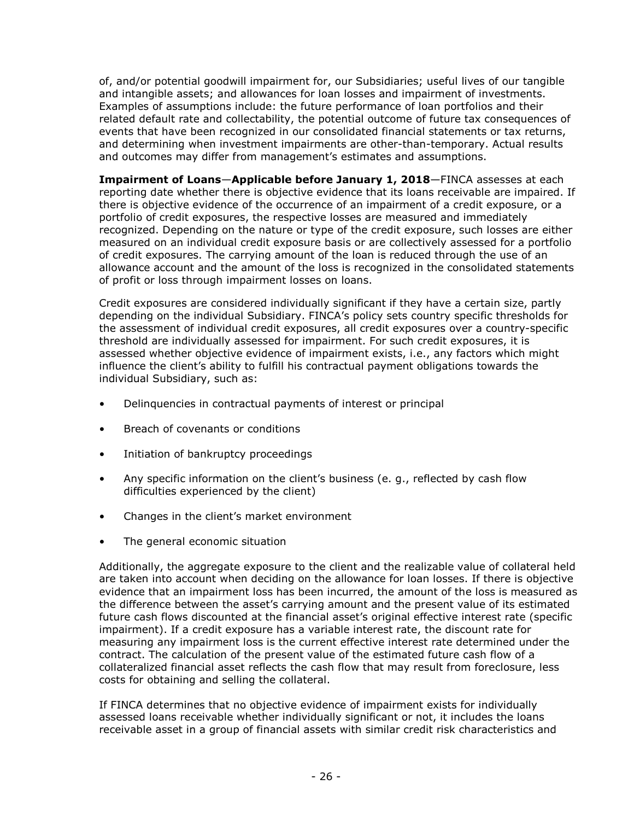of, and/or potential goodwill impairment for, our Subsidiaries; useful lives of our tangible and intangible assets; and allowances for loan losses and impairment of investments. Examples of assumptions include: the future performance of loan portfolios and their related default rate and collectability, the potential outcome of future tax consequences of events that have been recognized in our consolidated financial statements or tax returns, and determining when investment impairments are other-than-temporary. Actual results and outcomes may differ from management's estimates and assumptions.

**Impairment of Loans**—**Applicable before January 1, 2018**—FINCA assesses at each reporting date whether there is objective evidence that its loans receivable are impaired. If there is objective evidence of the occurrence of an impairment of a credit exposure, or a portfolio of credit exposures, the respective losses are measured and immediately recognized. Depending on the nature or type of the credit exposure, such losses are either measured on an individual credit exposure basis or are collectively assessed for a portfolio of credit exposures. The carrying amount of the loan is reduced through the use of an allowance account and the amount of the loss is recognized in the consolidated statements of profit or loss through impairment losses on loans.

Credit exposures are considered individually significant if they have a certain size, partly depending on the individual Subsidiary. FINCA's policy sets country specific thresholds for the assessment of individual credit exposures, all credit exposures over a country-specific threshold are individually assessed for impairment. For such credit exposures, it is assessed whether objective evidence of impairment exists, i.e., any factors which might influence the client's ability to fulfill his contractual payment obligations towards the individual Subsidiary, such as:

- Delinquencies in contractual payments of interest or principal
- Breach of covenants or conditions
- Initiation of bankruptcy proceedings
- Any specific information on the client's business (e. g., reflected by cash flow difficulties experienced by the client)
- Changes in the client's market environment
- The general economic situation

Additionally, the aggregate exposure to the client and the realizable value of collateral held are taken into account when deciding on the allowance for loan losses. If there is objective evidence that an impairment loss has been incurred, the amount of the loss is measured as the difference between the asset's carrying amount and the present value of its estimated future cash flows discounted at the financial asset's original effective interest rate (specific impairment). If a credit exposure has a variable interest rate, the discount rate for measuring any impairment loss is the current effective interest rate determined under the contract. The calculation of the present value of the estimated future cash flow of a collateralized financial asset reflects the cash flow that may result from foreclosure, less costs for obtaining and selling the collateral.

If FINCA determines that no objective evidence of impairment exists for individually assessed loans receivable whether individually significant or not, it includes the loans receivable asset in a group of financial assets with similar credit risk characteristics and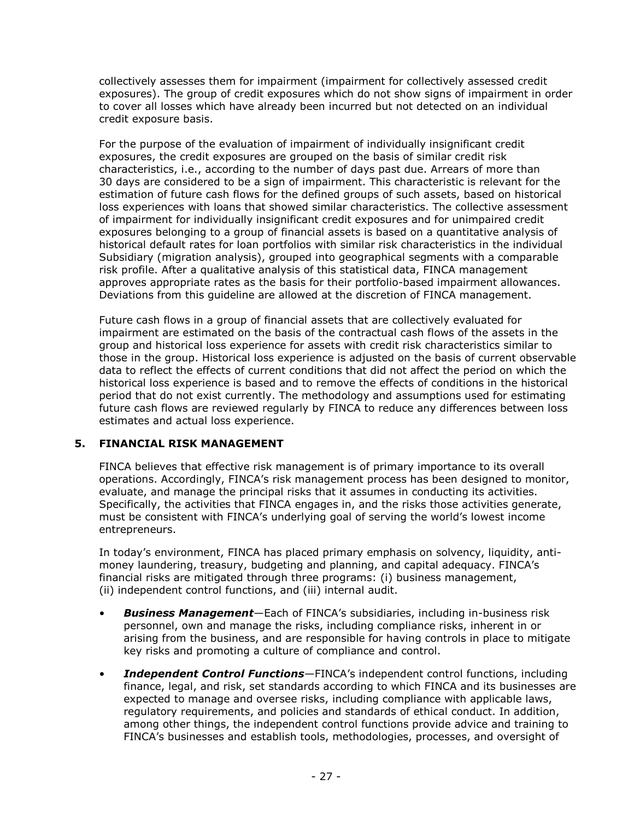collectively assesses them for impairment (impairment for collectively assessed credit exposures). The group of credit exposures which do not show signs of impairment in order to cover all losses which have already been incurred but not detected on an individual credit exposure basis.

For the purpose of the evaluation of impairment of individually insignificant credit exposures, the credit exposures are grouped on the basis of similar credit risk characteristics, i.e., according to the number of days past due. Arrears of more than 30 days are considered to be a sign of impairment. This characteristic is relevant for the estimation of future cash flows for the defined groups of such assets, based on historical loss experiences with loans that showed similar characteristics. The collective assessment of impairment for individually insignificant credit exposures and for unimpaired credit exposures belonging to a group of financial assets is based on a quantitative analysis of historical default rates for loan portfolios with similar risk characteristics in the individual Subsidiary (migration analysis), grouped into geographical segments with a comparable risk profile. After a qualitative analysis of this statistical data, FINCA management approves appropriate rates as the basis for their portfolio-based impairment allowances. Deviations from this guideline are allowed at the discretion of FINCA management.

Future cash flows in a group of financial assets that are collectively evaluated for impairment are estimated on the basis of the contractual cash flows of the assets in the group and historical loss experience for assets with credit risk characteristics similar to those in the group. Historical loss experience is adjusted on the basis of current observable data to reflect the effects of current conditions that did not affect the period on which the historical loss experience is based and to remove the effects of conditions in the historical period that do not exist currently. The methodology and assumptions used for estimating future cash flows are reviewed regularly by FINCA to reduce any differences between loss estimates and actual loss experience.

## **5. FINANCIAL RISK MANAGEMENT**

FINCA believes that effective risk management is of primary importance to its overall operations. Accordingly, FINCA's risk management process has been designed to monitor, evaluate, and manage the principal risks that it assumes in conducting its activities. Specifically, the activities that FINCA engages in, and the risks those activities generate, must be consistent with FINCA's underlying goal of serving the world's lowest income entrepreneurs.

In today's environment, FINCA has placed primary emphasis on solvency, liquidity, antimoney laundering, treasury, budgeting and planning, and capital adequacy. FINCA's financial risks are mitigated through three programs: (i) business management, (ii) independent control functions, and (iii) internal audit.

- *Business Management*—Each of FINCA's subsidiaries, including in-business risk personnel, own and manage the risks, including compliance risks, inherent in or arising from the business, and are responsible for having controls in place to mitigate key risks and promoting a culture of compliance and control.
- *Independent Control Functions*—FINCA's independent control functions, including finance, legal, and risk, set standards according to which FINCA and its businesses are expected to manage and oversee risks, including compliance with applicable laws, regulatory requirements, and policies and standards of ethical conduct. In addition, among other things, the independent control functions provide advice and training to FINCA's businesses and establish tools, methodologies, processes, and oversight of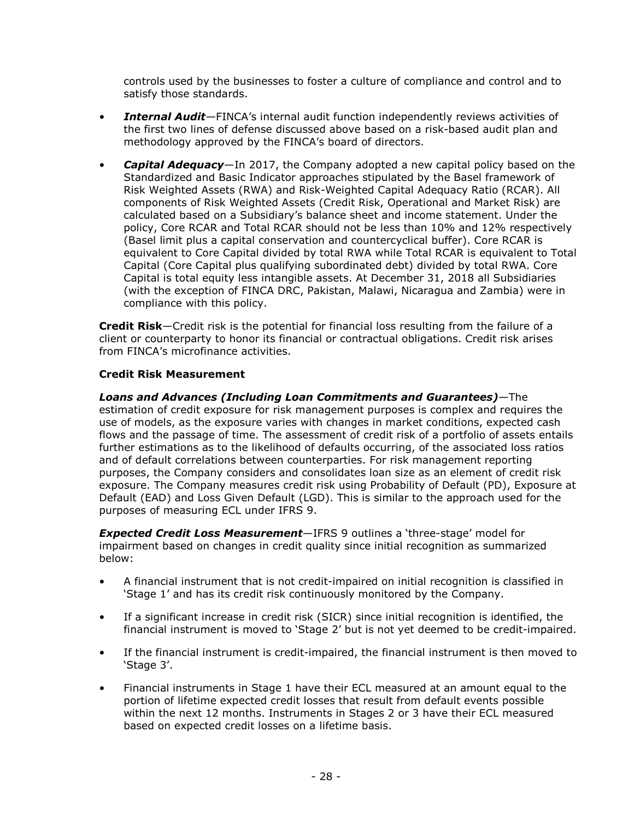controls used by the businesses to foster a culture of compliance and control and to satisfy those standards.

- *Internal Audit*—FINCA's internal audit function independently reviews activities of the first two lines of defense discussed above based on a risk-based audit plan and methodology approved by the FINCA's board of directors.
- *Capital Adequacy*—In 2017, the Company adopted a new capital policy based on the Standardized and Basic Indicator approaches stipulated by the Basel framework of Risk Weighted Assets (RWA) and Risk-Weighted Capital Adequacy Ratio (RCAR). All components of Risk Weighted Assets (Credit Risk, Operational and Market Risk) are calculated based on a Subsidiary's balance sheet and income statement. Under the policy, Core RCAR and Total RCAR should not be less than 10% and 12% respectively (Basel limit plus a capital conservation and countercyclical buffer). Core RCAR is equivalent to Core Capital divided by total RWA while Total RCAR is equivalent to Total Capital (Core Capital plus qualifying subordinated debt) divided by total RWA. Core Capital is total equity less intangible assets. At December 31, 2018 all Subsidiaries (with the exception of FINCA DRC, Pakistan, Malawi, Nicaragua and Zambia) were in compliance with this policy.

**Credit Risk**—Credit risk is the potential for financial loss resulting from the failure of a client or counterparty to honor its financial or contractual obligations. Credit risk arises from FINCA's microfinance activities.

### **Credit Risk Measurement**

*Loans and Advances (Including Loan Commitments and Guarantees)*—The estimation of credit exposure for risk management purposes is complex and requires the use of models, as the exposure varies with changes in market conditions, expected cash flows and the passage of time. The assessment of credit risk of a portfolio of assets entails further estimations as to the likelihood of defaults occurring, of the associated loss ratios and of default correlations between counterparties. For risk management reporting purposes, the Company considers and consolidates loan size as an element of credit risk exposure. The Company measures credit risk using Probability of Default (PD), Exposure at Default (EAD) and Loss Given Default (LGD). This is similar to the approach used for the purposes of measuring ECL under IFRS 9.

*Expected Credit Loss Measurement*—IFRS 9 outlines a 'three-stage' model for impairment based on changes in credit quality since initial recognition as summarized below:

- A financial instrument that is not credit-impaired on initial recognition is classified in 'Stage 1' and has its credit risk continuously monitored by the Company.
- If a significant increase in credit risk (SICR) since initial recognition is identified, the financial instrument is moved to 'Stage 2' but is not yet deemed to be credit-impaired.
- If the financial instrument is credit-impaired, the financial instrument is then moved to 'Stage 3'.
- Financial instruments in Stage 1 have their ECL measured at an amount equal to the portion of lifetime expected credit losses that result from default events possible within the next 12 months. Instruments in Stages 2 or 3 have their ECL measured based on expected credit losses on a lifetime basis.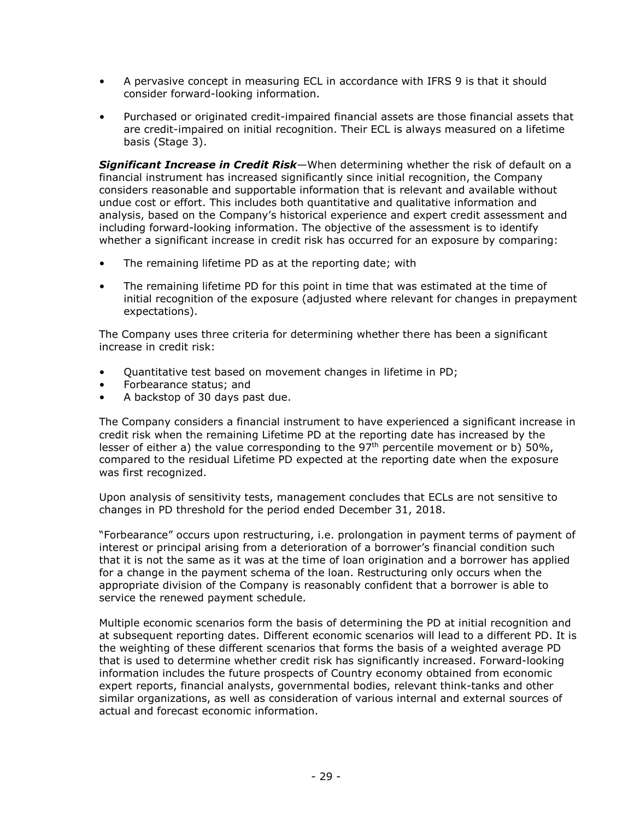- A pervasive concept in measuring ECL in accordance with IFRS 9 is that it should consider forward-looking information.
- Purchased or originated credit-impaired financial assets are those financial assets that are credit-impaired on initial recognition. Their ECL is always measured on a lifetime basis (Stage 3).

*Significant Increase in Credit Risk*—When determining whether the risk of default on a financial instrument has increased significantly since initial recognition, the Company considers reasonable and supportable information that is relevant and available without undue cost or effort. This includes both quantitative and qualitative information and analysis, based on the Company's historical experience and expert credit assessment and including forward-looking information. The objective of the assessment is to identify whether a significant increase in credit risk has occurred for an exposure by comparing:

- The remaining lifetime PD as at the reporting date; with
- The remaining lifetime PD for this point in time that was estimated at the time of initial recognition of the exposure (adjusted where relevant for changes in prepayment expectations).

The Company uses three criteria for determining whether there has been a significant increase in credit risk:

- Quantitative test based on movement changes in lifetime in PD;
- Forbearance status; and
- A backstop of 30 days past due.

The Company considers a financial instrument to have experienced a significant increase in credit risk when the remaining Lifetime PD at the reporting date has increased by the lesser of either a) the value corresponding to the  $97<sup>th</sup>$  percentile movement or b) 50%, compared to the residual Lifetime PD expected at the reporting date when the exposure was first recognized.

Upon analysis of sensitivity tests, management concludes that ECLs are not sensitive to changes in PD threshold for the period ended December 31, 2018.

"Forbearance" occurs upon restructuring, i.e. prolongation in payment terms of payment of interest or principal arising from a deterioration of a borrower's financial condition such that it is not the same as it was at the time of loan origination and a borrower has applied for a change in the payment schema of the loan. Restructuring only occurs when the appropriate division of the Company is reasonably confident that a borrower is able to service the renewed payment schedule.

Multiple economic scenarios form the basis of determining the PD at initial recognition and at subsequent reporting dates. Different economic scenarios will lead to a different PD. It is the weighting of these different scenarios that forms the basis of a weighted average PD that is used to determine whether credit risk has significantly increased. Forward-looking information includes the future prospects of Country economy obtained from economic expert reports, financial analysts, governmental bodies, relevant think-tanks and other similar organizations, as well as consideration of various internal and external sources of actual and forecast economic information.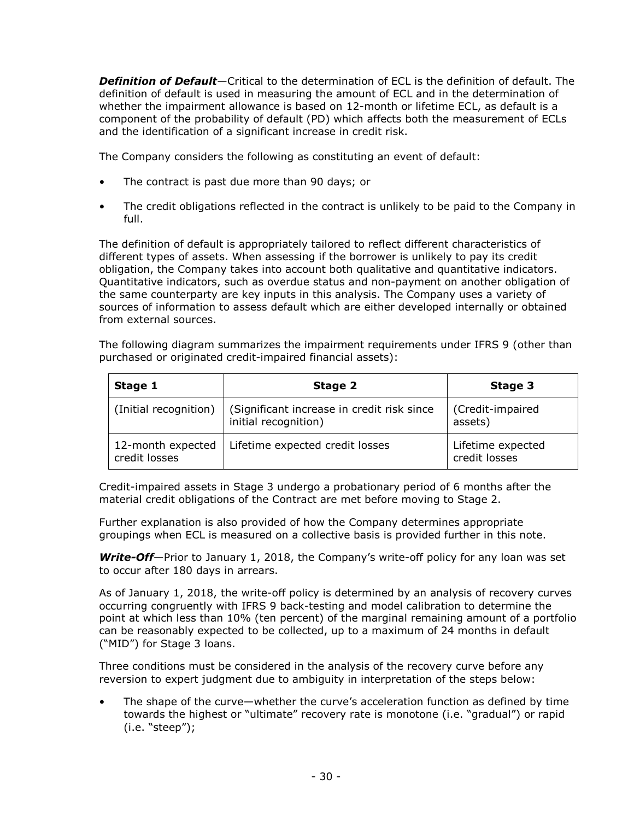*Definition of Default*—Critical to the determination of ECL is the definition of default. The definition of default is used in measuring the amount of ECL and in the determination of whether the impairment allowance is based on 12-month or lifetime ECL, as default is a component of the probability of default (PD) which affects both the measurement of ECLs and the identification of a significant increase in credit risk.

The Company considers the following as constituting an event of default:

- The contract is past due more than 90 days; or
- The credit obligations reflected in the contract is unlikely to be paid to the Company in full.

The definition of default is appropriately tailored to reflect different characteristics of different types of assets. When assessing if the borrower is unlikely to pay its credit obligation, the Company takes into account both qualitative and quantitative indicators. Quantitative indicators, such as overdue status and non-payment on another obligation of the same counterparty are key inputs in this analysis. The Company uses a variety of sources of information to assess default which are either developed internally or obtained from external sources.

The following diagram summarizes the impairment requirements under IFRS 9 (other than purchased or originated credit-impaired financial assets):

| Stage 1<br>Stage 2                 |                                                                    | Stage 3                            |  |
|------------------------------------|--------------------------------------------------------------------|------------------------------------|--|
| (Initial recognition)              | (Significant increase in credit risk since<br>initial recognition) | (Credit-impaired<br>assets)        |  |
| 12-month expected<br>credit losses | Lifetime expected credit losses                                    | Lifetime expected<br>credit losses |  |

Credit-impaired assets in Stage 3 undergo a probationary period of 6 months after the material credit obligations of the Contract are met before moving to Stage 2.

Further explanation is also provided of how the Company determines appropriate groupings when ECL is measured on a collective basis is provided further in this note.

*Write-Off*—Prior to January 1, 2018, the Company's write-off policy for any loan was set to occur after 180 days in arrears.

As of January 1, 2018, the write-off policy is determined by an analysis of recovery curves occurring congruently with IFRS 9 back-testing and model calibration to determine the point at which less than 10% (ten percent) of the marginal remaining amount of a portfolio can be reasonably expected to be collected, up to a maximum of 24 months in default ("MID") for Stage 3 loans.

Three conditions must be considered in the analysis of the recovery curve before any reversion to expert judgment due to ambiguity in interpretation of the steps below:

• The shape of the curve—whether the curve's acceleration function as defined by time towards the highest or "ultimate" recovery rate is monotone (i.e. "gradual") or rapid (i.e. "steep");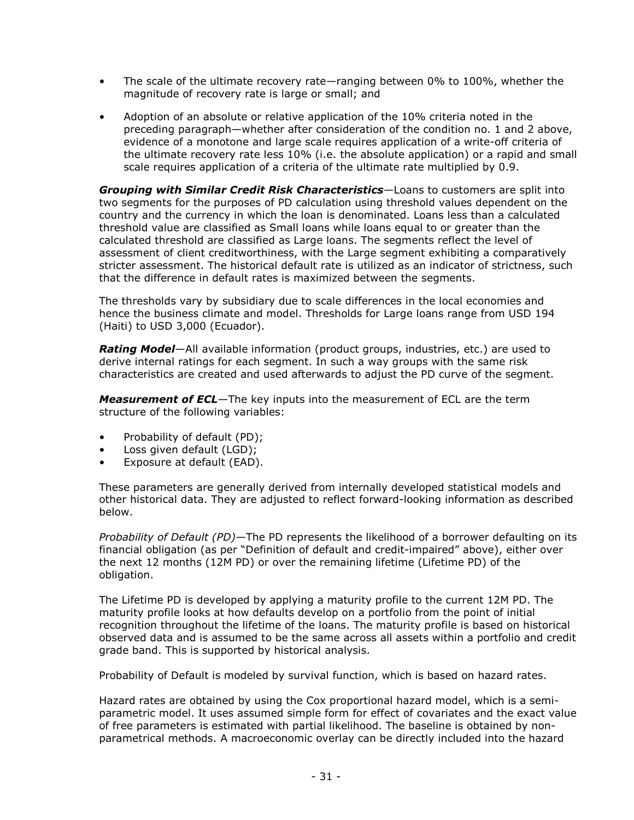- The scale of the ultimate recovery rate—ranging between 0% to 100%, whether the magnitude of recovery rate is large or small; and
- Adoption of an absolute or relative application of the 10% criteria noted in the preceding paragraph—whether after consideration of the condition no. 1 and 2 above, evidence of a monotone and large scale requires application of a write-off criteria of the ultimate recovery rate less 10% (i.e. the absolute application) or a rapid and small scale requires application of a criteria of the ultimate rate multiplied by 0.9.

*Grouping with Similar Credit Risk Characteristics*—Loans to customers are split into two segments for the purposes of PD calculation using threshold values dependent on the country and the currency in which the loan is denominated. Loans less than a calculated threshold value are classified as Small loans while loans equal to or greater than the calculated threshold are classified as Large loans. The segments reflect the level of assessment of client creditworthiness, with the Large segment exhibiting a comparatively stricter assessment. The historical default rate is utilized as an indicator of strictness, such that the difference in default rates is maximized between the segments.

The thresholds vary by subsidiary due to scale differences in the local economies and hence the business climate and model. Thresholds for Large loans range from USD 194 (Haiti) to USD 3,000 (Ecuador).

*Rating Model*—All available information (product groups, industries, etc.) are used to derive internal ratings for each segment. In such a way groups with the same risk characteristics are created and used afterwards to adjust the PD curve of the segment.

*Measurement of ECL*—The key inputs into the measurement of ECL are the term structure of the following variables:

- Probability of default (PD);
- Loss given default (LGD);
- Exposure at default (EAD).

These parameters are generally derived from internally developed statistical models and other historical data. They are adjusted to reflect forward-looking information as described below.

*Probability of Default (PD)*—The PD represents the likelihood of a borrower defaulting on its financial obligation (as per "Definition of default and credit-impaired" above), either over the next 12 months (12M PD) or over the remaining lifetime (Lifetime PD) of the obligation.

The Lifetime PD is developed by applying a maturity profile to the current 12M PD. The maturity profile looks at how defaults develop on a portfolio from the point of initial recognition throughout the lifetime of the loans. The maturity profile is based on historical observed data and is assumed to be the same across all assets within a portfolio and credit grade band. This is supported by historical analysis.

Probability of Default is modeled by survival function, which is based on hazard rates.

Hazard rates are obtained by using the Cox proportional hazard model, which is a semiparametric model. It uses assumed simple form for effect of covariates and the exact value of free parameters is estimated with partial likelihood. The baseline is obtained by nonparametrical methods. A macroeconomic overlay can be directly included into the hazard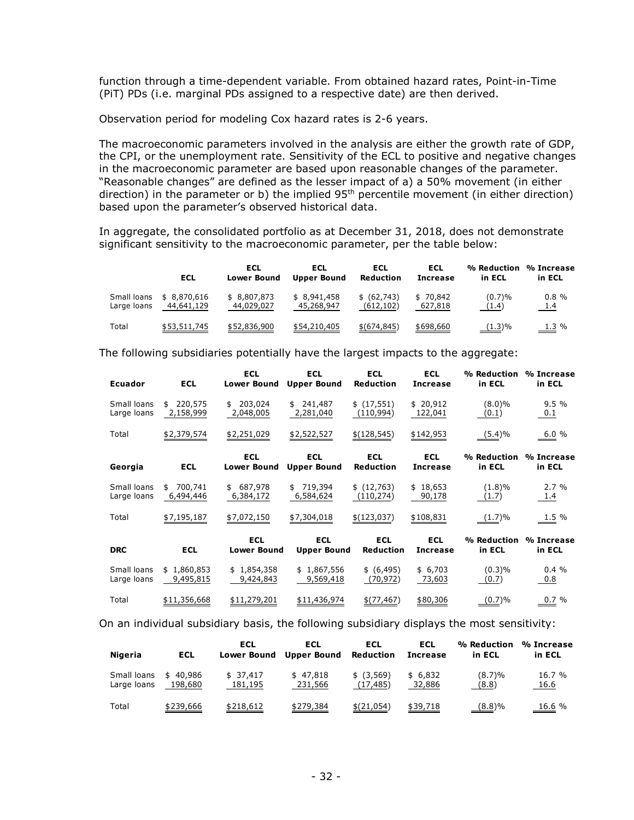function through a time-dependent variable. From obtained hazard rates, Point-in-Time (PiT) PDs (i.e. marginal PDs assigned to a respective date) are then derived.

Observation period for modeling Cox hazard rates is 2-6 years.

The macroeconomic parameters involved in the analysis are either the growth rate of GDP, the CPI, or the unemployment rate. Sensitivity of the ECL to positive and negative changes in the macroeconomic parameter are based upon reasonable changes of the parameter. "Reasonable changes" are defined as the lesser impact of a) a 50% movement (in either direction) in the parameter or b) the implied  $95<sup>th</sup>$  percentile movement (in either direction) based upon the parameter's observed historical data.

In aggregate, the consolidated portfolio as at December 31, 2018, does not demonstrate significant sensitivity to the macroeconomic parameter, per the table below:

|                            | ECL                        | ECL<br>Lower Bound        | ECL<br>Upper Bound        | ECL<br><b>Reduction</b>    | ECL<br><b>Increase</b> | % Reduction<br>in ECL | % Increase<br>in ECL |
|----------------------------|----------------------------|---------------------------|---------------------------|----------------------------|------------------------|-----------------------|----------------------|
| Small loans<br>Large loans | \$ 8,870,616<br>44,641,129 | \$8,807,873<br>44,029,027 | \$8,941,458<br>45,268,947 | \$ (62, 743)<br>(612, 102) | \$70,842<br>627,818    | (0.7)%<br>(1.4)       | 0.8%<br>1.4          |
| Total                      | \$53,511,745               | \$52,836,900              | \$54,210,405              | \$(674, 845)               | \$698,660              | $(1.3)\%$             | $1.3\%$              |

| <b>Ecuador</b>             | <b>ECL</b>                 | <b>ECL</b><br><b>Lower Bound</b> | <b>ECL</b><br><b>Upper Bound</b> | <b>ECL</b><br><b>Reduction</b> | <b>ECL</b><br><b>Increase</b> | % Reduction<br>in ECL | % Increase<br>in ECL |
|----------------------------|----------------------------|----------------------------------|----------------------------------|--------------------------------|-------------------------------|-----------------------|----------------------|
| Small loans<br>Large loans | 220,575<br>\$<br>2,158,999 | 203,024<br>\$<br>2,048,005       | 241,487<br>\$<br>2,281,040       | \$(17,551)<br>(110, 994)       | \$20,912<br>122,041           | $(8.0)\%$<br>(0.1)    | 9.5%<br>0.1          |
| Total                      | \$2,379,574                | \$2,251,029                      | \$2,522,527                      | \$(128, 545)                   | \$142,953                     | (5.4)%                | 6.0%                 |
| Georgia                    | <b>ECL</b>                 | <b>ECL</b><br><b>Lower Bound</b> | <b>ECL</b><br><b>Upper Bound</b> | <b>ECL</b><br><b>Reduction</b> | <b>ECL</b><br><b>Increase</b> | % Reduction<br>in ECL | % Increase<br>in ECL |
| Small loans<br>Large loans | 700,741<br>\$<br>6,494,446 | 687,978<br>\$<br>6,384,172       | 719,394<br>\$<br>6,584,624       | \$(12,763)<br>(110, 274)       | \$18,653<br>90,178            | (1.8)%<br>(1.7)       | 2.7%<br>1.4          |
| Total                      | \$7,195,187                | \$7,072,150                      | \$7,304,018                      | \$(123,037)                    | \$108,831                     | (1.7)%                | $\frac{1.5}{1}$ %    |
| <b>DRC</b>                 | <b>ECL</b>                 | <b>ECL</b><br><b>Lower Bound</b> | <b>ECL</b><br><b>Upper Bound</b> | <b>ECL</b><br><b>Reduction</b> | <b>ECL</b><br><b>Increase</b> | % Reduction<br>in ECL | % Increase<br>in ECL |
| Small loans<br>Large loans | \$1,860,853<br>9,495,815   | \$1,854,358<br>9,424,843         | \$1,867,556<br>9,569,418         | \$ (6,495)<br>(70, 972)        | \$6,703<br>73,603             | (0.3)%<br>(0.7)       | 0.4%<br>0.8          |
| Total                      | \$11,356,668               | \$11,279,201                     | \$11,436,974                     | \$(77, 467)                    | \$80,306                      | (0.7)%                | 0.7%                 |

The following subsidiaries potentially have the largest impacts to the aggregate:

On an individual subsidiary basis, the following subsidiary displays the most sensitivity:

| <b>Nigeria</b>             | ECL                 | ECL                 | ECL<br>Lower Bound Upper Bound | ECL<br><b>Reduction</b> | ECL<br><b>Increase</b> | % Reduction<br>in ECL | % Increase<br>in ECL |
|----------------------------|---------------------|---------------------|--------------------------------|-------------------------|------------------------|-----------------------|----------------------|
| Small loans<br>Large loans | \$40,986<br>198,680 | \$37.417<br>181,195 | \$47,818<br>231,566            | \$ (3,569)<br>(17, 485) | \$6,832<br>32,886      | (8.7)%<br>(8.8)       | 16.7%<br><u>16.6</u> |
| Total                      | \$239,666           | \$218,612           | \$279,384                      | \$(21,054)              | \$39,718               | $(8.8)\%$             | 16.6 %               |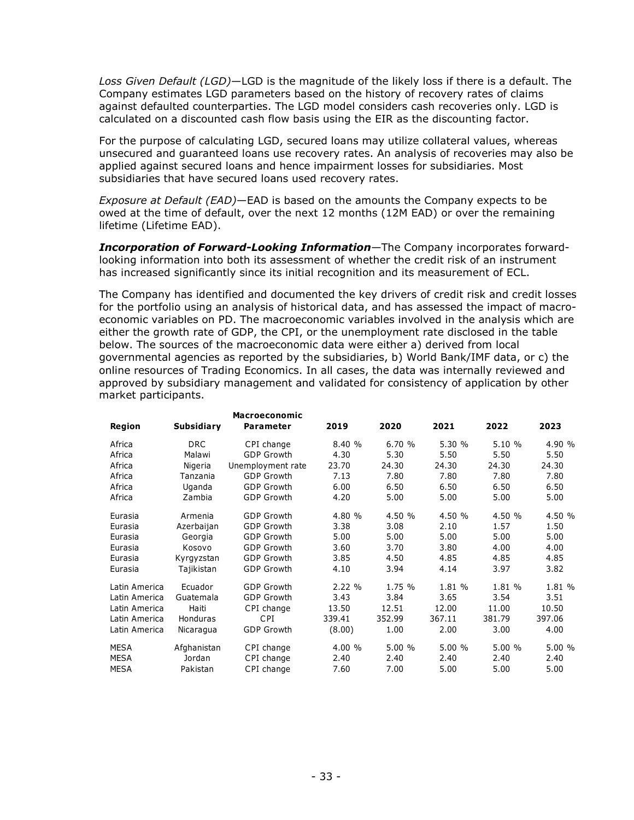*Loss Given Default (LGD)*—LGD is the magnitude of the likely loss if there is a default. The Company estimates LGD parameters based on the history of recovery rates of claims against defaulted counterparties. The LGD model considers cash recoveries only. LGD is calculated on a discounted cash flow basis using the EIR as the discounting factor.

For the purpose of calculating LGD, secured loans may utilize collateral values, whereas unsecured and guaranteed loans use recovery rates. An analysis of recoveries may also be applied against secured loans and hence impairment losses for subsidiaries. Most subsidiaries that have secured loans used recovery rates.

*Exposure at Default (EAD)*—EAD is based on the amounts the Company expects to be owed at the time of default, over the next 12 months (12M EAD) or over the remaining lifetime (Lifetime EAD).

*Incorporation of Forward-Looking Information*—The Company incorporates forwardlooking information into both its assessment of whether the credit risk of an instrument has increased significantly since its initial recognition and its measurement of ECL.

The Company has identified and documented the key drivers of credit risk and credit losses for the portfolio using an analysis of historical data, and has assessed the impact of macroeconomic variables on PD. The macroeconomic variables involved in the analysis which are either the growth rate of GDP, the CPI, or the unemployment rate disclosed in the table below. The sources of the macroeconomic data were either a) derived from local governmental agencies as reported by the subsidiaries, b) World Bank/IMF data, or c) the online resources of Trading Economics. In all cases, the data was internally reviewed and approved by subsidiary management and validated for consistency of application by other market participants.

|               |                   | Macroeconomic     |        |        |        |        |        |
|---------------|-------------------|-------------------|--------|--------|--------|--------|--------|
| Region        | <b>Subsidiary</b> | <b>Parameter</b>  | 2019   | 2020   | 2021   | 2022   | 2023   |
| Africa        | <b>DRC</b>        | CPI change        | 8.40%  | 6.70%  | 5.30 % | 5.10%  | 4.90 % |
| Africa        | Malawi            | <b>GDP Growth</b> | 4.30   | 5.30   | 5.50   | 5.50   | 5.50   |
| Africa        | Nigeria           | Unemployment rate | 23.70  | 24.30  | 24.30  | 24.30  | 24.30  |
| Africa        | Tanzania          | <b>GDP Growth</b> | 7.13   | 7.80   | 7.80   | 7.80   | 7.80   |
| Africa        | Uganda            | <b>GDP Growth</b> | 6.00   | 6.50   | 6.50   | 6.50   | 6.50   |
| Africa        | Zambia            | <b>GDP Growth</b> | 4.20   | 5.00   | 5.00   | 5.00   | 5.00   |
| Eurasia       | Armenia           | <b>GDP Growth</b> | 4.80 % | 4.50 % | 4.50 % | 4.50 % | 4.50 % |
| Eurasia       | Azerbaijan        | <b>GDP Growth</b> | 3.38   | 3.08   | 2.10   | 1.57   | 1.50   |
| Eurasia       | Georgia           | <b>GDP Growth</b> | 5.00   | 5.00   | 5.00   | 5.00   | 5.00   |
| Eurasia       | Kosovo            | <b>GDP Growth</b> | 3.60   | 3.70   | 3.80   | 4.00   | 4.00   |
| Eurasia       | Kyrgyzstan        | <b>GDP Growth</b> | 3.85   | 4.50   | 4.85   | 4.85   | 4.85   |
| Eurasia       | Tajikistan        | <b>GDP Growth</b> | 4.10   | 3.94   | 4.14   | 3.97   | 3.82   |
| Latin America | Ecuador           | <b>GDP Growth</b> | 2.22%  | 1.75 % | 1.81 % | 1.81 % | 1.81 % |
| Latin America | Guatemala         | <b>GDP Growth</b> | 3.43   | 3.84   | 3.65   | 3.54   | 3.51   |
| Latin America | Haiti             | CPI change        | 13.50  | 12.51  | 12.00  | 11.00  | 10.50  |
| Latin America | <b>Honduras</b>   | <b>CPI</b>        | 339.41 | 352.99 | 367.11 | 381.79 | 397.06 |
| Latin America | Nicaragua         | <b>GDP Growth</b> | (8.00) | 1.00   | 2.00   | 3.00   | 4.00   |
| <b>MESA</b>   | Afghanistan       | CPI change        | 4.00 % | 5.00%  | 5.00%  | 5.00%  | 5.00%  |
| <b>MESA</b>   | Jordan            | CPI change        | 2.40   | 2.40   | 2.40   | 2.40   | 2.40   |
| <b>MESA</b>   | Pakistan          | CPI change        | 7.60   | 7.00   | 5.00   | 5.00   | 5.00   |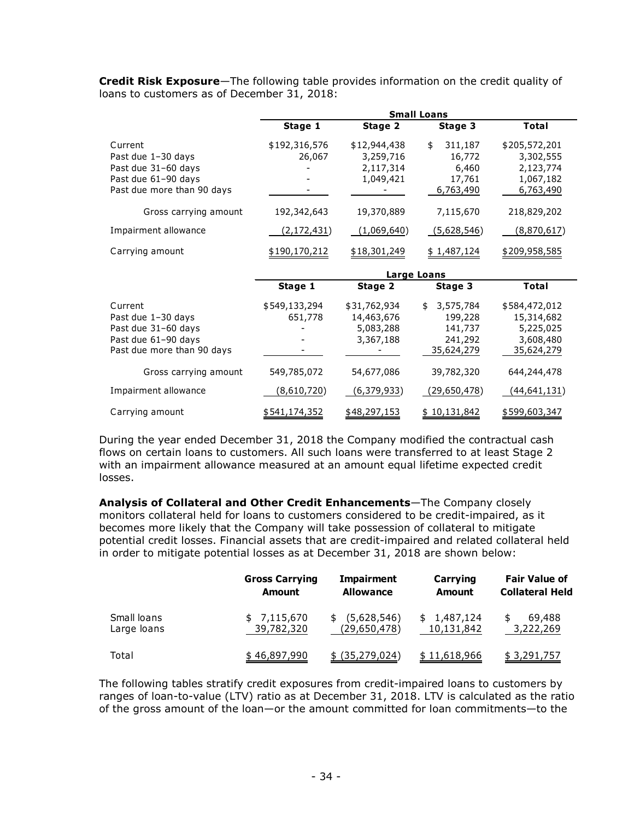**Credit Risk Exposure**—The following table provides information on the credit quality of loans to customers as of December 31, 2018:

|                            | <b>Small Loans</b> |              |                    |                      |  |  |
|----------------------------|--------------------|--------------|--------------------|----------------------|--|--|
|                            | Stage 1            | Stage 2      | Stage 3            | <b>Total</b>         |  |  |
| Current                    | \$192,316,576      | \$12,944,438 | \$<br>311,187      | \$205,572,201        |  |  |
| Past due 1-30 days         | 26,067             | 3,259,716    | 16,772             | 3,302,555            |  |  |
| Past due 31-60 days        |                    | 2,117,314    | 6,460              | 2,123,774            |  |  |
| Past due 61-90 days        |                    | 1,049,421    | 17,761             | 1,067,182            |  |  |
| Past due more than 90 days |                    |              | 6,763,490          | 6,763,490            |  |  |
| Gross carrying amount      | 192,342,643        | 19,370,889   | 7,115,670          | 218,829,202          |  |  |
| Impairment allowance       | (2,172,431)        | (1,069,640)  | (5,628,546)        | (8,870,617)          |  |  |
| Carrying amount            | \$190,170,212      | \$18,301,249 | <u>\$1,487,124</u> | <u>\$209,958,585</u> |  |  |
|                            | <b>Large Loans</b> |              |                    |                      |  |  |
|                            | Stage 1            | Stage 2      | Stage 3            | <b>Total</b>         |  |  |
| Current                    | \$549,133,294      | \$31,762,934 | \$<br>3,575,784    | \$584,472,012        |  |  |
| Past due 1-30 days         | 651,778            | 14,463,676   | 199,228            | 15,314,682           |  |  |
| Past due 31-60 days        |                    | 5,083,288    | 141,737            | 5,225,025            |  |  |
| Past due 61-90 days        |                    | 3,367,188    | 241,292            | 3,608,480            |  |  |
| Past due more than 90 days |                    |              | <u>35,624,279</u>  | <u>35,624,279</u>    |  |  |
| Gross carrying amount      | 549,785,072        | 54,677,086   | 39,782,320         | 644,244,478          |  |  |
| Impairment allowance       | (8,610,720)        | (6,379,933)  | (29,650,478)       | (44, 641, 131)       |  |  |
| Carrying amount            | \$541,174,352      | \$48,297,153 | \$10,131,842       | \$599,603,347        |  |  |

During the year ended December 31, 2018 the Company modified the contractual cash flows on certain loans to customers. All such loans were transferred to at least Stage 2 with an impairment allowance measured at an amount equal lifetime expected credit losses.

**Analysis of Collateral and Other Credit Enhancements**—The Company closely monitors collateral held for loans to customers considered to be credit-impaired, as it becomes more likely that the Company will take possession of collateral to mitigate potential credit losses. Financial assets that are credit-impaired and related collateral held in order to mitigate potential losses as at December 31, 2018 are shown below:

|             | <b>Gross Carrying</b> | Impairment       | Carrying     | <b>Fair Value of</b>   |
|-------------|-----------------------|------------------|--------------|------------------------|
|             | <b>Amount</b>         | <b>Allowance</b> | Amount       | <b>Collateral Held</b> |
| Small loans | \$7,115,670           | (5,628,546)      | 1,487,124    | 69,488                 |
| Large loans | 39,782,320            | (29,650,478)     | 10,131,842   | 3,222,269              |
| Total       | \$46,897,990          | (35, 279, 024)   | \$11,618,966 | \$3,291,757            |

The following tables stratify credit exposures from credit-impaired loans to customers by ranges of loan-to-value (LTV) ratio as at December 31, 2018. LTV is calculated as the ratio of the gross amount of the loan—or the amount committed for loan commitments—to the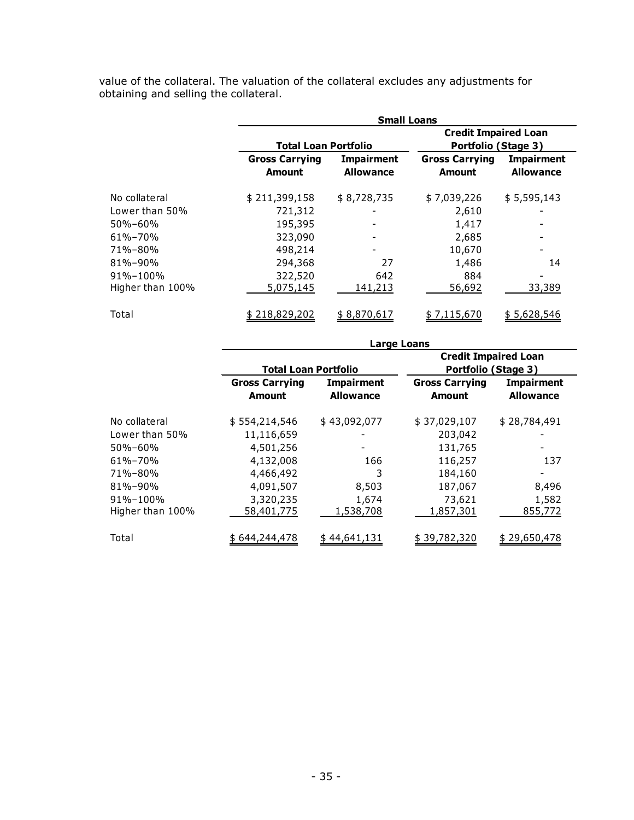value of the collateral. The valuation of the collateral excludes any adjustments for obtaining and selling the collateral.

|                  |                                        | <b>Small Loans</b>                    |                                                    |                                       |  |
|------------------|----------------------------------------|---------------------------------------|----------------------------------------------------|---------------------------------------|--|
|                  | <b>Total Loan Portfolio</b>            |                                       | <b>Credit Impaired Loan</b><br>Portfolio (Stage 3) |                                       |  |
|                  | <b>Gross Carrying</b><br><b>Amount</b> | <b>Impairment</b><br><b>Allowance</b> | <b>Gross Carrying</b><br><b>Amount</b>             | <b>Impairment</b><br><b>Allowance</b> |  |
| No collateral    | \$211,399,158                          | \$8,728,735                           | \$7,039,226                                        | \$5,595,143                           |  |
| Lower than 50%   | 721,312                                |                                       | 2,610                                              |                                       |  |
| 50%-60%          | 195,395                                |                                       | 1,417                                              |                                       |  |
| 61%-70%          | 323,090                                |                                       | 2,685                                              |                                       |  |
| 71%-80%          | 498,214                                |                                       | 10,670                                             |                                       |  |
| $81\% - 90\%$    | 294,368                                | 27                                    | 1,486                                              | 14                                    |  |
| 91%-100%         | 322,520                                | 642                                   | 884                                                |                                       |  |
| Higher than 100% | 5,075,145                              | 141,213                               | 56,692                                             | 33,389                                |  |
| Total            | \$218,829,202                          | \$8,870,617                           | \$7,115,670                                        | \$5,628,546                           |  |

|                  |                                        | <b>Large Loans</b>                    |                                                    |                                       |  |  |  |  |
|------------------|----------------------------------------|---------------------------------------|----------------------------------------------------|---------------------------------------|--|--|--|--|
|                  | <b>Total Loan Portfolio</b>            |                                       | <b>Credit Impaired Loan</b><br>Portfolio (Stage 3) |                                       |  |  |  |  |
|                  | <b>Gross Carrying</b><br><b>Amount</b> | <b>Impairment</b><br><b>Allowance</b> | <b>Gross Carrying</b><br><b>Amount</b>             | <b>Impairment</b><br><b>Allowance</b> |  |  |  |  |
| No collateral    | \$554,214,546                          | \$43,092,077                          | \$37,029,107                                       | \$28,784,491                          |  |  |  |  |
| Lower than 50%   | 11,116,659                             |                                       | 203,042                                            |                                       |  |  |  |  |
| 50%-60%          | 4,501,256                              |                                       | 131,765                                            |                                       |  |  |  |  |
| $61\% - 70\%$    | 4,132,008                              | 166                                   | 116,257                                            | 137                                   |  |  |  |  |
| 71%-80%          | 4,466,492                              | 3                                     | 184,160                                            |                                       |  |  |  |  |
| $81\% - 90\%$    | 4,091,507                              | 8,503                                 | 187,067                                            | 8,496                                 |  |  |  |  |
| 91%-100%         | 3,320,235                              | 1,674                                 | 73,621                                             | 1,582                                 |  |  |  |  |
| Higher than 100% | 58,401,775                             | 1,538,708                             | 1,857,301                                          | 855,772                               |  |  |  |  |
| Total            | 644,244,478                            | 44,641,131                            | \$39,782,320                                       | \$29,650,478                          |  |  |  |  |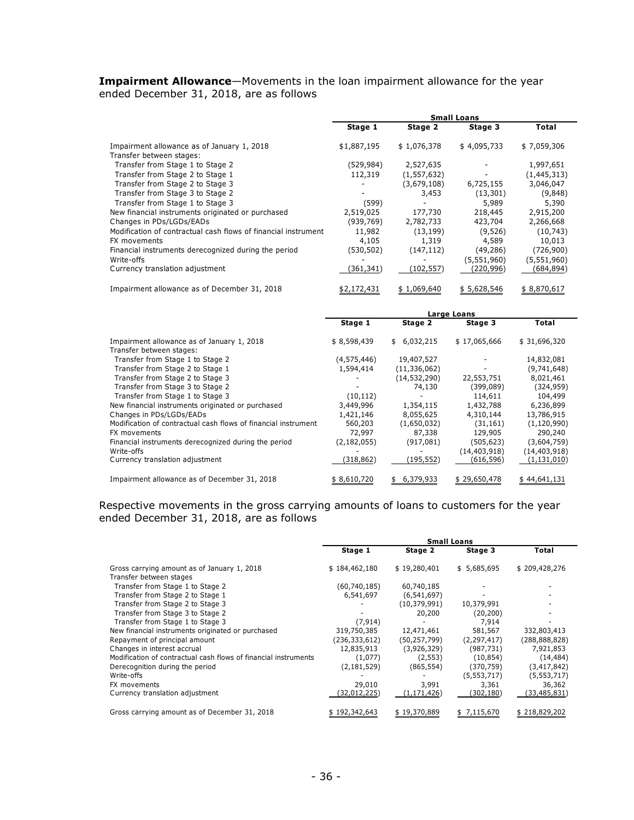**Impairment Allowance**—Movements in the loan impairment allowance for the year ended December 31, 2018, are as follows

|                                                                | <b>Small Loans</b> |               |             |               |  |
|----------------------------------------------------------------|--------------------|---------------|-------------|---------------|--|
|                                                                | Stage 1            | Stage 2       | Stage 3     | Total         |  |
| Impairment allowance as of January 1, 2018                     | \$1,887,195        | \$1,076,378   | \$4,095,733 | \$7,059,306   |  |
| Transfer between stages:                                       |                    |               |             |               |  |
| Transfer from Stage 1 to Stage 2                               | (529, 984)         | 2,527,635     |             | 1,997,651     |  |
| Transfer from Stage 2 to Stage 1                               | 112,319            | (1, 557, 632) | ٠           | (1, 445, 313) |  |
| Transfer from Stage 2 to Stage 3                               |                    | (3,679,108)   | 6,725,155   | 3,046,047     |  |
| Transfer from Stage 3 to Stage 2                               |                    | 3,453         | (13, 301)   | (9,848)       |  |
| Transfer from Stage 1 to Stage 3                               | (599)              |               | 5,989       | 5,390         |  |
| New financial instruments originated or purchased              | 2,519,025          | 177,730       | 218,445     | 2,915,200     |  |
| Changes in PDs/LGDs/EADs                                       | (939,769)          | 2,782,733     | 423,704     | 2,266,668     |  |
| Modification of contractual cash flows of financial instrument | 11,982             | (13, 199)     | (9,526)     | (10, 743)     |  |
| <b>FX</b> movements                                            | 4,105              | 1,319         | 4,589       | 10,013        |  |
| Financial instruments derecognized during the period           | (530, 502)         | (147, 112)    | (49,286)    | (726,900)     |  |
| Write-offs                                                     |                    |               | (5,551,960) | (5,551,960)   |  |
| Currency translation adjustment                                | (361,341)          | (102, 557)    | (220,996)   | (684,894)     |  |
| Impairment allowance as of December 31, 2018                   | \$2,172,431        | \$1,069,640   | \$5,628,546 | \$8,870,617   |  |

|                                                                | Large Loans   |                |                |                |  |  |
|----------------------------------------------------------------|---------------|----------------|----------------|----------------|--|--|
|                                                                | Stage 1       | Stage 2        | Stage 3        | Total          |  |  |
| Impairment allowance as of January 1, 2018                     | \$8,598,439   | \$6,032,215    | \$17,065,666   | \$31,696,320   |  |  |
| Transfer between stages:                                       |               |                |                |                |  |  |
| Transfer from Stage 1 to Stage 2                               | (4, 575, 446) | 19,407,527     |                | 14,832,081     |  |  |
| Transfer from Stage 2 to Stage 1                               | 1,594,414     | (11, 336, 062) |                | (9,741,648)    |  |  |
| Transfer from Stage 2 to Stage 3                               |               | (14, 532, 290) | 22,553,751     | 8,021,461      |  |  |
| Transfer from Stage 3 to Stage 2                               |               | 74,130         | (399,089)      | (324, 959)     |  |  |
| Transfer from Stage 1 to Stage 3                               | (10, 112)     |                | 114,611        | 104,499        |  |  |
| New financial instruments originated or purchased              | 3,449,996     | 1,354,115      | 1,432,788      | 6,236,899      |  |  |
| Changes in PDs/LGDs/EADs                                       | 1,421,146     | 8,055,625      | 4,310,144      | 13,786,915     |  |  |
| Modification of contractual cash flows of financial instrument | 560,203       | (1,650,032)    | (31, 161)      | (1, 120, 990)  |  |  |
| FX movements                                                   | 72,997        | 87,338         | 129,905        | 290,240        |  |  |
| Financial instruments derecognized during the period           | (2, 182, 055) | (917,081)      | (505,623)      | (3,604,759)    |  |  |
| Write-offs                                                     |               |                | (14, 403, 918) | (14, 403, 918) |  |  |
| Currency translation adjustment                                | (318,862)     | (195,552)      | (616,596)      | (1, 131, 010)  |  |  |
| Impairment allowance as of December 31, 2018                   | \$ 8,610,720  | 6,379,933      | \$29,650,478   | \$44,641,131   |  |  |

# Respective movements in the gross carrying amounts of loans to customers for the year ended December 31, 2018, are as follows

|                                                                 | <b>Small Loans</b> |                |               |                 |  |
|-----------------------------------------------------------------|--------------------|----------------|---------------|-----------------|--|
|                                                                 | Stage 1            | Stage 2        | Stage 3       | Total           |  |
| Gross carrying amount as of January 1, 2018                     | \$184,462,180      | \$19,280,401   | \$5,685,695   | \$209,428,276   |  |
| Transfer between stages                                         |                    |                |               |                 |  |
| Transfer from Stage 1 to Stage 2                                | (60, 740, 185)     | 60,740,185     |               |                 |  |
| Transfer from Stage 2 to Stage 1                                | 6,541,697          | (6,541,697)    |               |                 |  |
| Transfer from Stage 2 to Stage 3                                |                    | (10, 379, 991) | 10,379,991    |                 |  |
| Transfer from Stage 3 to Stage 2                                |                    | 20,200         | (20, 200)     |                 |  |
| Transfer from Stage 1 to Stage 3                                | (7, 914)           |                | 7,914         |                 |  |
| New financial instruments originated or purchased               | 319,750,385        | 12,471,461     | 581,567       | 332,803,413     |  |
| Repayment of principal amount                                   | (236, 333, 612)    | (50,257,799)   | (2, 297, 417) | (288, 888, 828) |  |
| Changes in interest accrual                                     | 12,835,913         | (3,926,329)    | (987,731)     | 7,921,853       |  |
| Modification of contractual cash flows of financial instruments | (1,077)            | (2, 553)       | (10, 854)     | (14, 484)       |  |
| Derecognition during the period                                 | (2, 181, 529)      | (865, 554)     | (370,759)     | (3,417,842)     |  |
| Write-offs                                                      |                    |                | (5,553,717)   | (5, 553, 717)   |  |
| FX movements                                                    | 29,010             | 3,991          | 3,361         | 36,362          |  |
| Currency translation adjustment                                 | (32,012,225)       | (1,171,426)    | (302,180)     | (33,485,831)    |  |
| Gross carrying amount as of December 31, 2018                   | \$192,342,643      | \$19,370,889   | \$7,115,670   | \$218,829,202   |  |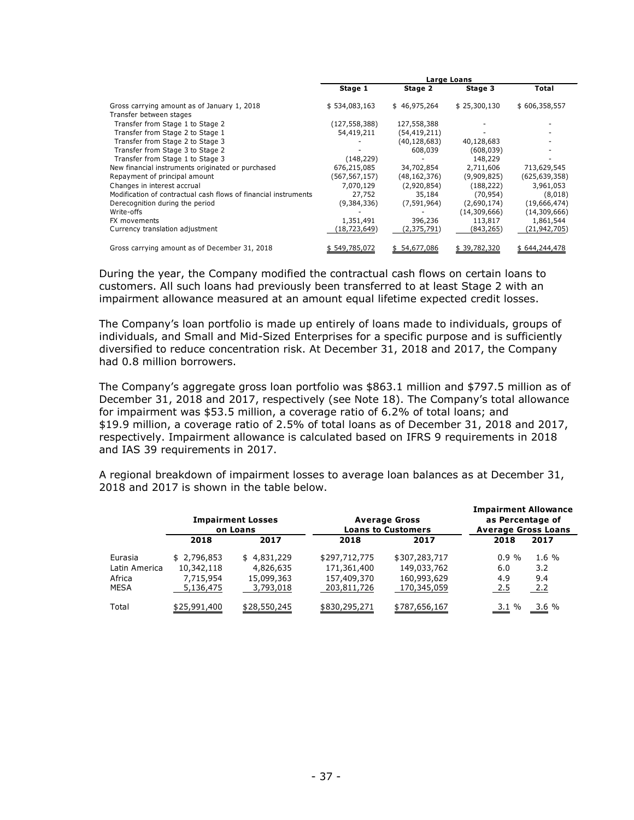|                                                                 | Large Loans     |                |                |                 |  |
|-----------------------------------------------------------------|-----------------|----------------|----------------|-----------------|--|
|                                                                 | Stage 1         | Stage 2        | Stage 3        | Total           |  |
| Gross carrying amount as of January 1, 2018                     | \$534,083,163   | \$46,975,264   | \$25,300,130   | \$606,358,557   |  |
| Transfer between stages                                         |                 |                |                |                 |  |
| Transfer from Stage 1 to Stage 2                                | (127, 558, 388) | 127,558,388    |                |                 |  |
| Transfer from Stage 2 to Stage 1                                | 54,419,211      | (54, 419, 211) |                |                 |  |
| Transfer from Stage 2 to Stage 3                                |                 | (40, 128, 683) | 40,128,683     |                 |  |
| Transfer from Stage 3 to Stage 2                                |                 | 608,039        | (608, 039)     |                 |  |
| Transfer from Stage 1 to Stage 3                                | (148, 229)      |                | 148,229        |                 |  |
| New financial instruments originated or purchased               | 676,215,085     | 34,702,854     | 2,711,606      | 713,629,545     |  |
| Repayment of principal amount                                   | (567, 567, 157) | (48, 162, 376) | (9,909,825)    | (625, 639, 358) |  |
| Changes in interest accrual                                     | 7,070,129       | (2,920,854)    | (188, 222)     | 3,961,053       |  |
| Modification of contractual cash flows of financial instruments | 27,752          | 35,184         | (70, 954)      | (8,018)         |  |
| Derecognition during the period                                 | (9,384,336)     | (7,591,964)    | (2,690,174)    | (19,666,474)    |  |
| Write-offs                                                      |                 |                | (14, 309, 666) | (14, 309, 666)  |  |
| <b>FX</b> movements                                             | 1,351,491       | 396,236        | 113,817        | 1,861,544       |  |
| Currency translation adjustment                                 | (18,723,649)    | (2,375,791)    | (843, 265)     | (21, 942, 705)  |  |
| Gross carrying amount as of December 31, 2018                   | \$549,785,072   | 54,677,086     | \$39,782,320   | \$644,244,478   |  |

During the year, the Company modified the contractual cash flows on certain loans to customers. All such loans had previously been transferred to at least Stage 2 with an impairment allowance measured at an amount equal lifetime expected credit losses.

The Company's loan portfolio is made up entirely of loans made to individuals, groups of individuals, and Small and Mid-Sized Enterprises for a specific purpose and is sufficiently diversified to reduce concentration risk. At December 31, 2018 and 2017, the Company had 0.8 million borrowers.

The Company's aggregate gross loan portfolio was \$863.1 million and \$797.5 million as of December 31, 2018 and 2017, respectively (see Note 18). The Company's total allowance for impairment was \$53.5 million, a coverage ratio of 6.2% of total loans; and \$19.9 million, a coverage ratio of 2.5% of total loans as of December 31, 2018 and 2017, respectively. Impairment allowance is calculated based on IFRS 9 requirements in 2018 and IAS 39 requirements in 2017.

A regional breakdown of impairment losses to average loan balances as at December 31, 2018 and 2017 is shown in the table below.

|               | <b>Impairment Losses</b><br>on Loans |              |               | <b>Average Gross</b><br><b>Loans to Customers</b> | <b>Impairment Allowance</b><br>as Percentage of<br><b>Average Gross Loans</b> |         |  |
|---------------|--------------------------------------|--------------|---------------|---------------------------------------------------|-------------------------------------------------------------------------------|---------|--|
|               | 2018                                 | 2017         | 2018          | 2017                                              | 2018                                                                          | 2017    |  |
| Eurasia       | \$2,796,853                          | \$4,831,229  | \$297,712,775 | \$307,283,717                                     | $0.9 \%$                                                                      | $1.6\%$ |  |
| Latin America | 10,342,118                           | 4,826,635    | 171,361,400   | 149,033,762                                       | 6.0                                                                           | 3.2     |  |
| Africa        | 7,715,954                            | 15,099,363   | 157,409,370   | 160,993,629                                       | 4.9                                                                           | 9.4     |  |
| <b>MESA</b>   | 5,136,475                            | 3,793,018    | 203,811,726   | 170,345,059                                       | 2.5                                                                           | 2.2     |  |
| Total         | \$25,991,400                         | \$28,550,245 | \$830,295,271 | \$787,656,167                                     | 3.1%                                                                          | 3.6%    |  |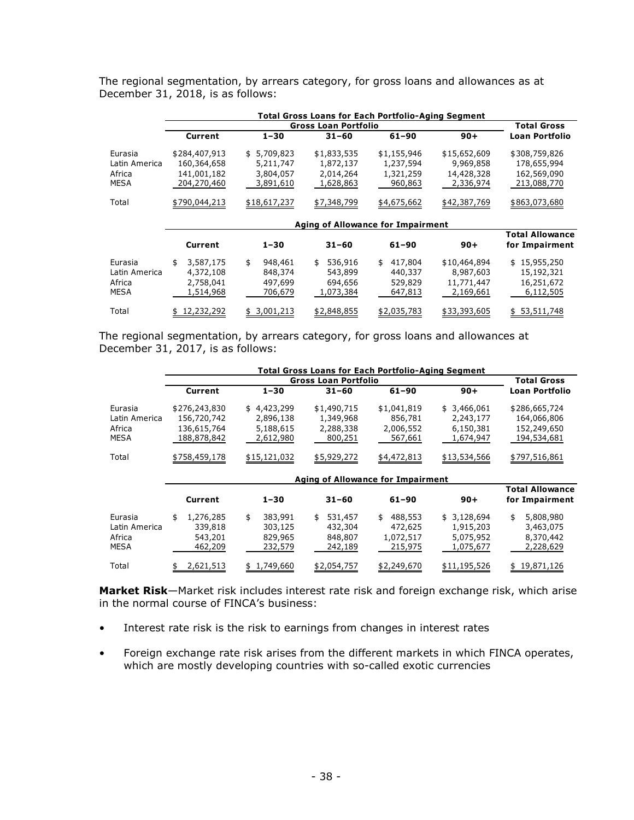|                                                   | <b>Total Gross Loans for Each Portfolio-Aging Segment</b>  |                                                    |                                                    |                                                  |                                                      |                                                            |  |  |
|---------------------------------------------------|------------------------------------------------------------|----------------------------------------------------|----------------------------------------------------|--------------------------------------------------|------------------------------------------------------|------------------------------------------------------------|--|--|
|                                                   |                                                            |                                                    | <b>Gross Loan Portfolio</b>                        |                                                  |                                                      | <b>Total Gross</b>                                         |  |  |
|                                                   | <b>Current</b>                                             | $1 - 30$                                           | 31-60                                              | $61 - 90$                                        | $90+$                                                | <b>Loan Portfolio</b>                                      |  |  |
| Eurasia<br>Latin America<br>Africa<br><b>MESA</b> | \$284,407,913<br>160,364,658<br>141,001,182<br>204,270,460 | \$5,709,823<br>5,211,747<br>3,804,057<br>3,891,610 | \$1,833,535<br>1,872,137<br>2,014,264<br>1,628,863 | \$1,155,946<br>1,237,594<br>1,321,259<br>960,863 | \$15,652,609<br>9,969,858<br>14,428,328<br>2,336,974 | \$308,759,826<br>178,655,994<br>162,569,090<br>213,088,770 |  |  |
| Total                                             | \$790,044,213                                              | \$18,617,237                                       | \$7,348,799                                        | \$4,675,662                                      | \$42,387,769                                         | \$863,073,680                                              |  |  |
|                                                   |                                                            |                                                    | <b>Aging of Allowance for Impairment</b>           |                                                  |                                                      |                                                            |  |  |
|                                                   |                                                            |                                                    |                                                    |                                                  |                                                      | <b>Total Allowance</b>                                     |  |  |
|                                                   | <b>Current</b>                                             | $1 - 30$                                           | $31 - 60$                                          | $61 - 90$                                        | $90+$                                                | for Impairment                                             |  |  |
| Eurasia<br>Latin America<br>Africa<br><b>MESA</b> | \$<br>3,587,175<br>4,372,108<br>2,758,041<br>1,514,968     | \$<br>948,461<br>848,374<br>497,699<br>706,679     | 536,916<br>\$<br>543,899<br>694,656<br>1,073,384   | 417,804<br>\$<br>440,337<br>529,829<br>647,813   | \$10,464,894<br>8,987,603<br>11,771,447<br>2,169,661 | \$15,955,250<br>15,192,321<br>16,251,672<br>6,112,505      |  |  |
| Total                                             | \$12,232,292                                               | \$3,001,213                                        | \$2,848,855                                        | \$2,035,783                                      | \$33,393,605                                         | \$53,511,748                                               |  |  |

The regional segmentation, by arrears category, for gross loans and allowances as at December 31, 2018, is as follows:

The regional segmentation, by arrears category, for gross loans and allowances at December 31, 2017, is as follows:

|                                                   | <b>Total Gross Loans for Each Portfolio-Aging Segment</b>  |                                                    |                                                  |                                                  |                                                    |                                                            |  |  |
|---------------------------------------------------|------------------------------------------------------------|----------------------------------------------------|--------------------------------------------------|--------------------------------------------------|----------------------------------------------------|------------------------------------------------------------|--|--|
|                                                   |                                                            |                                                    | <b>Gross Loan Portfolio</b>                      |                                                  |                                                    | <b>Total Gross</b>                                         |  |  |
|                                                   | <b>Current</b>                                             | $1 - 30$                                           | $31 - 60$                                        | $61 - 90$                                        | $90+$                                              | Loan Portfolio                                             |  |  |
| Eurasia<br>Latin America<br>Africa<br><b>MESA</b> | \$276,243,830<br>156,720,742<br>136,615,764<br>188,878,842 | \$4,423,299<br>2,896,138<br>5,188,615<br>2,612,980 | \$1,490,715<br>1,349,968<br>2,288,338<br>800,251 | \$1,041,819<br>856,781<br>2,006,552<br>567,661   | \$3,466,061<br>2,243,177<br>6,150,381<br>1,674,947 | \$286,665,724<br>164,066,806<br>152,249,650<br>194,534,681 |  |  |
| Total                                             | \$758,459,178                                              | \$15,121,032                                       | \$5,929,272                                      | \$4,472,813                                      | \$13,534,566                                       | \$797,516,861                                              |  |  |
|                                                   |                                                            |                                                    |                                                  | Aging of Allowance for Impairment                |                                                    |                                                            |  |  |
|                                                   | Current                                                    | $1 - 30$                                           | $31 - 60$                                        | $61 - 90$                                        | $90+$                                              | <b>Total Allowance</b><br>for Impairment                   |  |  |
| Eurasia<br>Latin America<br>Africa<br><b>MESA</b> | 1,276,285<br>\$<br>339,818<br>543,201<br>462,209           | 383,991<br>\$<br>303,125<br>829,965<br>232,579     | 531,457<br>\$<br>432,304<br>848,807<br>242,189   | 488,553<br>\$<br>472,625<br>1,072,517<br>215,975 | \$3,128,694<br>1,915,203<br>5,075,952<br>1,075,677 | 5,808,980<br>\$<br>3,463,075<br>8,370,442<br>2,228,629     |  |  |
| Total                                             | 2,621,513                                                  | 1,749,660<br>\$                                    | \$2,054,757                                      | \$2,249,670                                      | \$11,195,526                                       | 19,871,126<br>\$                                           |  |  |

**Market Risk**—Market risk includes interest rate risk and foreign exchange risk, which arise in the normal course of FINCA's business:

- Interest rate risk is the risk to earnings from changes in interest rates
- Foreign exchange rate risk arises from the different markets in which FINCA operates, which are mostly developing countries with so-called exotic currencies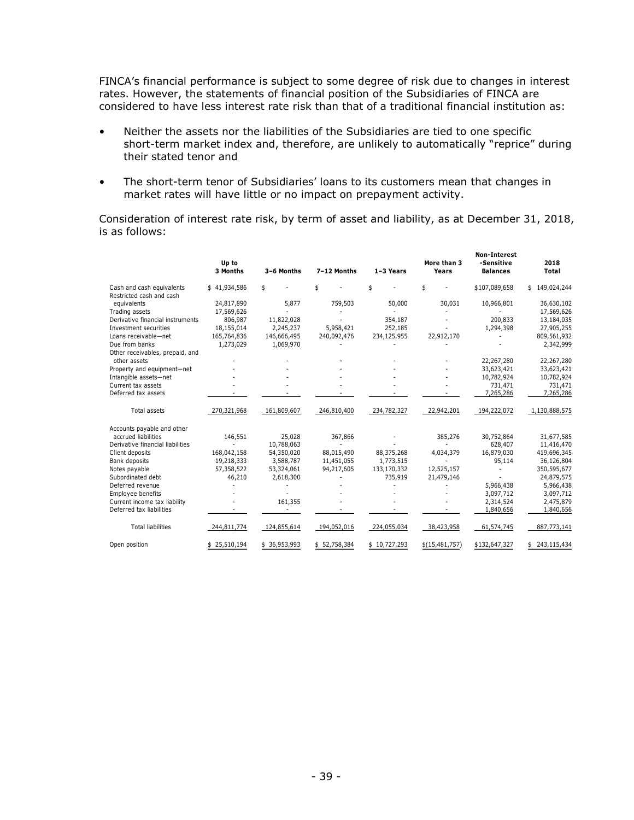FINCA's financial performance is subject to some degree of risk due to changes in interest rates. However, the statements of financial position of the Subsidiaries of FINCA are considered to have less interest rate risk than that of a traditional financial institution as:

- Neither the assets nor the liabilities of the Subsidiaries are tied to one specific short-term market index and, therefore, are unlikely to automatically "reprice" during their stated tenor and
- The short-term tenor of Subsidiaries' loans to its customers mean that changes in market rates will have little or no impact on prepayment activity.

Consideration of interest rate risk, by term of asset and liability, as at December 31, 2018, is as follows:

|                                  | Up to<br>3 Months | 3-6 Months     | 7-12 Months  | 1-3 Years      | More than 3<br>Years | <b>Non-Interest</b><br>-Sensitive<br><b>Balances</b> | 2018<br><b>Total</b> |
|----------------------------------|-------------------|----------------|--------------|----------------|----------------------|------------------------------------------------------|----------------------|
| Cash and cash equivalents        | \$41,934,586      | \$             | \$           | \$             | \$                   | \$107,089,658                                        | 149,024,244          |
| Restricted cash and cash         |                   |                |              |                |                      |                                                      |                      |
| equivalents                      | 24,817,890        | 5,877          | 759,503      | 50,000         | 30,031               | 10,966,801                                           | 36,630,102           |
| Trading assets                   | 17,569,626        | $\blacksquare$ |              | $\overline{a}$ |                      |                                                      | 17,569,626           |
| Derivative financial instruments | 806,987           | 11,822,028     |              | 354,187        |                      | 200,833                                              | 13,184,035           |
| Investment securities            | 18,155,014        | 2,245,237      | 5,958,421    | 252,185        |                      | 1,294,398                                            | 27,905,255           |
| Loans receivable-net             | 165,764,836       | 146,666,495    | 240,092,476  | 234,125,955    | 22,912,170           |                                                      | 809,561,932          |
| Due from banks                   | 1,273,029         | 1,069,970      |              |                |                      |                                                      | 2,342,999            |
| Other receivables, prepaid, and  |                   |                |              |                |                      |                                                      |                      |
| other assets                     |                   |                |              |                |                      | 22,267,280                                           | 22,267,280           |
| Property and equipment-net       |                   |                |              |                |                      | 33,623,421                                           | 33,623,421           |
| Intangible assets-net            |                   |                |              |                |                      | 10,782,924                                           | 10,782,924           |
| Current tax assets               |                   |                |              |                |                      | 731,471                                              | 731,471              |
| Deferred tax assets              |                   |                |              |                |                      | 7,265,286                                            | 7,265,286            |
| Total assets                     | 270,321,968       | 161,809,607    | 246,810,400  | 234,782,327    | 22,942,201           | 194,222,072                                          | 1,130,888,575        |
| Accounts payable and other       |                   |                |              |                |                      |                                                      |                      |
| accrued liabilities              | 146,551           | 25,028         | 367,866      |                | 385,276              | 30,752,864                                           | 31,677,585           |
| Derivative financial liabilities |                   | 10,788,063     |              |                |                      | 628,407                                              | 11,416,470           |
| Client deposits                  | 168,042,158       | 54,350,020     | 88,015,490   | 88,375,268     | 4,034,379            | 16,879,030                                           | 419,696,345          |
| Bank deposits                    | 19,218,333        | 3,588,787      | 11,451,055   | 1,773,515      |                      | 95,114                                               | 36,126,804           |
| Notes payable                    | 57,358,522        | 53,324,061     | 94,217,605   | 133,170,332    | 12,525,157           | $\ddot{\phantom{1}}$                                 | 350,595,677          |
| Subordinated debt                | 46,210            | 2,618,300      |              | 735,919        | 21,479,146           |                                                      | 24,879,575           |
| Deferred revenue                 |                   |                |              |                |                      | 5,966,438                                            | 5,966,438            |
| Employee benefits                |                   |                |              |                |                      | 3,097,712                                            | 3,097,712            |
| Current income tax liability     |                   | 161,355        |              |                |                      | 2,314,524                                            | 2,475,879            |
| Deferred tax liabilities         |                   |                |              |                |                      | 1,840,656                                            | 1,840,656            |
| <b>Total liabilities</b>         | 244,811,774       | 124,855,614    | 194,052,016  | 224,055,034    | 38,423,958           | 61,574,745                                           | 887,773,141          |
| Open position                    | \$25,510,194      | \$36,953,993   | \$52,758,384 | \$10,727,293   | \$(15, 481, 757)     | \$132,647,327                                        | 243,115,434          |
|                                  |                   |                |              |                |                      |                                                      |                      |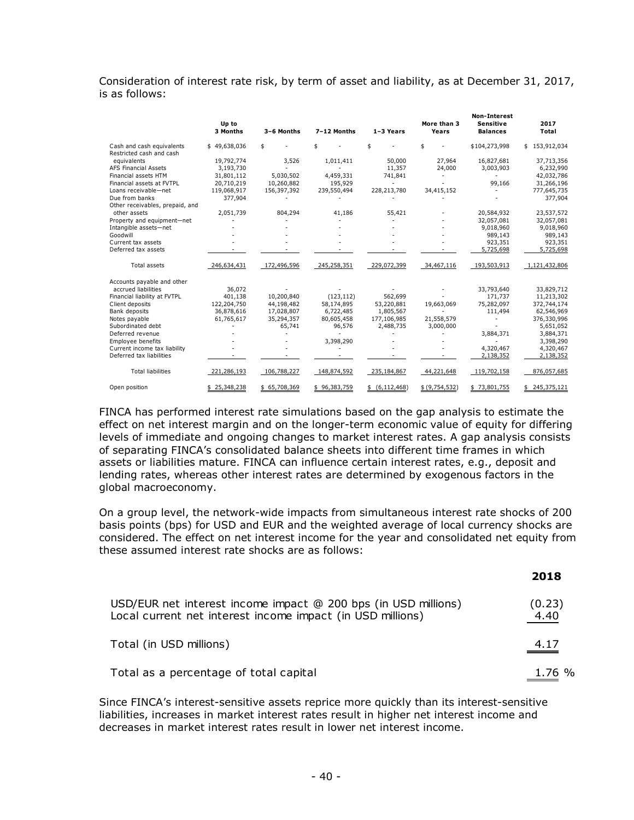Consideration of interest rate risk, by term of asset and liability, as at December 31, 2017, is as follows:

|                                 | Up to<br>3 Months | 3-6 Months     | 7-12 Months  | 1-3 Years      | More than 3<br>Years     | <b>Non-Interest</b><br><b>Sensitive</b><br><b>Balances</b> | 2017<br>Total     |
|---------------------------------|-------------------|----------------|--------------|----------------|--------------------------|------------------------------------------------------------|-------------------|
| Cash and cash equivalents       | \$49,638,036      | \$             | \$           | \$             | \$                       | \$104,273,998                                              | 153,912,034<br>\$ |
| Restricted cash and cash        |                   |                |              |                |                          |                                                            |                   |
| equivalents                     | 19,792,774        | 3,526          | 1,011,411    | 50,000         | 27,964                   | 16,827,681                                                 | 37,713,356        |
| <b>AFS Financial Assets</b>     | 3,193,730         | $\overline{a}$ |              | 11,357         | 24,000                   | 3,003,903                                                  | 6,232,990         |
| Financial assets HTM            | 31,801,112        | 5,030,502      | 4,459,331    | 741,841        | $\overline{\phantom{a}}$ | $\sim$                                                     | 42,032,786        |
| Financial assets at FVTPL       | 20,710,219        | 10,260,882     | 195,929      | ×.             |                          | 99,166                                                     | 31,266,196        |
| Loans receivable-net            | 119,068,917       | 156,397,392    | 239,550,494  | 228,213,780    | 34,415,152               |                                                            | 777,645,735       |
| Due from banks                  | 377,904           |                |              |                |                          |                                                            | 377,904           |
| Other receivables, prepaid, and |                   |                |              |                |                          |                                                            |                   |
| other assets                    | 2,051,739         | 804,294        | 41,186       | 55,421         |                          | 20,584,932                                                 | 23,537,572        |
| Property and equipment-net      |                   |                |              |                |                          | 32,057,081                                                 | 32,057,081        |
| Intangible assets-net           |                   |                |              |                |                          | 9,018,960                                                  | 9,018,960         |
| Goodwill                        |                   |                |              |                |                          | 989,143                                                    | 989,143           |
| Current tax assets              |                   |                |              |                |                          | 923,351                                                    | 923,351           |
| Deferred tax assets             |                   |                |              |                |                          | 5,725,698                                                  | 5,725,698         |
| Total assets                    | 246,634,431       | 172,496,596    | 245,258,351  | 229,072,399    | 34,467,116               | 193,503,913                                                | 1,121,432,806     |
| Accounts payable and other      |                   |                |              |                |                          |                                                            |                   |
| accrued liabilities             | 36,072            |                |              |                |                          | 33,793,640                                                 | 33,829,712        |
| Financial liability at FVTPL    | 401,138           | 10,200,840     | (123, 112)   | 562,699        |                          | 171,737                                                    | 11,213,302        |
| Client deposits                 | 122,204,750       | 44,198,482     | 58,174,895   | 53,220,881     | 19,663,069               | 75,282,097                                                 | 372,744,174       |
| Bank deposits                   | 36,878,616        | 17,028,807     | 6,722,485    | 1,805,567      |                          | 111,494                                                    | 62,546,969        |
| Notes payable                   | 61,765,617        | 35,294,357     | 80,605,458   | 177,106,985    | 21,558,579               |                                                            | 376,330,996       |
| Subordinated debt               |                   | 65,741         | 96,576       | 2,488,735      | 3,000,000                |                                                            | 5,651,052         |
| Deferred revenue                |                   |                |              |                |                          | 3,884,371                                                  | 3,884,371         |
| Employee benefits               |                   |                | 3,398,290    |                |                          |                                                            | 3,398,290         |
| Current income tax liability    |                   |                |              |                |                          | 4,320,467                                                  | 4,320,467         |
| Deferred tax liabilities        |                   |                |              |                |                          | 2,138,352                                                  | 2,138,352         |
| <b>Total liabilities</b>        | 221,286,193       | 106,788,227    | 148,874,592  | 235,184,867    | 44,221,648               | 119,702,158                                                | 876,057,685       |
| Open position                   | \$25,348,238      | \$65,708,369   | \$96,383,759 | \$ (6,112,468) | \$ (9,754,532)           | \$73,801,755                                               | 245,375,121       |

FINCA has performed interest rate simulations based on the gap analysis to estimate the effect on net interest margin and on the longer-term economic value of equity for differing levels of immediate and ongoing changes to market interest rates. A gap analysis consists of separating FINCA's consolidated balance sheets into different time frames in which assets or liabilities mature. FINCA can influence certain interest rates, e.g., deposit and lending rates, whereas other interest rates are determined by exogenous factors in the global macroeconomy.

On a group level, the network-wide impacts from simultaneous interest rate shocks of 200 basis points (bps) for USD and EUR and the weighted average of local currency shocks are considered. The effect on net interest income for the year and consolidated net equity from these assumed interest rate shocks are as follows:

|                                                                                                                              | 2018           |
|------------------------------------------------------------------------------------------------------------------------------|----------------|
| USD/EUR net interest income impact @ 200 bps (in USD millions)<br>Local current net interest income impact (in USD millions) | (0.23)<br>4.40 |
| Total (in USD millions)                                                                                                      | 4.17           |
| Total as a percentage of total capital                                                                                       | 1.76 %         |

Since FINCA's interest-sensitive assets reprice more quickly than its interest-sensitive liabilities, increases in market interest rates result in higher net interest income and decreases in market interest rates result in lower net interest income.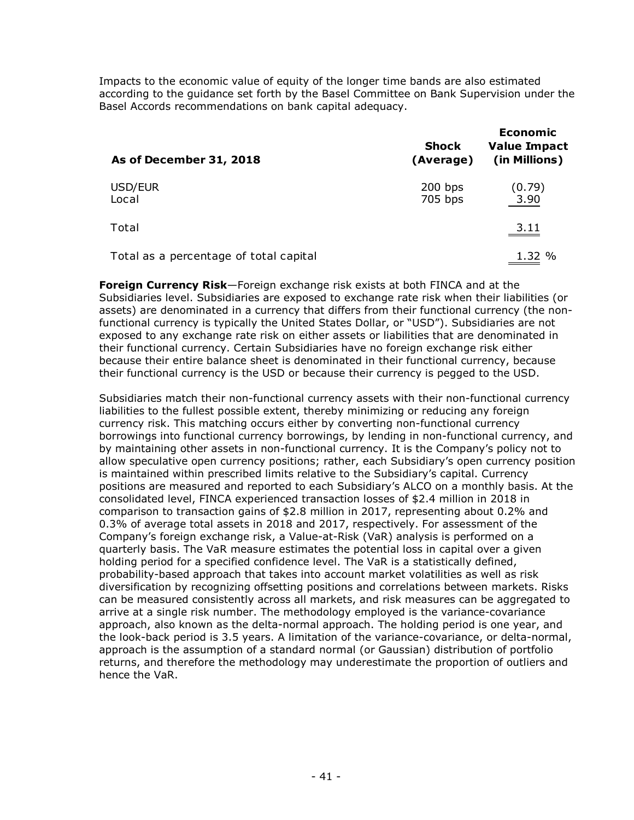Impacts to the economic value of equity of the longer time bands are also estimated according to the guidance set forth by the Basel Committee on Bank Supervision under the Basel Accords recommendations on bank capital adequacy.

| As of December 31, 2018                | <b>Shock</b><br>(Average) | <b>Economic</b><br><b>Value Impact</b><br>(in Millions) |
|----------------------------------------|---------------------------|---------------------------------------------------------|
| USD/EUR<br>Local                       | $200$ bps<br>705 bps      | (0.79)<br>3.90                                          |
| Total                                  |                           | 3.11                                                    |
| Total as a percentage of total capital |                           | 1.32 %                                                  |

**Foreign Currency Risk**—Foreign exchange risk exists at both FINCA and at the Subsidiaries level. Subsidiaries are exposed to exchange rate risk when their liabilities (or assets) are denominated in a currency that differs from their functional currency (the nonfunctional currency is typically the United States Dollar, or "USD"). Subsidiaries are not exposed to any exchange rate risk on either assets or liabilities that are denominated in their functional currency. Certain Subsidiaries have no foreign exchange risk either because their entire balance sheet is denominated in their functional currency, because their functional currency is the USD or because their currency is pegged to the USD.

Subsidiaries match their non-functional currency assets with their non-functional currency liabilities to the fullest possible extent, thereby minimizing or reducing any foreign currency risk. This matching occurs either by converting non-functional currency borrowings into functional currency borrowings, by lending in non-functional currency, and by maintaining other assets in non-functional currency. It is the Company's policy not to allow speculative open currency positions; rather, each Subsidiary's open currency position is maintained within prescribed limits relative to the Subsidiary's capital. Currency positions are measured and reported to each Subsidiary's ALCO on a monthly basis. At the consolidated level, FINCA experienced transaction losses of \$2.4 million in 2018 in comparison to transaction gains of \$2.8 million in 2017, representing about 0.2% and 0.3% of average total assets in 2018 and 2017, respectively. For assessment of the Company's foreign exchange risk, a Value-at-Risk (VaR) analysis is performed on a quarterly basis. The VaR measure estimates the potential loss in capital over a given holding period for a specified confidence level. The VaR is a statistically defined, probability-based approach that takes into account market volatilities as well as risk diversification by recognizing offsetting positions and correlations between markets. Risks can be measured consistently across all markets, and risk measures can be aggregated to arrive at a single risk number. The methodology employed is the variance-covariance approach, also known as the delta-normal approach. The holding period is one year, and the look-back period is 3.5 years. A limitation of the variance-covariance, or delta-normal, approach is the assumption of a standard normal (or Gaussian) distribution of portfolio returns, and therefore the methodology may underestimate the proportion of outliers and hence the VaR.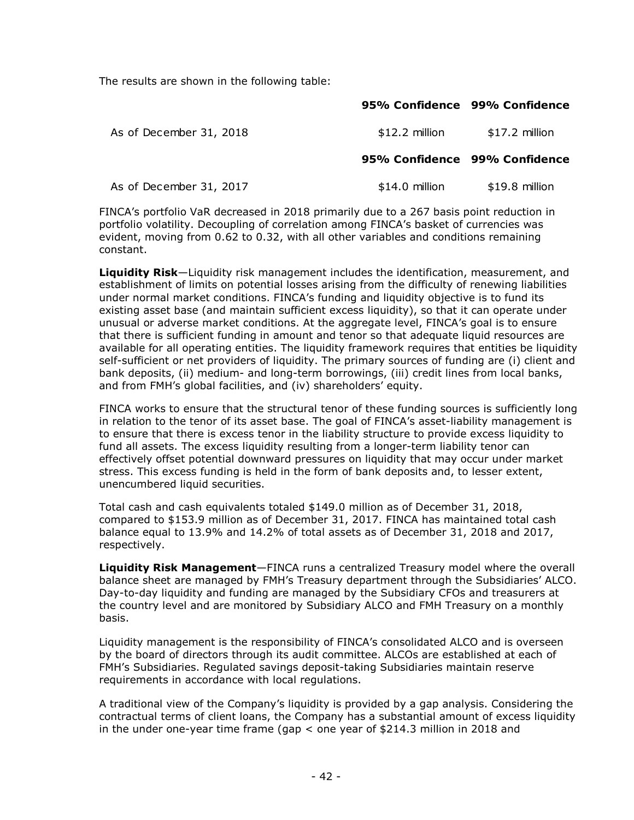The results are shown in the following table:

| 95% Confidence 99% Confidence |
|-------------------------------|
|                               |

| As of December 31, 2018 | $$12.2$ million |
|-------------------------|-----------------|
|-------------------------|-----------------|

#### **95% Confidence 99% Confidence**

 $$17.2$  million

As of December 31, 2017 **\$14.0 million** \$19.8 million

FINCA's portfolio VaR decreased in 2018 primarily due to a 267 basis point reduction in portfolio volatility. Decoupling of correlation among FINCA's basket of currencies was evident, moving from 0.62 to 0.32, with all other variables and conditions remaining constant.

**Liquidity Risk**—Liquidity risk management includes the identification, measurement, and establishment of limits on potential losses arising from the difficulty of renewing liabilities under normal market conditions. FINCA's funding and liquidity objective is to fund its existing asset base (and maintain sufficient excess liquidity), so that it can operate under unusual or adverse market conditions. At the aggregate level, FINCA's goal is to ensure that there is sufficient funding in amount and tenor so that adequate liquid resources are available for all operating entities. The liquidity framework requires that entities be liquidity self-sufficient or net providers of liquidity. The primary sources of funding are (i) client and bank deposits, (ii) medium- and long-term borrowings, (iii) credit lines from local banks, and from FMH's global facilities, and (iv) shareholders' equity.

FINCA works to ensure that the structural tenor of these funding sources is sufficiently long in relation to the tenor of its asset base. The goal of FINCA's asset-liability management is to ensure that there is excess tenor in the liability structure to provide excess liquidity to fund all assets. The excess liquidity resulting from a longer-term liability tenor can effectively offset potential downward pressures on liquidity that may occur under market stress. This excess funding is held in the form of bank deposits and, to lesser extent, unencumbered liquid securities.

Total cash and cash equivalents totaled \$149.0 million as of December 31, 2018, compared to \$153.9 million as of December 31, 2017. FINCA has maintained total cash balance equal to 13.9% and 14.2% of total assets as of December 31, 2018 and 2017, respectively.

**Liquidity Risk Management**—FINCA runs a centralized Treasury model where the overall balance sheet are managed by FMH's Treasury department through the Subsidiaries' ALCO. Day-to-day liquidity and funding are managed by the Subsidiary CFOs and treasurers at the country level and are monitored by Subsidiary ALCO and FMH Treasury on a monthly basis.

Liquidity management is the responsibility of FINCA's consolidated ALCO and is overseen by the board of directors through its audit committee. ALCOs are established at each of FMH's Subsidiaries. Regulated savings deposit-taking Subsidiaries maintain reserve requirements in accordance with local regulations.

A traditional view of the Company's liquidity is provided by a gap analysis. Considering the contractual terms of client loans, the Company has a substantial amount of excess liquidity in the under one-year time frame (gap < one year of \$214.3 million in 2018 and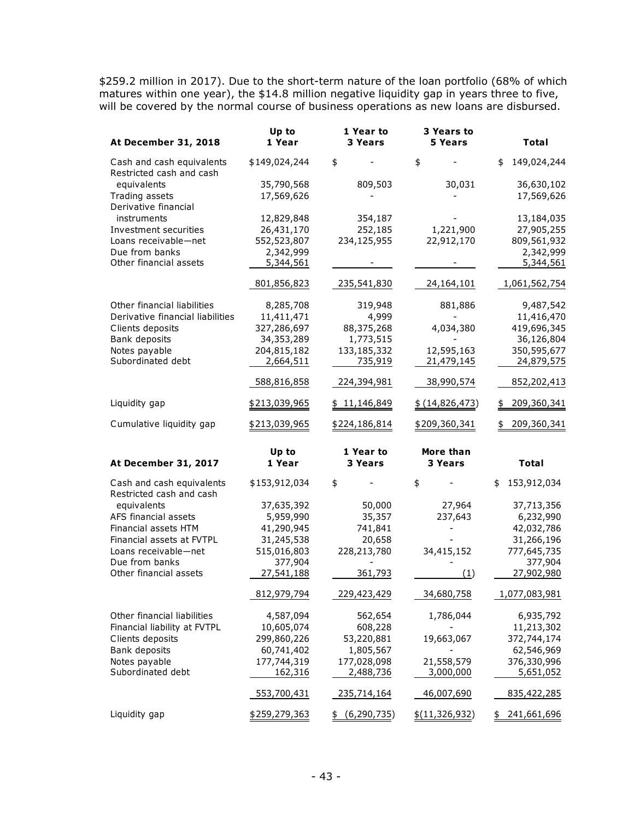\$259.2 million in 2017). Due to the short-term nature of the loan portfolio (68% of which matures within one year), the \$14.8 million negative liquidity gap in years three to five, will be covered by the normal course of business operations as new loans are disbursed.

| <b>At December 31, 2018</b>                           | Up to<br>1 Year        | 1 Year to<br>3 Years | 3 Years to<br>5 Years | Total                  |
|-------------------------------------------------------|------------------------|----------------------|-----------------------|------------------------|
| Cash and cash equivalents<br>Restricted cash and cash | \$149,024,244          | \$                   | \$                    | 149,024,244<br>\$      |
| equivalents                                           | 35,790,568             | 809,503              | 30,031                | 36,630,102             |
| Trading assets                                        | 17,569,626             |                      |                       | 17,569,626             |
| Derivative financial                                  |                        |                      |                       |                        |
| instruments                                           | 12,829,848             | 354,187              |                       | 13,184,035             |
| Investment securities                                 | 26,431,170             | 252,185              | 1,221,900             | 27,905,255             |
| Loans receivable-net                                  | 552,523,807            | 234,125,955          | 22,912,170            | 809,561,932            |
| Due from banks<br>Other financial assets              | 2,342,999<br>5,344,561 |                      |                       | 2,342,999<br>5,344,561 |
|                                                       |                        |                      |                       |                        |
|                                                       | 801,856,823            | 235,541,830          | 24, 164, 101          | 1,061,562,754          |
| Other financial liabilities                           | 8,285,708              | 319,948              | 881,886               | 9,487,542              |
| Derivative financial liabilities                      | 11,411,471             | 4,999                |                       | 11,416,470             |
| Clients deposits                                      | 327,286,697            | 88,375,268           | 4,034,380             | 419,696,345            |
| Bank deposits                                         | 34,353,289             | 1,773,515            |                       | 36,126,804             |
| Notes payable                                         | 204,815,182            | 133,185,332          | 12,595,163            | 350,595,677            |
| Subordinated debt                                     | 2,664,511              | 735,919              | 21,479,145            | 24,879,575             |
|                                                       | 588,816,858            | 224,394,981          | 38,990,574            | 852,202,413            |
| Liquidity gap                                         | \$213,039,965          | \$11,146,849         | \$ (14,826,473)       | 209,360,341            |
| Cumulative liquidity gap                              | \$213,039,965          | \$224,186,814        | \$209,360,341         | 209,360,341            |
|                                                       | Up to                  | 1 Year to            | More than             |                        |
| <b>At December 31, 2017</b>                           | 1 Year                 | 3 Years              | 3 Years               | <b>Total</b>           |
| Cash and cash equivalents<br>Restricted cash and cash | \$153,912,034          | \$                   | \$                    | 153,912,034<br>\$      |
| equivalents                                           | 37,635,392             | 50,000               | 27,964                | 37,713,356             |
| AFS financial assets                                  | 5,959,990              | 35,357               | 237,643               | 6,232,990              |
| Financial assets HTM                                  | 41,290,945             | 741,841              |                       | 42,032,786             |
| Financial assets at FVTPL                             | 31,245,538             | 20,658               |                       | 31,266,196             |
| Loans receivable-net                                  | 515,016,803            | 228,213,780          | 34,415,152            | 777,645,735            |
| Due from banks                                        | 377,904                |                      |                       | 377,904                |
| Other financial assets                                | 27,541,188             | 361,793              | (1)                   | 27,902,980             |
|                                                       | 812,979,794            | 229,423,429          | 34,680,758            | 1,077,083,981          |
| Other financial liabilities                           | 4,587,094              | 562,654              | 1,786,044             | 6,935,792              |
| Financial liability at FVTPL                          | 10,605,074             | 608,228              |                       | 11,213,302             |
| Clients deposits                                      | 299,860,226            | 53,220,881           | 19,663,067            | 372,744,174            |
| Bank deposits                                         | 60,741,402             | 1,805,567            |                       | 62,546,969             |
| Notes payable                                         | 177,744,319            | 177,028,098          | 21,558,579            | 376,330,996            |
| Subordinated debt                                     | 162,316                | 2,488,736            | 3,000,000             | 5,651,052              |
|                                                       | 553,700,431            | 235,714,164          | 46,007,690            | 835,422,285            |
| Liquidity gap                                         | <u>\$259,279,363</u>   | (6, 290, 735)        | \$(11, 326, 932)      | 241,661,696            |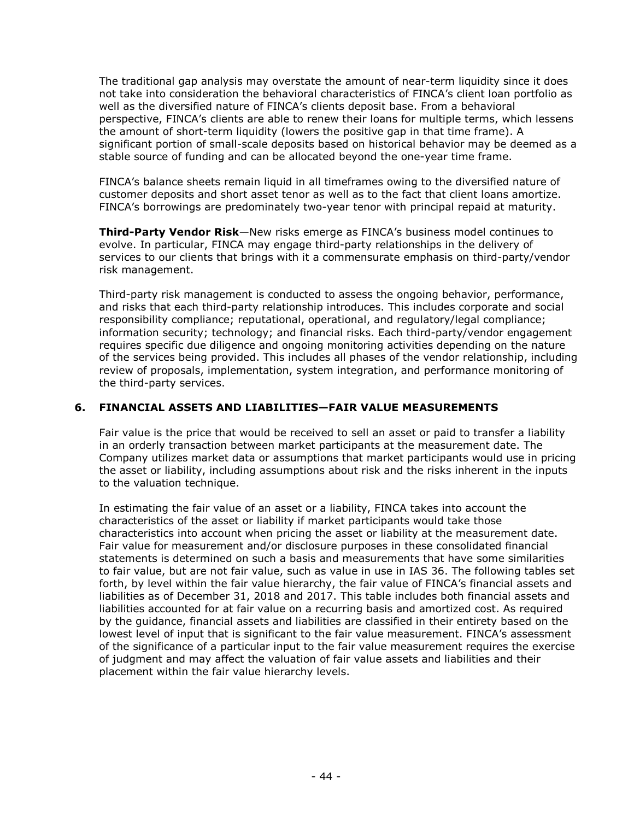The traditional gap analysis may overstate the amount of near-term liquidity since it does not take into consideration the behavioral characteristics of FINCA's client loan portfolio as well as the diversified nature of FINCA's clients deposit base. From a behavioral perspective, FINCA's clients are able to renew their loans for multiple terms, which lessens the amount of short-term liquidity (lowers the positive gap in that time frame). A significant portion of small-scale deposits based on historical behavior may be deemed as a stable source of funding and can be allocated beyond the one-year time frame.

FINCA's balance sheets remain liquid in all timeframes owing to the diversified nature of customer deposits and short asset tenor as well as to the fact that client loans amortize. FINCA's borrowings are predominately two-year tenor with principal repaid at maturity.

**Third-Party Vendor Risk**—New risks emerge as FINCA's business model continues to evolve. In particular, FINCA may engage third-party relationships in the delivery of services to our clients that brings with it a commensurate emphasis on third-party/vendor risk management.

Third-party risk management is conducted to assess the ongoing behavior, performance, and risks that each third-party relationship introduces. This includes corporate and social responsibility compliance; reputational, operational, and regulatory/legal compliance; information security; technology; and financial risks. Each third-party/vendor engagement requires specific due diligence and ongoing monitoring activities depending on the nature of the services being provided. This includes all phases of the vendor relationship, including review of proposals, implementation, system integration, and performance monitoring of the third-party services.

# **6. FINANCIAL ASSETS AND LIABILITIES—FAIR VALUE MEASUREMENTS**

Fair value is the price that would be received to sell an asset or paid to transfer a liability in an orderly transaction between market participants at the measurement date. The Company utilizes market data or assumptions that market participants would use in pricing the asset or liability, including assumptions about risk and the risks inherent in the inputs to the valuation technique.

In estimating the fair value of an asset or a liability, FINCA takes into account the characteristics of the asset or liability if market participants would take those characteristics into account when pricing the asset or liability at the measurement date. Fair value for measurement and/or disclosure purposes in these consolidated financial statements is determined on such a basis and measurements that have some similarities to fair value, but are not fair value, such as value in use in IAS 36. The following tables set forth, by level within the fair value hierarchy, the fair value of FINCA's financial assets and liabilities as of December 31, 2018 and 2017. This table includes both financial assets and liabilities accounted for at fair value on a recurring basis and amortized cost. As required by the guidance, financial assets and liabilities are classified in their entirety based on the lowest level of input that is significant to the fair value measurement. FINCA's assessment of the significance of a particular input to the fair value measurement requires the exercise of judgment and may affect the valuation of fair value assets and liabilities and their placement within the fair value hierarchy levels.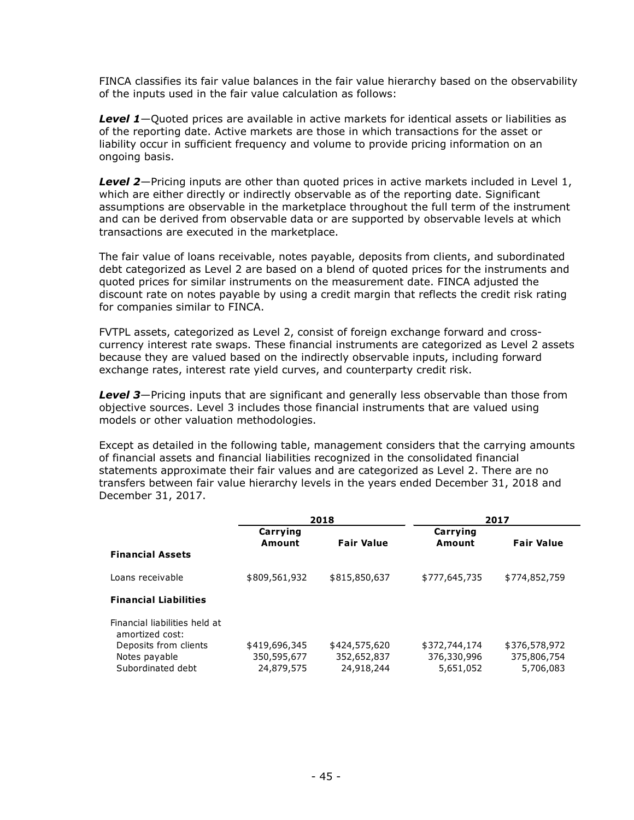FINCA classifies its fair value balances in the fair value hierarchy based on the observability of the inputs used in the fair value calculation as follows:

*Level 1*—Quoted prices are available in active markets for identical assets or liabilities as of the reporting date. Active markets are those in which transactions for the asset or liability occur in sufficient frequency and volume to provide pricing information on an ongoing basis.

*Level 2*—Pricing inputs are other than quoted prices in active markets included in Level 1, which are either directly or indirectly observable as of the reporting date. Significant assumptions are observable in the marketplace throughout the full term of the instrument and can be derived from observable data or are supported by observable levels at which transactions are executed in the marketplace.

The fair value of loans receivable, notes payable, deposits from clients, and subordinated debt categorized as Level 2 are based on a blend of quoted prices for the instruments and quoted prices for similar instruments on the measurement date. FINCA adjusted the discount rate on notes payable by using a credit margin that reflects the credit risk rating for companies similar to FINCA.

FVTPL assets, categorized as Level 2, consist of foreign exchange forward and crosscurrency interest rate swaps. These financial instruments are categorized as Level 2 assets because they are valued based on the indirectly observable inputs, including forward exchange rates, interest rate yield curves, and counterparty credit risk.

*Level 3*—Pricing inputs that are significant and generally less observable than those from objective sources. Level 3 includes those financial instruments that are valued using models or other valuation methodologies.

Except as detailed in the following table, management considers that the carrying amounts of financial assets and financial liabilities recognized in the consolidated financial statements approximate their fair values and are categorized as Level 2. There are no transfers between fair value hierarchy levels in the years ended December 31, 2018 and December 31, 2017.

|                                                                                                                 | 2018                                       |                                            |                                           | 2017                                      |
|-----------------------------------------------------------------------------------------------------------------|--------------------------------------------|--------------------------------------------|-------------------------------------------|-------------------------------------------|
| <b>Financial Assets</b>                                                                                         | Carrying<br>Amount                         | <b>Fair Value</b>                          | Carrying<br>Amount                        | <b>Fair Value</b>                         |
| Loans receivable                                                                                                | \$809,561,932                              | \$815,850,637                              | \$777,645,735                             | \$774,852,759                             |
| <b>Financial Liabilities</b>                                                                                    |                                            |                                            |                                           |                                           |
| Financial liabilities held at<br>amortized cost:<br>Deposits from clients<br>Notes payable<br>Subordinated debt | \$419,696,345<br>350,595,677<br>24,879,575 | \$424,575,620<br>352,652,837<br>24,918,244 | \$372,744,174<br>376,330,996<br>5,651,052 | \$376,578,972<br>375,806,754<br>5,706,083 |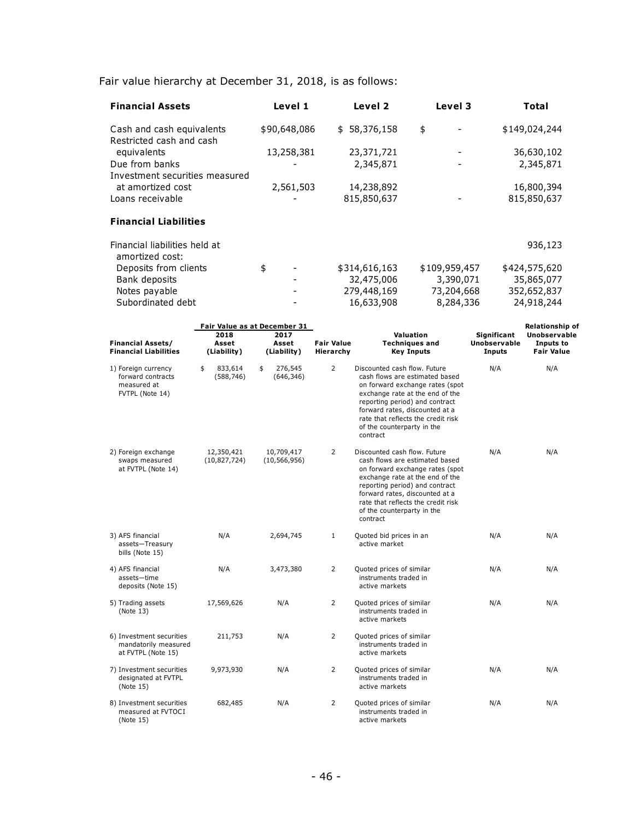# Fair value hierarchy at December 31, 2018, is as follows:

| Level 1                  | Level 2       | Level 3       | <b>Total</b>  |
|--------------------------|---------------|---------------|---------------|
| \$90,648,086             | \$58,376,158  | \$            | \$149,024,244 |
|                          |               |               |               |
|                          |               |               | 36,630,102    |
|                          | 2,345,871     |               | 2,345,871     |
|                          |               |               |               |
| 2,561,503                | 14,238,892    |               | 16,800,394    |
|                          | 815,850,637   |               | 815,850,637   |
|                          |               |               |               |
|                          |               |               | 936,123       |
|                          |               |               |               |
| \$                       | \$314,616,163 | \$109,959,457 | \$424,575,620 |
| $\overline{\phantom{a}}$ | 32,475,006    | 3,390,071     | 35,865,077    |
| $\overline{\phantom{a}}$ | 279,448,169   | 73,204,668    | 352,652,837   |
|                          | 16,633,908    | 8,284,336     | 24,918,244    |
|                          | 13,258,381    | 23,371,721    |               |

|                                                                            |                              | Fair Value as at December 31 |                                |                                                                                                                                                                                                                                                                                          |                                              | <b>Relationship of</b>                         |
|----------------------------------------------------------------------------|------------------------------|------------------------------|--------------------------------|------------------------------------------------------------------------------------------------------------------------------------------------------------------------------------------------------------------------------------------------------------------------------------------|----------------------------------------------|------------------------------------------------|
| <b>Financial Assets/</b><br><b>Financial Liabilities</b>                   | 2018<br>Asset<br>(Liability) | 2017<br>Asset<br>(Liability) | <b>Fair Value</b><br>Hierarchy | Valuation<br><b>Techniques and</b><br><b>Key Inputs</b>                                                                                                                                                                                                                                  | Significant<br><b>Unobservable</b><br>Inputs | Unobservable<br>Inputs to<br><b>Fair Value</b> |
| 1) Foreign currency<br>forward contracts<br>measured at<br>FVTPL (Note 14) | \$<br>833,614<br>(588, 746)  | 276,545<br>\$<br>(646, 346)  | $\overline{2}$                 | Discounted cash flow. Future<br>cash flows are estimated based<br>on forward exchange rates (spot<br>exchange rate at the end of the<br>reporting period) and contract<br>forward rates, discounted at a<br>rate that reflects the credit risk<br>of the counterparty in the<br>contract | N/A                                          | N/A                                            |
| 2) Foreign exchange<br>swaps measured<br>at FVTPL (Note 14)                | 12,350,421<br>(10, 827, 724) | 10,709,417<br>(10, 566, 956) | 2                              | Discounted cash flow. Future<br>cash flows are estimated based<br>on forward exchange rates (spot<br>exchange rate at the end of the<br>reporting period) and contract<br>forward rates, discounted at a<br>rate that reflects the credit risk<br>of the counterparty in the<br>contract | N/A                                          | N/A                                            |
| 3) AFS financial<br>assets-Treasury<br>bills (Note 15)                     | N/A                          | 2,694,745                    | $\mathbf{1}$                   | Quoted bid prices in an<br>active market                                                                                                                                                                                                                                                 | N/A                                          | N/A                                            |
| 4) AFS financial<br>assets-time<br>deposits (Note 15)                      | N/A                          | 3,473,380                    | 2                              | Quoted prices of similar<br>instruments traded in<br>active markets                                                                                                                                                                                                                      | N/A                                          | N/A                                            |
| 5) Trading assets<br>(Note 13)                                             | 17,569,626                   | N/A                          | 2                              | Quoted prices of similar<br>instruments traded in<br>active markets                                                                                                                                                                                                                      | N/A                                          | N/A                                            |
| 6) Investment securities<br>mandatorily measured<br>at FVTPL (Note 15)     | 211,753                      | N/A                          | 2                              | Quoted prices of similar<br>instruments traded in<br>active markets                                                                                                                                                                                                                      |                                              |                                                |
| 7) Investment securities<br>designated at FVTPL<br>(Note 15)               | 9,973,930                    | N/A                          | $\overline{2}$                 | Quoted prices of similar<br>instruments traded in<br>active markets                                                                                                                                                                                                                      | N/A                                          | N/A                                            |
| 8) Investment securities<br>measured at FVTOCI<br>(Note 15)                | 682,485                      | N/A                          | $\overline{2}$                 | Quoted prices of similar<br>instruments traded in<br>active markets                                                                                                                                                                                                                      | N/A                                          | N/A                                            |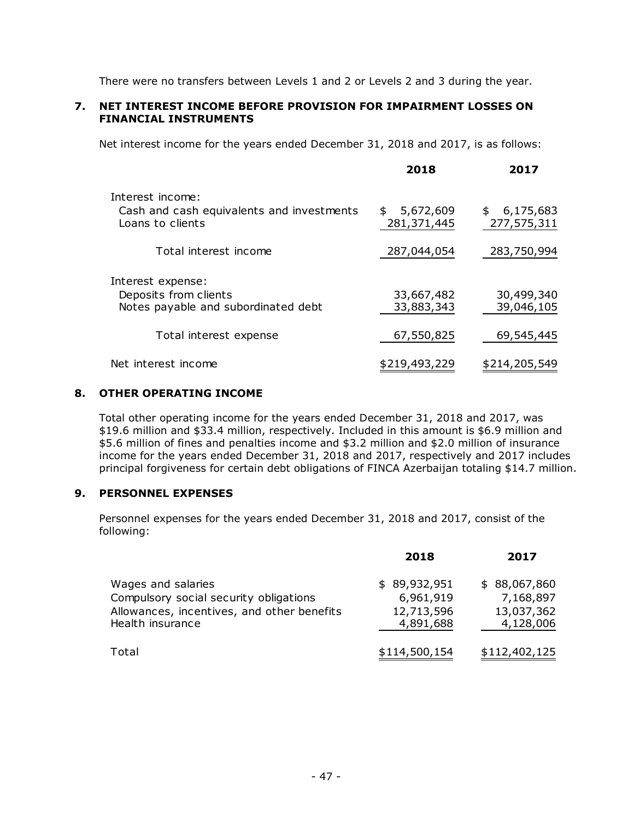There were no transfers between Levels 1 and 2 or Levels 2 and 3 during the year.

#### **7. NET INTEREST INCOME BEFORE PROVISION FOR IMPAIRMENT LOSSES ON FINANCIAL INSTRUMENTS**

Net interest income for the years ended December 31, 2018 and 2017, is as follows:

|                                                                                   | 2018                           | 2017                           |
|-----------------------------------------------------------------------------------|--------------------------------|--------------------------------|
| Interest income:<br>Cash and cash equivalents and investments<br>Loans to clients | 5,672,609<br>\$<br>281,371,445 | 6,175,683<br>\$<br>277,575,311 |
| Total interest income                                                             | 287,044,054                    | 283,750,994                    |
| Interest expense:<br>Deposits from clients<br>Notes payable and subordinated debt | 33,667,482<br>33,883,343       | 30,499,340<br>39,046,105       |
| Total interest expense                                                            | 67,550,825                     | 69,545,445                     |
| Net interest income                                                               | \$219,493,229                  | \$214,205,549                  |

### **8. OTHER OPERATING INCOME**

Total other operating income for the years ended December 31, 2018 and 2017, was \$19.6 million and \$33.4 million, respectively. Included in this amount is \$6.9 million and \$5.6 million of fines and penalties income and \$3.2 million and \$2.0 million of insurance income for the years ended December 31, 2018 and 2017, respectively and 2017 includes principal forgiveness for certain debt obligations of FINCA Azerbaijan totaling \$14.7 million.

#### **9. PERSONNEL EXPENSES**

Personnel expenses for the years ended December 31, 2018 and 2017, consist of the following:

|                                                                | 2018                    | 2017                    |
|----------------------------------------------------------------|-------------------------|-------------------------|
| Wages and salaries                                             | \$89,932,951            | \$88,067,860            |
| Compulsory social security obligations                         | 6,961,919               | 7,168,897               |
| Allowances, incentives, and other benefits<br>Health insurance | 12,713,596<br>4,891,688 | 13,037,362<br>4,128,006 |
| Total                                                          | \$114,500,154           | \$112,402,125           |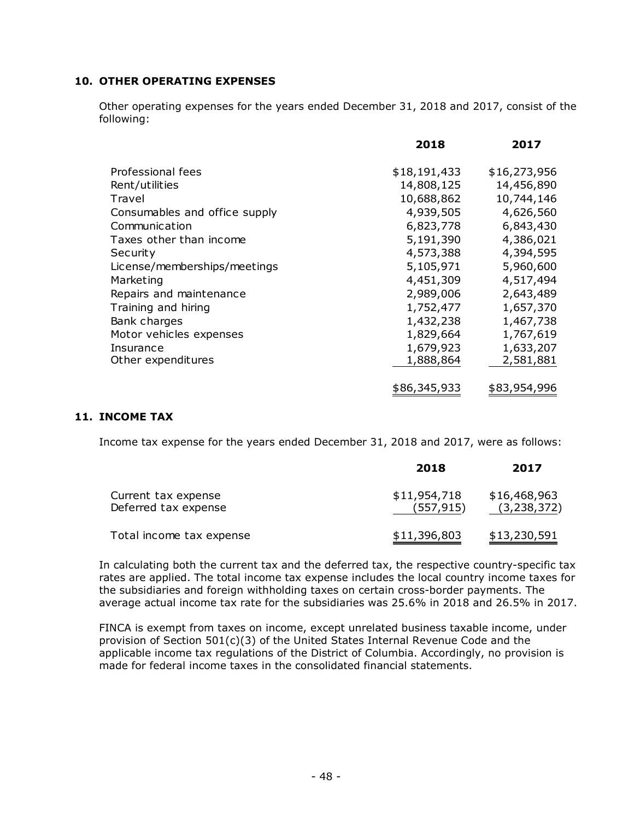### **10. OTHER OPERATING EXPENSES**

Other operating expenses for the years ended December 31, 2018 and 2017, consist of the following:

|                               | 2018         | 2017         |
|-------------------------------|--------------|--------------|
| Professional fees             | \$18,191,433 | \$16,273,956 |
| Rent/utilities                | 14,808,125   | 14,456,890   |
| Travel                        | 10,688,862   | 10,744,146   |
| Consumables and office supply | 4,939,505    | 4,626,560    |
| Communication                 | 6,823,778    | 6,843,430    |
| Taxes other than income       | 5,191,390    | 4,386,021    |
| Security                      | 4,573,388    | 4,394,595    |
| License/memberships/meetings  | 5,105,971    | 5,960,600    |
| Marketing                     | 4,451,309    | 4,517,494    |
| Repairs and maintenance       | 2,989,006    | 2,643,489    |
| Training and hiring           | 1,752,477    | 1,657,370    |
| Bank charges                  | 1,432,238    | 1,467,738    |
| Motor vehicles expenses       | 1,829,664    | 1,767,619    |
| Insurance                     | 1,679,923    | 1,633,207    |
| Other expenditures            | 1,888,864    | 2,581,881    |
|                               | \$86,345,933 | \$83,954,996 |

# **11. INCOME TAX**

Income tax expense for the years ended December 31, 2018 and 2017, were as follows:

|                                             | 2018                       | 2017                        |
|---------------------------------------------|----------------------------|-----------------------------|
| Current tax expense<br>Deferred tax expense | \$11,954,718<br>(557, 915) | \$16,468,963<br>(3,238,372) |
| Total income tax expense                    | \$11,396,803               | \$13,230,591                |

In calculating both the current tax and the deferred tax, the respective country-specific tax rates are applied. The total income tax expense includes the local country income taxes for the subsidiaries and foreign withholding taxes on certain cross-border payments. The average actual income tax rate for the subsidiaries was 25.6% in 2018 and 26.5% in 2017.

FINCA is exempt from taxes on income, except unrelated business taxable income, under provision of Section 501(c)(3) of the United States Internal Revenue Code and the applicable income tax regulations of the District of Columbia. Accordingly, no provision is made for federal income taxes in the consolidated financial statements.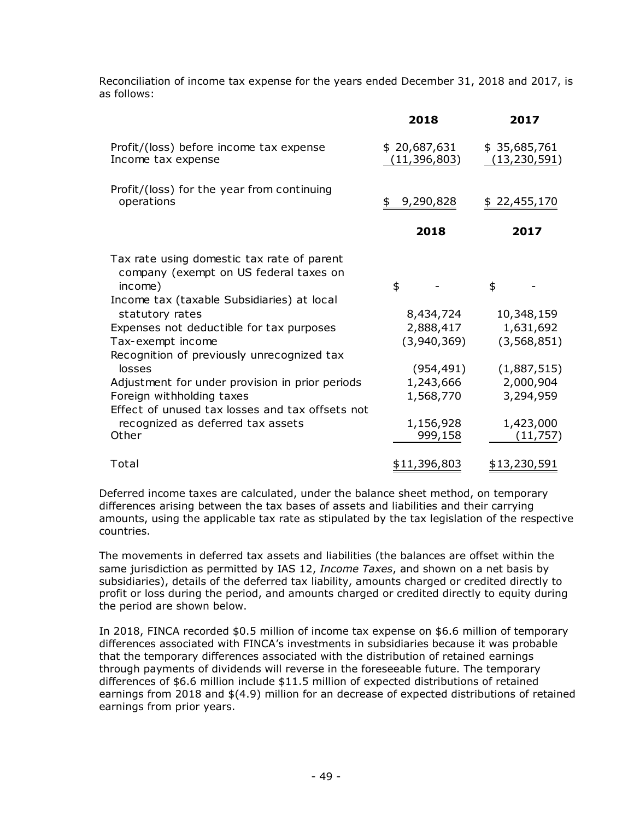Reconciliation of income tax expense for the years ended December 31, 2018 and 2017, is as follows:

|                                                                                                 | 2018                           | 2017                           |
|-------------------------------------------------------------------------------------------------|--------------------------------|--------------------------------|
| Profit/(loss) before income tax expense<br>Income tax expense                                   | \$20,687,631<br>(11, 396, 803) | \$35,685,761<br>(13, 230, 591) |
| Profit/(loss) for the year from continuing<br>operations                                        | 9,290,828                      | \$22,455,170                   |
|                                                                                                 | 2018                           | 2017                           |
| Tax rate using domestic tax rate of parent<br>company (exempt on US federal taxes on<br>income) | \$                             | \$                             |
| Income tax (taxable Subsidiaries) at local<br>statutory rates                                   | 8,434,724                      | 10,348,159                     |
| Expenses not deductible for tax purposes                                                        | 2,888,417                      | 1,631,692                      |
| Tax-exempt income<br>Recognition of previously unrecognized tax                                 | (3,940,369)                    | (3,568,851)                    |
| losses                                                                                          | (954, 491)                     | (1,887,515)                    |
| Adjustment for under provision in prior periods                                                 | 1,243,666                      | 2,000,904                      |
| Foreign withholding taxes                                                                       | 1,568,770                      | 3,294,959                      |
| Effect of unused tax losses and tax offsets not                                                 |                                |                                |
| recognized as deferred tax assets                                                               | 1,156,928                      | 1,423,000                      |
| Other                                                                                           | 999,158                        | (11, 757)                      |
| Total                                                                                           | \$11,396,803                   | \$13,230,591                   |

Deferred income taxes are calculated, under the balance sheet method, on temporary differences arising between the tax bases of assets and liabilities and their carrying amounts, using the applicable tax rate as stipulated by the tax legislation of the respective countries.

The movements in deferred tax assets and liabilities (the balances are offset within the same jurisdiction as permitted by IAS 12, *Income Taxes*, and shown on a net basis by subsidiaries), details of the deferred tax liability, amounts charged or credited directly to profit or loss during the period, and amounts charged or credited directly to equity during the period are shown below.

In 2018, FINCA recorded \$0.5 million of income tax expense on \$6.6 million of temporary differences associated with FINCA's investments in subsidiaries because it was probable that the temporary differences associated with the distribution of retained earnings through payments of dividends will reverse in the foreseeable future. The temporary differences of \$6.6 million include \$11.5 million of expected distributions of retained earnings from 2018 and \$(4.9) million for an decrease of expected distributions of retained earnings from prior years.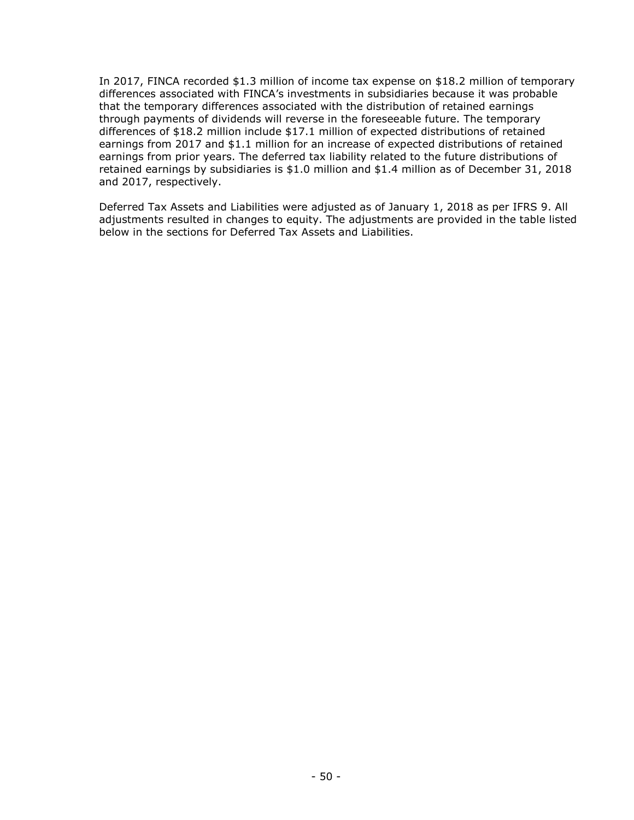In 2017, FINCA recorded \$1.3 million of income tax expense on \$18.2 million of temporary differences associated with FINCA's investments in subsidiaries because it was probable that the temporary differences associated with the distribution of retained earnings through payments of dividends will reverse in the foreseeable future. The temporary differences of \$18.2 million include \$17.1 million of expected distributions of retained earnings from 2017 and \$1.1 million for an increase of expected distributions of retained earnings from prior years. The deferred tax liability related to the future distributions of retained earnings by subsidiaries is \$1.0 million and \$1.4 million as of December 31, 2018 and 2017, respectively.

Deferred Tax Assets and Liabilities were adjusted as of January 1, 2018 as per IFRS 9. All adjustments resulted in changes to equity. The adjustments are provided in the table listed below in the sections for Deferred Tax Assets and Liabilities.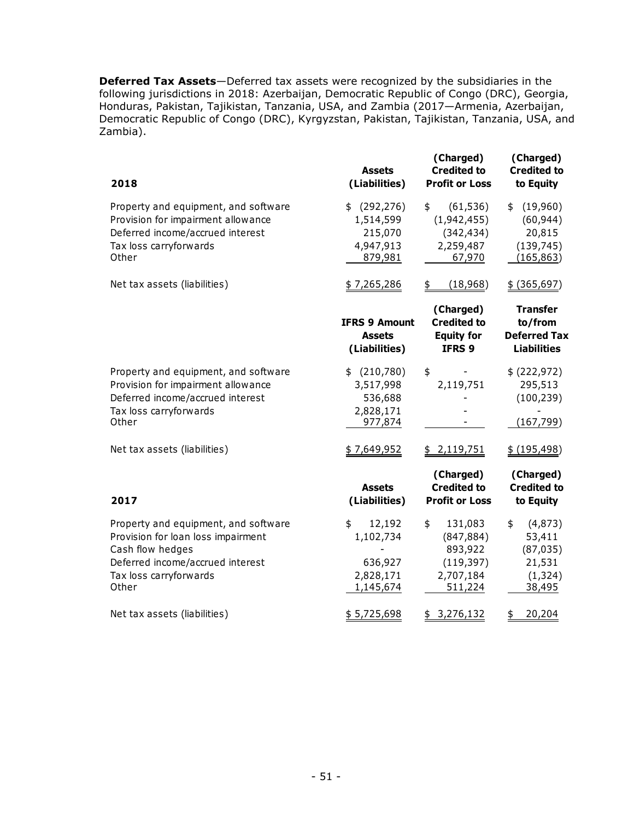**Deferred Tax Assets**—Deferred tax assets were recognized by the subsidiaries in the following jurisdictions in 2018: Azerbaijan, Democratic Republic of Congo (DRC), Georgia, Honduras, Pakistan, Tajikistan, Tanzania, USA, and Zambia (2017—Armenia, Azerbaijan, Democratic Republic of Congo (DRC), Kyrgyzstan, Pakistan, Tajikistan, Tanzania, USA, and Zambia).

| 2018                                                                                                                                                                  | <b>Assets</b><br>(Liabilities)                                 | (Charged)<br><b>Credited to</b><br><b>Profit or Loss</b>                     | (Charged)<br><b>Credited to</b><br>to Equity                            |
|-----------------------------------------------------------------------------------------------------------------------------------------------------------------------|----------------------------------------------------------------|------------------------------------------------------------------------------|-------------------------------------------------------------------------|
| Property and equipment, and software<br>Provision for impairment allowance<br>Deferred income/accrued interest<br>Tax loss carryforwards<br>Other                     | \$ (292, 276)<br>1,514,599<br>215,070<br>4,947,913<br>879,981  | \$<br>(61, 536)<br>(1,942,455)<br>(342, 434)<br>2,259,487<br>67,970          | (19,960)<br>\$<br>(60, 944)<br>20,815<br>(139, 745)<br>(165, 863)       |
| Net tax assets (liabilities)                                                                                                                                          | \$7,265,286                                                    | (18,968)<br>\$                                                               | \$ (365,697)                                                            |
|                                                                                                                                                                       | <b>IFRS 9 Amount</b><br><b>Assets</b><br>(Liabilities)         | (Charged)<br><b>Credited to</b><br><b>Equity for</b><br>IFRS 9               | <b>Transfer</b><br>to/from<br><b>Deferred Tax</b><br><b>Liabilities</b> |
| Property and equipment, and software<br>Provision for impairment allowance<br>Deferred income/accrued interest<br>Tax loss carryforwards<br>Other                     | \$ (210,780)<br>3,517,998<br>536,688<br>2,828,171<br>977,874   | \$<br>2,119,751                                                              | \$ (222, 972)<br>295,513<br>(100, 239)<br>(167, 799)                    |
| Net tax assets (liabilities)                                                                                                                                          | \$7,649,952                                                    | \$2,119,751                                                                  | \$ (195, 498)                                                           |
| 2017                                                                                                                                                                  | <b>Assets</b><br>(Liabilities)                                 | (Charged)<br><b>Credited to</b><br><b>Profit or Loss</b>                     | (Charged)<br><b>Credited to</b><br>to Equity                            |
| Property and equipment, and software<br>Provision for loan loss impairment<br>Cash flow hedges<br>Deferred income/accrued interest<br>Tax loss carryforwards<br>Other | 12,192<br>\$<br>1,102,734<br>636,927<br>2,828,171<br>1,145,674 | 131,083<br>\$<br>(847, 884)<br>893,922<br>(119, 397)<br>2,707,184<br>511,224 | \$<br>(4, 873)<br>53,411<br>(87, 035)<br>21,531<br>(1, 324)<br>38,495   |
| Net tax assets (liabilities)                                                                                                                                          | \$5,725,698                                                    | \$3,276,132                                                                  | 20,204<br>\$                                                            |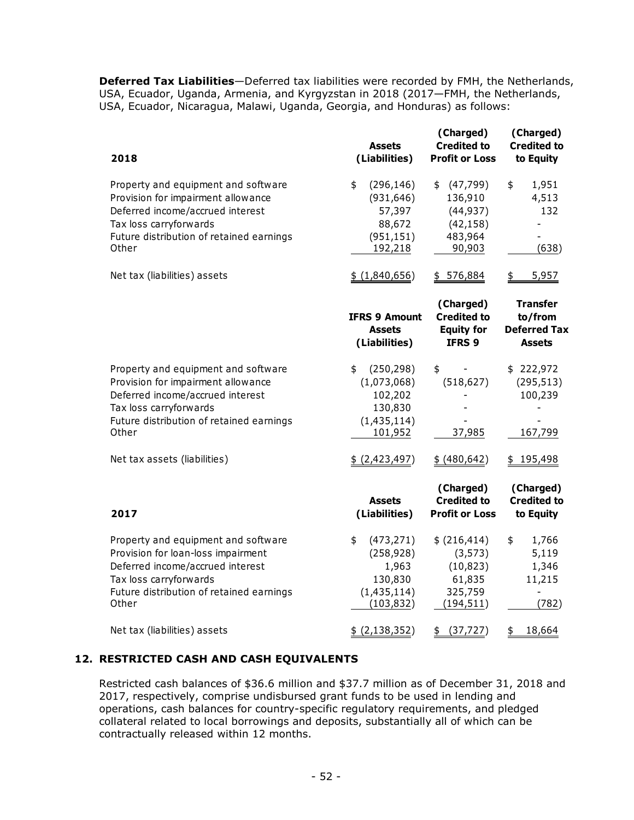**Deferred Tax Liabilities**—Deferred tax liabilities were recorded by FMH, the Netherlands, USA, Ecuador, Uganda, Armenia, and Kyrgyzstan in 2018 (2017—FMH, the Netherlands, USA, Ecuador, Nicaragua, Malawi, Uganda, Georgia, and Honduras) as follows:

| 2018                                                                                                                                                                                         | <b>Assets</b><br>(Liabilities)                                                    | (Charged)<br><b>Credited to</b><br><b>Profit or Loss</b>                  | (Charged)<br><b>Credited to</b><br>to Equity                       |
|----------------------------------------------------------------------------------------------------------------------------------------------------------------------------------------------|-----------------------------------------------------------------------------------|---------------------------------------------------------------------------|--------------------------------------------------------------------|
| Property and equipment and software<br>Provision for impairment allowance<br>Deferred income/accrued interest<br>Tax loss carryforwards<br>Future distribution of retained earnings<br>Other | (296, 146)<br>\$<br>(931, 646)<br>57,397<br>88,672<br>(951, 151)<br>192,218       | (47, 799)<br>\$<br>136,910<br>(44, 937)<br>(42, 158)<br>483,964<br>90,903 | 1,951<br>\$<br>4,513<br>132<br>$\overline{a}$<br>(638)             |
| Net tax (liabilities) assets                                                                                                                                                                 | \$ (1,840,656)                                                                    | \$576,884                                                                 | 5,957<br>\$                                                        |
|                                                                                                                                                                                              | <b>IFRS 9 Amount</b><br><b>Assets</b><br>(Liabilities)                            | (Charged)<br><b>Credited to</b><br><b>Equity for</b><br>IFRS 9            | <b>Transfer</b><br>to/from<br><b>Deferred Tax</b><br><b>Assets</b> |
| Property and equipment and software<br>Provision for impairment allowance<br>Deferred income/accrued interest<br>Tax loss carryforwards<br>Future distribution of retained earnings<br>Other | (250, 298)<br>\$<br>(1,073,068)<br>102,202<br>130,830<br>(1, 435, 114)<br>101,952 | \$<br>(518, 627)<br>37,985                                                | \$222,972<br>(295, 513)<br>100,239<br>167,799                      |
| Net tax assets (liabilities)                                                                                                                                                                 | \$ (2,423,497)                                                                    | \$ (480, 642)                                                             | 195,498<br>\$                                                      |
| 2017                                                                                                                                                                                         | <b>Assets</b><br>(Liabilities)                                                    | (Charged)<br><b>Credited to</b><br><b>Profit or Loss</b>                  | (Charged)<br><b>Credited to</b><br>to Equity                       |
| Property and equipment and software<br>Provision for loan-loss impairment<br>Deferred income/accrued interest<br>Tax loss carryforwards<br>Future distribution of retained earnings<br>Other | \$<br>(473, 271)<br>(258, 928)<br>1,963<br>130,830<br>(1, 435, 114)<br>(103, 832) | \$ (216, 414)<br>(3, 573)<br>(10, 823)<br>61,835<br>325,759<br>(194, 511) | \$<br>1,766<br>5,119<br>1,346<br>11,215<br>(782)                   |
| Net tax (liabilities) assets                                                                                                                                                                 | \$ (2,138,352)                                                                    | (37, 727)<br>\$                                                           | 18,664                                                             |

# **12. RESTRICTED CASH AND CASH EQUIVALENTS**

Restricted cash balances of \$36.6 million and \$37.7 million as of December 31, 2018 and 2017, respectively, comprise undisbursed grant funds to be used in lending and operations, cash balances for country-specific regulatory requirements, and pledged collateral related to local borrowings and deposits, substantially all of which can be contractually released within 12 months.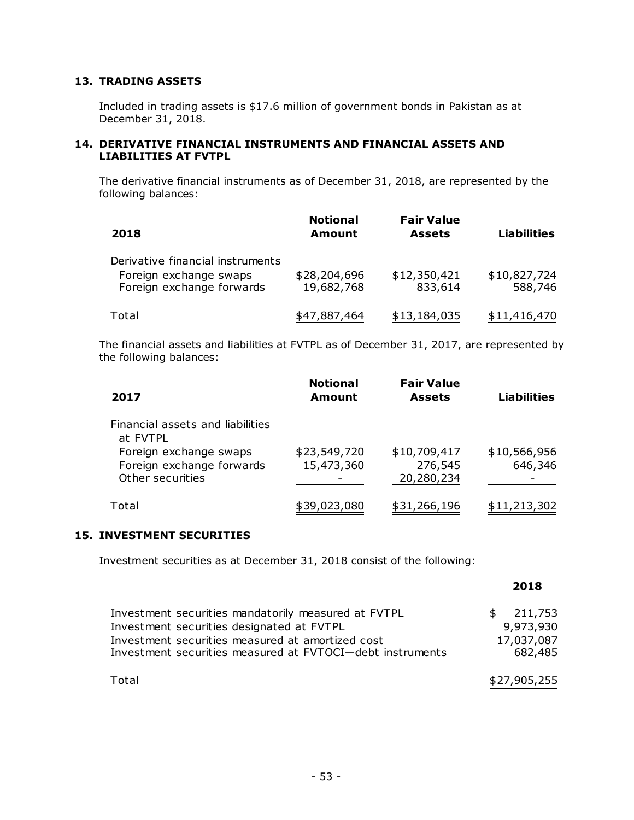### **13. TRADING ASSETS**

Included in trading assets is \$17.6 million of government bonds in Pakistan as at December 31, 2018.

#### **14. DERIVATIVE FINANCIAL INSTRUMENTS AND FINANCIAL ASSETS AND LIABILITIES AT FVTPL**

The derivative financial instruments as of December 31, 2018, are represented by the following balances:

| 2018                                                                                    | <b>Notional</b><br><b>Amount</b> | <b>Fair Value</b><br><b>Assets</b> | <b>Liabilities</b>      |
|-----------------------------------------------------------------------------------------|----------------------------------|------------------------------------|-------------------------|
| Derivative financial instruments<br>Foreign exchange swaps<br>Foreign exchange forwards | \$28,204,696<br>19,682,768       | \$12,350,421<br>833,614            | \$10,827,724<br>588,746 |
| Total                                                                                   | \$47,887,464                     | \$13,184,035                       | \$11,416,470            |

The financial assets and liabilities at FVTPL as of December 31, 2017, are represented by the following balances:

| 2017                                         | <b>Notional</b><br>Amount | <b>Fair Value</b><br><b>Assets</b> | <b>Liabilities</b> |
|----------------------------------------------|---------------------------|------------------------------------|--------------------|
| Financial assets and liabilities<br>at FVTPL |                           |                                    |                    |
| Foreign exchange swaps                       | \$23,549,720              | \$10,709,417                       | \$10,566,956       |
| Foreign exchange forwards                    | 15,473,360                | 276,545                            | 646,346            |
| Other securities                             |                           | 20,280,234                         |                    |
| Total                                        | \$39,023,080              | \$31,266,196                       | \$11,213,302       |

#### **15. INVESTMENT SECURITIES**

Investment securities as at December 31, 2018 consist of the following:

|                                                                                                               | 2018                  |
|---------------------------------------------------------------------------------------------------------------|-----------------------|
| Investment securities mandatorily measured at FVTPL                                                           | 211,753<br>\$.        |
| Investment securities designated at FVTPL                                                                     | 9,973,930             |
| Investment securities measured at amortized cost<br>Investment securities measured at FVTOCI-debt instruments | 17,037,087<br>682,485 |
| Total                                                                                                         | \$27,905,255          |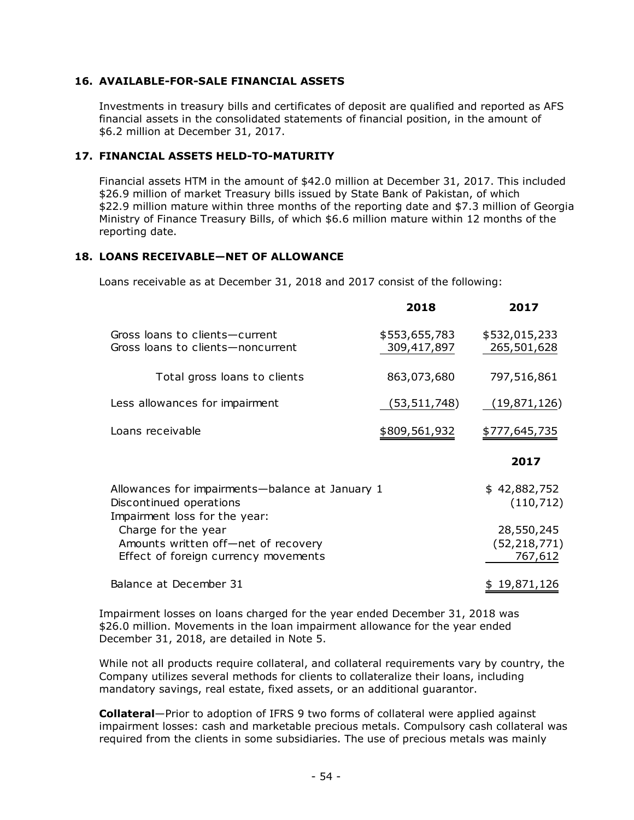#### **16. AVAILABLE-FOR-SALE FINANCIAL ASSETS**

Investments in treasury bills and certificates of deposit are qualified and reported as AFS financial assets in the consolidated statements of financial position, in the amount of \$6.2 million at December 31, 2017.

### **17. FINANCIAL ASSETS HELD-TO-MATURITY**

Financial assets HTM in the amount of \$42.0 million at December 31, 2017. This included \$26.9 million of market Treasury bills issued by State Bank of Pakistan, of which \$22.9 million mature within three months of the reporting date and \$7.3 million of Georgia Ministry of Finance Treasury Bills, of which \$6.6 million mature within 12 months of the reporting date.

#### **18. LOANS RECEIVABLE—NET OF ALLOWANCE**

Loans receivable as at December 31, 2018 and 2017 consist of the following:

|                                                                                                             | 2018                         | 2017                                    |
|-------------------------------------------------------------------------------------------------------------|------------------------------|-----------------------------------------|
| Gross loans to clients—current<br>Gross loans to clients-noncurrent                                         | \$553,655,783<br>309,417,897 | \$532,015,233<br>265,501,628            |
| Total gross loans to clients                                                                                | 863,073,680                  | 797,516,861                             |
| Less allowances for impairment                                                                              | (53,511,748)                 | (19,871,126)                            |
| Loans receivable                                                                                            | \$809,561,932                | \$777,645,735                           |
|                                                                                                             |                              | 2017                                    |
| Allowances for impairments-balance at January 1<br>Discontinued operations<br>Impairment loss for the year: |                              | \$42,882,752<br>(110, 712)              |
| Charge for the year<br>Amounts written off—net of recovery<br>Effect of foreign currency movements          |                              | 28,550,245<br>(52, 218, 771)<br>767,612 |
| Balance at December 31                                                                                      |                              | 19,871,126                              |

Impairment losses on loans charged for the year ended December 31, 2018 was \$26.0 million. Movements in the loan impairment allowance for the year ended December 31, 2018, are detailed in Note 5.

While not all products require collateral, and collateral requirements vary by country, the Company utilizes several methods for clients to collateralize their loans, including mandatory savings, real estate, fixed assets, or an additional guarantor.

**Collateral**—Prior to adoption of IFRS 9 two forms of collateral were applied against impairment losses: cash and marketable precious metals. Compulsory cash collateral was required from the clients in some subsidiaries. The use of precious metals was mainly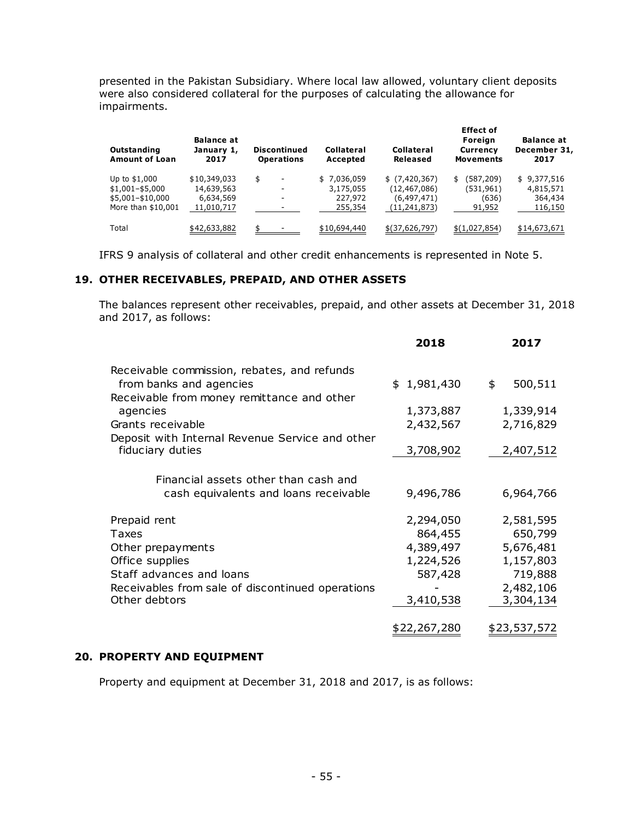presented in the Pakistan Subsidiary. Where local law allowed, voluntary client deposits were also considered collateral for the purposes of calculating the allowance for impairments.

| Outstanding<br><b>Amount of Loan</b>                                         | <b>Balance at</b><br>January 1,<br>2017               | <b>Discontinued</b><br><b>Operations</b>                                                    | <b>Collateral</b><br>Accepted                  | <b>Collateral</b><br>Released                                   | <b>Effect of</b><br>Foreign<br><b>Currency</b><br><b>Movements</b> | <b>Balance at</b><br>December 31,<br>2017      |
|------------------------------------------------------------------------------|-------------------------------------------------------|---------------------------------------------------------------------------------------------|------------------------------------------------|-----------------------------------------------------------------|--------------------------------------------------------------------|------------------------------------------------|
| Up to \$1,000<br>$$1,001 - $5,000$<br>\$5,001-\$10,000<br>More than \$10,001 | \$10,349,033<br>14,639,563<br>6,634,569<br>11,010,717 | \$<br>$\overline{\phantom{0}}$<br>-<br>$\overline{\phantom{0}}$<br>$\overline{\phantom{0}}$ | \$7,036,059<br>3,175,055<br>227,972<br>255,354 | \$ (7,420,367)<br>(12,467,086)<br>(6,497,471)<br>(11, 241, 873) | (587,209)<br>\$<br>(531,961)<br>(636)<br>91,952                    | \$9,377,516<br>4,815,571<br>364,434<br>116,150 |
| Total                                                                        | \$42,633,882                                          | ¢<br>-                                                                                      | \$10,694,440                                   | $$$ (37,626,797)                                                | \$(1,027,854)                                                      | \$14,673,671                                   |

IFRS 9 analysis of collateral and other credit enhancements is represented in Note 5.

#### **19. OTHER RECEIVABLES, PREPAID, AND OTHER ASSETS**

The balances represent other receivables, prepaid, and other assets at December 31, 2018 and 2017, as follows:

|                                                                               | 2018         | 2017                   |
|-------------------------------------------------------------------------------|--------------|------------------------|
| Receivable commission, rebates, and refunds<br>from banks and agencies        | \$1,981,430  | 500,511<br>\$          |
| Receivable from money remittance and other<br>agencies                        | 1,373,887    | 1,339,914              |
| Grants receivable                                                             | 2,432,567    | 2,716,829              |
| Deposit with Internal Revenue Service and other<br>fiduciary duties           | 3,708,902    | 2,407,512              |
| Financial assets other than cash and<br>cash equivalents and loans receivable | 9,496,786    | 6,964,766              |
| Prepaid rent                                                                  | 2,294,050    | 2,581,595              |
| Taxes                                                                         | 864,455      | 650,799                |
| Other prepayments                                                             | 4,389,497    | 5,676,481              |
| Office supplies                                                               | 1,224,526    | 1,157,803              |
| Staff advances and loans                                                      | 587,428      | 719,888                |
| Receivables from sale of discontinued operations<br>Other debtors             | 3,410,538    | 2,482,106<br>3,304,134 |
|                                                                               |              |                        |
|                                                                               | \$22,267,280 | \$23,537,572           |

# **20. PROPERTY AND EQUIPMENT**

Property and equipment at December 31, 2018 and 2017, is as follows: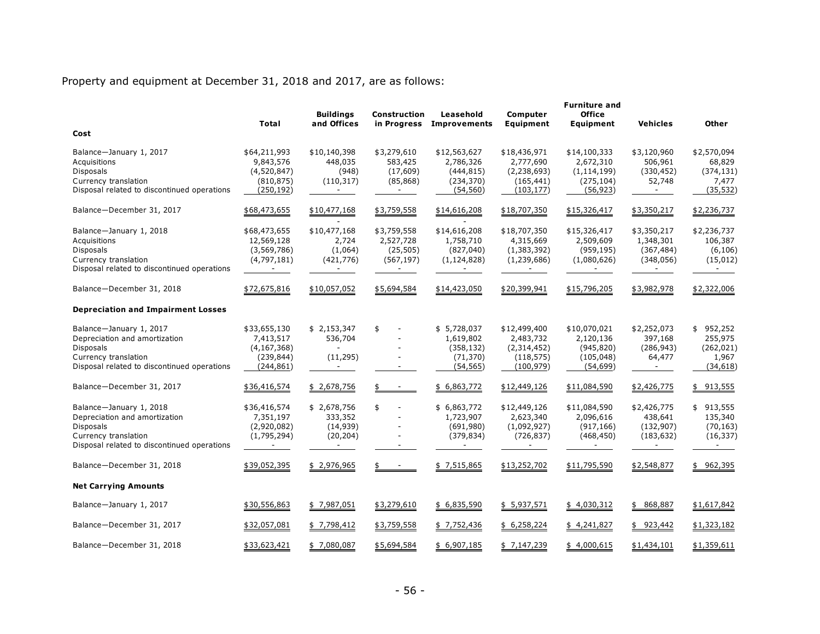# Property and equipment at December 31, 2018 and 2017, are as follows:

|                                                                                                                                              | Total                                                                | <b>Buildings</b><br>and Offices                  | Construction<br>in Progress                         | Leasehold<br><b>Improvements</b>                                   | Computer<br>Equipment                                                | <b>Furniture and</b><br><b>Office</b><br><b>Equipment</b>             | <b>Vehicles</b>                                              | Other                                                     |
|----------------------------------------------------------------------------------------------------------------------------------------------|----------------------------------------------------------------------|--------------------------------------------------|-----------------------------------------------------|--------------------------------------------------------------------|----------------------------------------------------------------------|-----------------------------------------------------------------------|--------------------------------------------------------------|-----------------------------------------------------------|
| Cost                                                                                                                                         |                                                                      |                                                  |                                                     |                                                                    |                                                                      |                                                                       |                                                              |                                                           |
| Balance-January 1, 2017<br>Acquisitions<br>Disposals<br>Currency translation<br>Disposal related to discontinued operations                  | \$64,211,993<br>9,843,576<br>(4,520,847)<br>(810,875)<br>(250,192)   | \$10,140,398<br>448,035<br>(948)<br>(110, 317)   | \$3,279,610<br>583,425<br>(17,609)<br>(85, 868)     | \$12,563,627<br>2,786,326<br>(444, 815)<br>(234, 370)<br>(54, 560) | \$18,436,971<br>2,777,690<br>(2,238,693)<br>(165, 441)<br>(103, 177) | \$14,100,333<br>2,672,310<br>(1, 114, 199)<br>(275, 104)<br>(56, 923) | \$3,120,960<br>506,961<br>(330, 452)<br>52,748<br>$\sim 100$ | \$2,570,094<br>68,829<br>(374, 131)<br>7,477<br>(35, 532) |
| Balance-December 31, 2017                                                                                                                    | \$68,473,655                                                         | \$10,477,168                                     | \$3,759,558                                         | \$14,616,208                                                       | \$18,707,350                                                         | \$15,326,417                                                          | \$3,350,217                                                  | \$2,236,737                                               |
| Balance-January 1, 2018<br>Acquisitions<br>Disposals<br>Currency translation<br>Disposal related to discontinued operations                  | \$68,473,655<br>12,569,128<br>(3,569,786)<br>(4,797,181)             | \$10,477,168<br>2,724<br>(1,064)<br>(421, 776)   | \$3,759,558<br>2,527,728<br>(25, 505)<br>(567, 197) | \$14,616,208<br>1,758,710<br>(827,040)<br>(1, 124, 828)            | \$18,707,350<br>4,315,669<br>(1, 383, 392)<br>(1, 239, 686)          | \$15,326,417<br>2,509,609<br>(959, 195)<br>(1,080,626)                | \$3,350,217<br>1,348,301<br>(367, 484)<br>(348, 056)         | \$2,236,737<br>106,387<br>(6, 106)<br>(15, 012)           |
| Balance-December 31, 2018                                                                                                                    | \$72,675,816                                                         | \$10,057,052                                     | \$5,694,584                                         | \$14,423,050                                                       | \$20,399,941                                                         | \$15,796,205                                                          | \$3,982,978                                                  | \$2,322,006                                               |
| <b>Depreciation and Impairment Losses</b>                                                                                                    |                                                                      |                                                  |                                                     |                                                                    |                                                                      |                                                                       |                                                              |                                                           |
| Balance-January 1, 2017<br>Depreciation and amortization<br>Disposals<br>Currency translation<br>Disposal related to discontinued operations | \$33,655,130<br>7,413,517<br>(4, 167, 368)<br>(239,844)<br>(244,861) | \$2,153,347<br>536,704<br>(11, 295)              | \$<br>÷.                                            | \$5,728,037<br>1,619,802<br>(358, 132)<br>(71, 370)<br>(54,565)    | \$12,499,400<br>2,483,732<br>(2,314,452)<br>(118, 575)<br>(100, 979) | \$10,070,021<br>2,120,136<br>(945, 820)<br>(105, 048)<br>(54, 699)    | \$2,252,073<br>397,168<br>(286, 943)<br>64,477               | \$952,252<br>255,975<br>(262, 021)<br>1,967<br>(34, 618)  |
| Balance-December 31, 2017                                                                                                                    | \$36,416,574                                                         | \$2,678,756                                      | $\pm$<br>\$_                                        | \$6,863,772                                                        | \$12,449,126                                                         | \$11,084,590                                                          | \$2,426,775                                                  | \$913,555                                                 |
| Balance-January 1, 2018<br>Depreciation and amortization<br>Disposals<br>Currency translation<br>Disposal related to discontinued operations | \$36,416,574<br>7,351,197<br>(2,920,082)<br>(1,795,294)              | \$2,678,756<br>333,352<br>(14, 939)<br>(20, 204) | \$<br>ä,<br>$\sim$<br>$\overline{\phantom{a}}$      | \$6,863,772<br>1,723,907<br>(691,980)<br>(379, 834)                | \$12,449,126<br>2,623,340<br>(1,092,927)<br>(726, 837)               | \$11,084,590<br>2,096,616<br>(917, 166)<br>(468, 450)                 | \$2,426,775<br>438,641<br>(132, 907)<br>(183, 632)           | \$913,555<br>135,340<br>(70, 163)<br>(16, 337)            |
| Balance-December 31, 2018                                                                                                                    | \$39,052,395                                                         | \$2,976,965                                      | \$                                                  | \$7,515,865                                                        | \$13,252,702                                                         | \$11,795,590                                                          | \$2,548,877                                                  | \$962,395                                                 |
| <b>Net Carrying Amounts</b>                                                                                                                  |                                                                      |                                                  |                                                     |                                                                    |                                                                      |                                                                       |                                                              |                                                           |
| Balance-January 1, 2017                                                                                                                      | \$30,556,863                                                         | \$7,987,051                                      | \$3,279,610                                         | \$6,835,590                                                        | \$5,937,571                                                          | \$4,030,312                                                           | \$868,887                                                    | \$1,617,842                                               |
| Balance-December 31, 2017                                                                                                                    | \$32,057,081                                                         | \$7,798,412                                      | \$3,759,558                                         | \$7,752,436                                                        | \$6,258,224                                                          | \$4,241,827                                                           | \$923,442                                                    | \$1,323,182                                               |
| Balance-December 31, 2018                                                                                                                    | \$33,623,421                                                         | \$7,080,087                                      | \$5,694,584                                         | \$6,907,185                                                        | \$7,147,239                                                          | \$4,000,615                                                           | \$1,434,101                                                  | \$1,359,611                                               |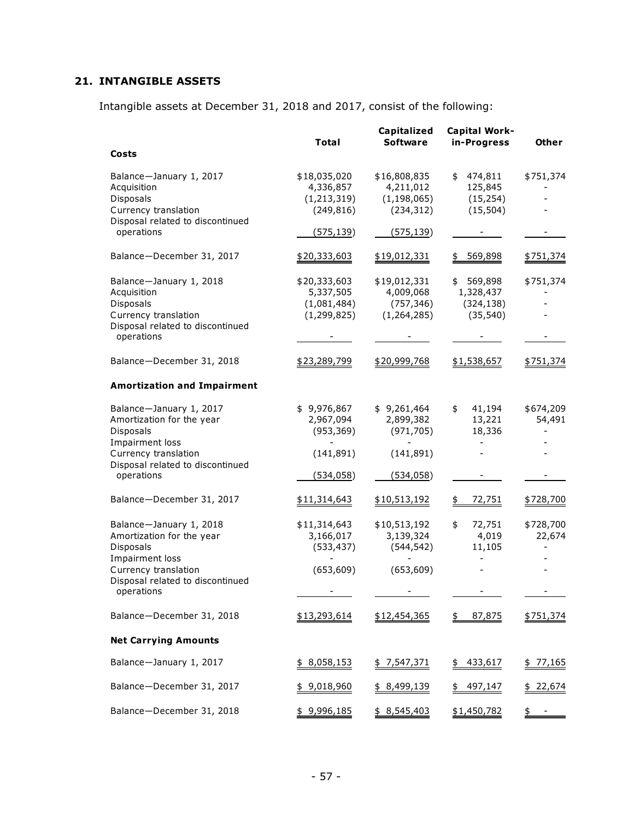# **21. INTANGIBLE ASSETS**

Intangible assets at December 31, 2018 and 2017, consist of the following:

|                                                                                                                               | <b>Total</b>                                              | Capitalized<br><b>Software</b>                           | <b>Capital Work-</b><br>in-Progress                | <b>Other</b>                                    |
|-------------------------------------------------------------------------------------------------------------------------------|-----------------------------------------------------------|----------------------------------------------------------|----------------------------------------------------|-------------------------------------------------|
| Costs                                                                                                                         |                                                           |                                                          |                                                    |                                                 |
| Balance-January 1, 2017<br>Acquisition<br>Disposals<br>Currency translation                                                   | \$18,035,020<br>4,336,857<br>(1, 213, 319)<br>(249, 816)  | \$16,808,835<br>4,211,012<br>(1, 198, 065)<br>(234, 312) | 474,811<br>\$<br>125,845<br>(15, 254)<br>(15, 504) | \$751,374                                       |
| Disposal related to discontinued<br>operations                                                                                | (575, 139)                                                | (575, 139)                                               |                                                    |                                                 |
| Balance-December 31, 2017                                                                                                     | \$20,333,603                                              | \$19,012,331                                             | 569,898                                            | \$751,374                                       |
| Balance-January 1, 2018<br>Acquisition<br>Disposals<br>Currency translation<br>Disposal related to discontinued<br>operations | \$20,333,603<br>5,337,505<br>(1,081,484)<br>(1, 299, 825) | \$19,012,331<br>4,009,068<br>(757, 346)<br>(1, 264, 285) | \$569,898<br>1,328,437<br>(324, 138)<br>(35, 540)  | \$751,374                                       |
| Balance-December 31, 2018                                                                                                     | \$23,289,799                                              | \$20,999,768                                             | \$1,538,657                                        | \$751,374                                       |
| <b>Amortization and Impairment</b>                                                                                            |                                                           |                                                          |                                                    |                                                 |
| Balance-January 1, 2017<br>Amortization for the year<br>Disposals<br><b>Impairment loss</b>                                   | \$9,976,867<br>2,967,094<br>(953, 369)                    | \$9,261,464<br>2,899,382<br>(971, 705)                   | \$<br>41,194<br>13,221<br>18,336                   | \$674,209<br>54,491                             |
| Currency translation<br>Disposal related to discontinued<br>operations                                                        | (141, 891)<br>(534, 058)                                  | (141, 891)<br>(534, 058)                                 |                                                    |                                                 |
| Balance-December 31, 2017                                                                                                     | \$11,314,643                                              | \$10,513,192                                             | 72,751<br>\$                                       | \$728,700                                       |
| Balance-January 1, 2018<br>Amortization for the year<br><b>Disposals</b><br>Impairment loss                                   | \$11,314,643<br>3,166,017<br>(533, 437)                   | \$10,513,192<br>3,139,324<br>(544, 542)                  | \$<br>72,751<br>4,019<br>11,105                    | \$728,700<br>22,674<br>$\overline{\phantom{0}}$ |
| Currency translation<br>Disposal related to discontinued<br>operations                                                        | (653, 609)                                                | (653, 609)                                               |                                                    |                                                 |
| Balance-December 31, 2018                                                                                                     | \$13,293,614                                              | <u>\$12,454,365</u>                                      | 87,875                                             | <u>\$751,374</u>                                |
| <b>Net Carrying Amounts</b>                                                                                                   |                                                           |                                                          |                                                    |                                                 |
| Balance-January 1, 2017                                                                                                       | <u>\$ 8,058,153</u>                                       | <u>\$7,547,371</u>                                       | 433,617                                            | <u>\$77,165</u>                                 |
| Balance-December 31, 2017                                                                                                     | <u>\$9,018,960</u>                                        | <u>\$8,499,139</u>                                       | <u>\$497,147</u>                                   | <u>\$22,674</u>                                 |
| Balance-December 31, 2018                                                                                                     | <u>\$9,996,185</u>                                        | \$8,545,403                                              | <u>\$1,450,782</u>                                 |                                                 |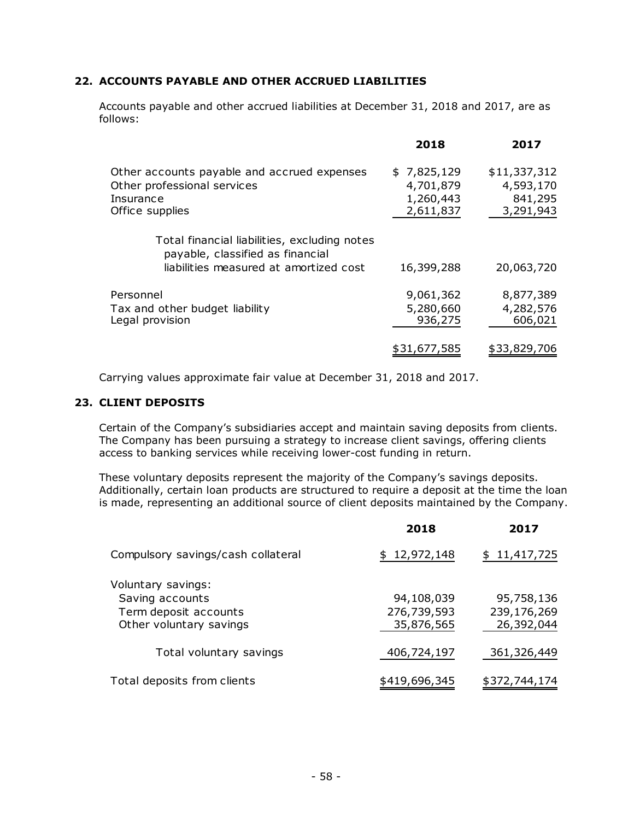### **22. ACCOUNTS PAYABLE AND OTHER ACCRUED LIABILITIES**

Accounts payable and other accrued liabilities at December 31, 2018 and 2017, are as follows:

|                                                                                                                            | 2018                                               | 2017                                              |
|----------------------------------------------------------------------------------------------------------------------------|----------------------------------------------------|---------------------------------------------------|
| Other accounts payable and accrued expenses<br>Other professional services<br>Insurance<br>Office supplies                 | \$7,825,129<br>4,701,879<br>1,260,443<br>2,611,837 | \$11,337,312<br>4,593,170<br>841,295<br>3,291,943 |
| Total financial liabilities, excluding notes<br>payable, classified as financial<br>liabilities measured at amortized cost | 16,399,288                                         | 20,063,720                                        |
| Personnel<br>Tax and other budget liability<br>Legal provision                                                             | 9,061,362<br>5,280,660<br>936,275                  | 8,877,389<br>4,282,576<br>606,021                 |
|                                                                                                                            | \$31,677,585                                       | \$33,829,706                                      |

Carrying values approximate fair value at December 31, 2018 and 2017.

#### **23. CLIENT DEPOSITS**

Certain of the Company's subsidiaries accept and maintain saving deposits from clients. The Company has been pursuing a strategy to increase client savings, offering clients access to banking services while receiving lower-cost funding in return.

These voluntary deposits represent the majority of the Company's savings deposits. Additionally, certain loan products are structured to require a deposit at the time the loan is made, representing an additional source of client deposits maintained by the Company.

|                                    | 2018          | 2017          |
|------------------------------------|---------------|---------------|
| Compulsory savings/cash collateral | \$12,972,148  | \$11,417,725  |
| Voluntary savings:                 |               |               |
| Saving accounts                    | 94,108,039    | 95,758,136    |
| Term deposit accounts              | 276,739,593   | 239,176,269   |
| Other voluntary savings            | 35,876,565    | 26,392,044    |
| Total voluntary savings            | 406,724,197   | 361,326,449   |
| Total deposits from clients        | \$419,696,345 | \$372,744,174 |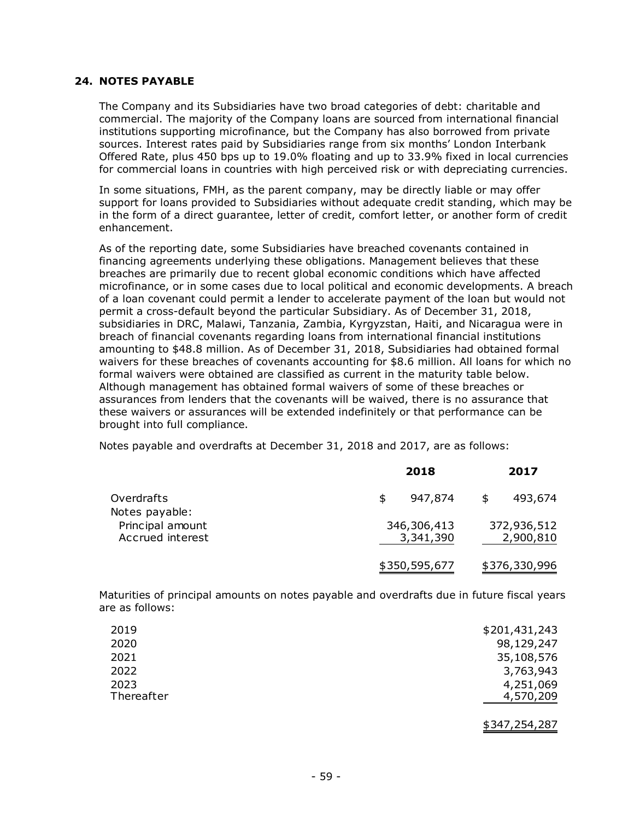#### **24. NOTES PAYABLE**

The Company and its Subsidiaries have two broad categories of debt: charitable and commercial. The majority of the Company loans are sourced from international financial institutions supporting microfinance, but the Company has also borrowed from private sources. Interest rates paid by Subsidiaries range from six months' London Interbank Offered Rate, plus 450 bps up to 19.0% floating and up to 33.9% fixed in local currencies for commercial loans in countries with high perceived risk or with depreciating currencies.

In some situations, FMH, as the parent company, may be directly liable or may offer support for loans provided to Subsidiaries without adequate credit standing, which may be in the form of a direct guarantee, letter of credit, comfort letter, or another form of credit enhancement.

As of the reporting date, some Subsidiaries have breached covenants contained in financing agreements underlying these obligations. Management believes that these breaches are primarily due to recent global economic conditions which have affected microfinance, or in some cases due to local political and economic developments. A breach of a loan covenant could permit a lender to accelerate payment of the loan but would not permit a cross-default beyond the particular Subsidiary. As of December 31, 2018, subsidiaries in DRC, Malawi, Tanzania, Zambia, Kyrgyzstan, Haiti, and Nicaragua were in breach of financial covenants regarding loans from international financial institutions amounting to \$48.8 million. As of December 31, 2018, Subsidiaries had obtained formal waivers for these breaches of covenants accounting for \$8.6 million. All loans for which no formal waivers were obtained are classified as current in the maturity table below. Although management has obtained formal waivers of some of these breaches or assurances from lenders that the covenants will be waived, there is no assurance that these waivers or assurances will be extended indefinitely or that performance can be brought into full compliance.

Notes payable and overdrafts at December 31, 2018 and 2017, are as follows:

|                                                        | 2018                     | 2017                     |
|--------------------------------------------------------|--------------------------|--------------------------|
| Overdrafts                                             | 947,874<br>\$            | 493,674<br>\$            |
| Notes payable:<br>Principal amount<br>Accrued interest | 346,306,413<br>3,341,390 | 372,936,512<br>2,900,810 |
|                                                        | \$350,595,677            | \$376,330,996            |

Maturities of principal amounts on notes payable and overdrafts due in future fiscal years are as follows:

| 2019       | \$201,431,243 |
|------------|---------------|
| 2020       | 98,129,247    |
| 2021       | 35,108,576    |
| 2022       | 3,763,943     |
| 2023       | 4,251,069     |
| Thereafter | 4,570,209     |
|            |               |
|            | \$347,254,287 |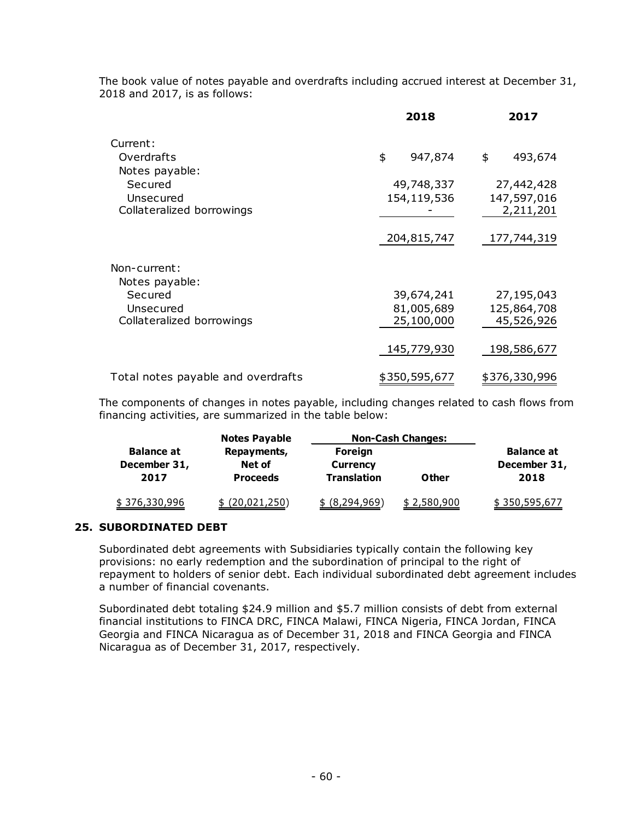The book value of notes payable and overdrafts including accrued interest at December 31, 2018 and 2017, is as follows:

| 2018          | 2017                                                                |
|---------------|---------------------------------------------------------------------|
|               |                                                                     |
| \$<br>947,874 | \$<br>493,674                                                       |
|               | 27,442,428                                                          |
|               | 147,597,016                                                         |
|               | 2,211,201                                                           |
| 204,815,747   | 177,744,319                                                         |
|               |                                                                     |
|               |                                                                     |
|               | 27,195,043                                                          |
|               | 125,864,708<br>45,526,926                                           |
|               |                                                                     |
| 145,779,930   | 198,586,677                                                         |
| \$350,595,677 | \$376,330,996                                                       |
|               | 49,748,337<br>154,119,536<br>39,674,241<br>81,005,689<br>25,100,000 |

The components of changes in notes payable, including changes related to cash flows from financing activities, are summarized in the table below:

|                                           | <b>Notes Payable</b>                     |                                                  | <b>Non-Cash Changes:</b> |                                           |
|-------------------------------------------|------------------------------------------|--------------------------------------------------|--------------------------|-------------------------------------------|
| <b>Balance at</b><br>December 31,<br>2017 | Repayments,<br>Net of<br><b>Proceeds</b> | Foreign<br><b>Currency</b><br><b>Translation</b> | Other                    | <b>Balance at</b><br>December 31,<br>2018 |
| \$376,330,996                             | (20,021,250)                             | (8, 294, 969)                                    | \$2,580,900              | \$350,595,677                             |

### **25. SUBORDINATED DEBT**

Subordinated debt agreements with Subsidiaries typically contain the following key provisions: no early redemption and the subordination of principal to the right of repayment to holders of senior debt. Each individual subordinated debt agreement includes a number of financial covenants.

Subordinated debt totaling \$24.9 million and \$5.7 million consists of debt from external financial institutions to FINCA DRC, FINCA Malawi, FINCA Nigeria, FINCA Jordan, FINCA Georgia and FINCA Nicaragua as of December 31, 2018 and FINCA Georgia and FINCA Nicaragua as of December 31, 2017, respectively.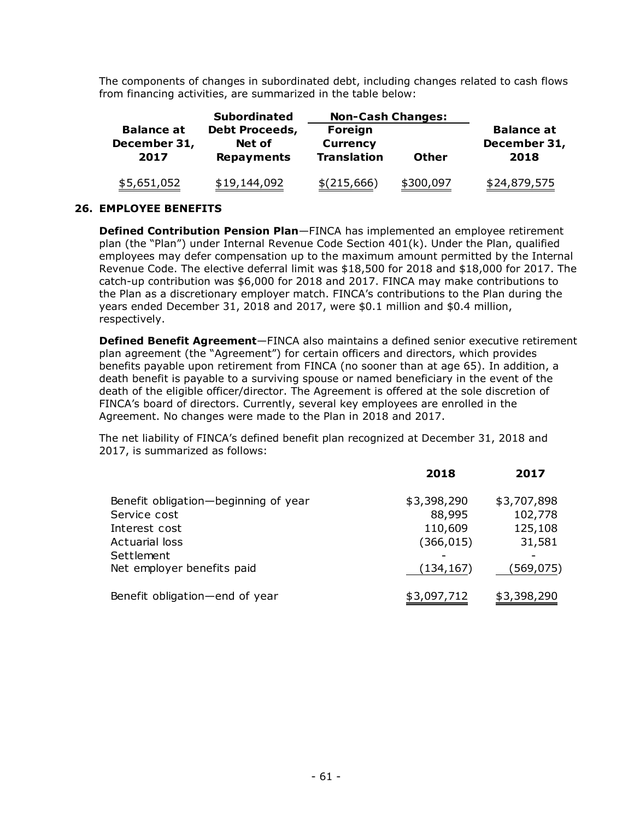The components of changes in subordinated debt, including changes related to cash flows from financing activities, are summarized in the table below:

|                                           | <b>Subordinated</b>                                  | <b>Non-Cash Changes:</b>                         |              |                                           |
|-------------------------------------------|------------------------------------------------------|--------------------------------------------------|--------------|-------------------------------------------|
| <b>Balance at</b><br>December 31,<br>2017 | <b>Debt Proceeds,</b><br>Net of<br><b>Repayments</b> | Foreign<br><b>Currency</b><br><b>Translation</b> | <b>Other</b> | <b>Balance at</b><br>December 31,<br>2018 |
| \$5,651,052                               | \$19,144,092                                         | \$(215,666)                                      | \$300,097    | \$24,879,575                              |

### **26. EMPLOYEE BENEFITS**

**Defined Contribution Pension Plan**—FINCA has implemented an employee retirement plan (the "Plan") under Internal Revenue Code Section 401(k). Under the Plan, qualified employees may defer compensation up to the maximum amount permitted by the Internal Revenue Code. The elective deferral limit was \$18,500 for 2018 and \$18,000 for 2017. The catch-up contribution was \$6,000 for 2018 and 2017. FINCA may make contributions to the Plan as a discretionary employer match. FINCA's contributions to the Plan during the years ended December 31, 2018 and 2017, were \$0.1 million and \$0.4 million, respectively.

**Defined Benefit Agreement**—FINCA also maintains a defined senior executive retirement plan agreement (the "Agreement") for certain officers and directors, which provides benefits payable upon retirement from FINCA (no sooner than at age 65). In addition, a death benefit is payable to a surviving spouse or named beneficiary in the event of the death of the eligible officer/director. The Agreement is offered at the sole discretion of FINCA's board of directors. Currently, several key employees are enrolled in the Agreement. No changes were made to the Plan in 2018 and 2017.

The net liability of FINCA's defined benefit plan recognized at December 31, 2018 and 2017, is summarized as follows:

|                                      | 2018        | 2017        |
|--------------------------------------|-------------|-------------|
| Benefit obligation-beginning of year | \$3,398,290 | \$3,707,898 |
| Service cost                         | 88,995      | 102,778     |
| Interest cost                        | 110,609     | 125,108     |
| Actuarial loss                       | (366, 015)  | 31,581      |
| Settlement                           |             |             |
| Net employer benefits paid           | (134, 167)  | (569,075)   |
| Benefit obligation-end of year       | \$3,097,712 | \$3,398,290 |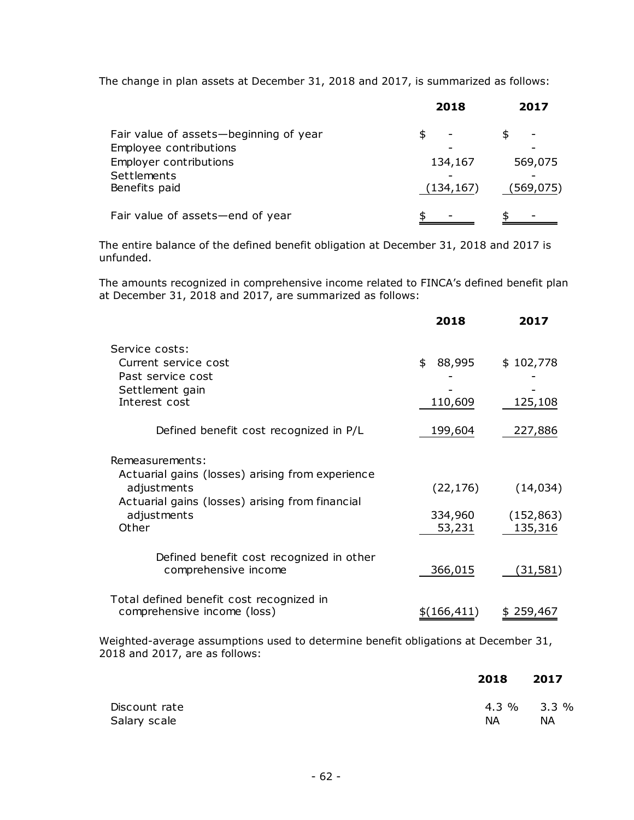The change in plan assets at December 31, 2018 and 2017, is summarized as follows:

|                                        | 2018       | 2017                     |
|----------------------------------------|------------|--------------------------|
| Fair value of assets—beginning of year | \$         | $\overline{\phantom{a}}$ |
| Employee contributions                 |            |                          |
| <b>Employer contributions</b>          | 134,167    | 569,075                  |
| Settlements                            |            |                          |
| Benefits paid                          | (134, 167) | (569,075)                |
| Fair value of assets—end of year       |            |                          |

The entire balance of the defined benefit obligation at December 31, 2018 and 2017 is unfunded.

The amounts recognized in comprehensive income related to FINCA's defined benefit plan at December 31, 2018 and 2017, are summarized as follows:

|                                                                         | 2018         | 2017       |
|-------------------------------------------------------------------------|--------------|------------|
| Service costs:                                                          |              |            |
| Current service cost                                                    | 88,995<br>\$ | \$102,778  |
| Past service cost<br>Settlement gain                                    |              |            |
| Interest cost                                                           | 110,609      | 125,108    |
| Defined benefit cost recognized in P/L                                  | 199,604      | 227,886    |
| Remeasurements:                                                         |              |            |
| Actuarial gains (losses) arising from experience<br>adjustments         | (22, 176)    | (14, 034)  |
| Actuarial gains (losses) arising from financial<br>adjustments          | 334,960      | (152, 863) |
| Other                                                                   | 53,231       | 135,316    |
| Defined benefit cost recognized in other<br>comprehensive income        | 366,015      | (31,581)   |
| Total defined benefit cost recognized in<br>comprehensive income (loss) | \$(166, 411) | \$259,467  |

Weighted-average assumptions used to determine benefit obligations at December 31, 2018 and 2017, are as follows:

|               | 2018 | 2017        |
|---------------|------|-------------|
| Discount rate |      | 4.3 % 3.3 % |
| Salary scale  | NА   | NА          |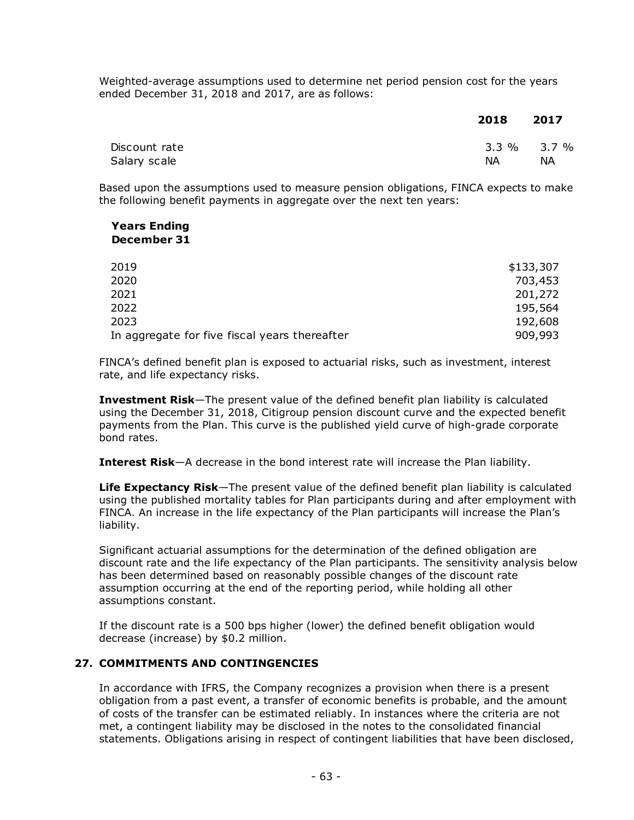Weighted-average assumptions used to determine net period pension cost for the years ended December 31, 2018 and 2017, are as follows:

|               | 2018 | 2017            |
|---------------|------|-----------------|
| Discount rate |      | $3.3\%$ $3.7\%$ |
| Salary scale  | NA   | NА              |

Based upon the assumptions used to measure pension obligations, FINCA expects to make the following benefit payments in aggregate over the next ten years:

#### **Years Ending December 31**

| 2019                                          | \$133,307 |
|-----------------------------------------------|-----------|
| 2020                                          | 703,453   |
| 2021                                          | 201,272   |
| 2022                                          | 195,564   |
| 2023                                          | 192,608   |
| In aggregate for five fiscal years thereafter | 909,993   |
|                                               |           |

FINCA's defined benefit plan is exposed to actuarial risks, such as investment, interest rate, and life expectancy risks.

**Investment Risk**—The present value of the defined benefit plan liability is calculated using the December 31, 2018, Citigroup pension discount curve and the expected benefit payments from the Plan. This curve is the published yield curve of high-grade corporate bond rates.

**Interest Risk**—A decrease in the bond interest rate will increase the Plan liability.

**Life Expectancy Risk**—The present value of the defined benefit plan liability is calculated using the published mortality tables for Plan participants during and after employment with FINCA. An increase in the life expectancy of the Plan participants will increase the Plan's liability.

Significant actuarial assumptions for the determination of the defined obligation are discount rate and the life expectancy of the Plan participants. The sensitivity analysis below has been determined based on reasonably possible changes of the discount rate assumption occurring at the end of the reporting period, while holding all other assumptions constant.

If the discount rate is a 500 bps higher (lower) the defined benefit obligation would decrease (increase) by \$0.2 million.

# **27. COMMITMENTS AND CONTINGENCIES**

In accordance with IFRS, the Company recognizes a provision when there is a present obligation from a past event, a transfer of economic benefits is probable, and the amount of costs of the transfer can be estimated reliably. In instances where the criteria are not met, a contingent liability may be disclosed in the notes to the consolidated financial statements. Obligations arising in respect of contingent liabilities that have been disclosed,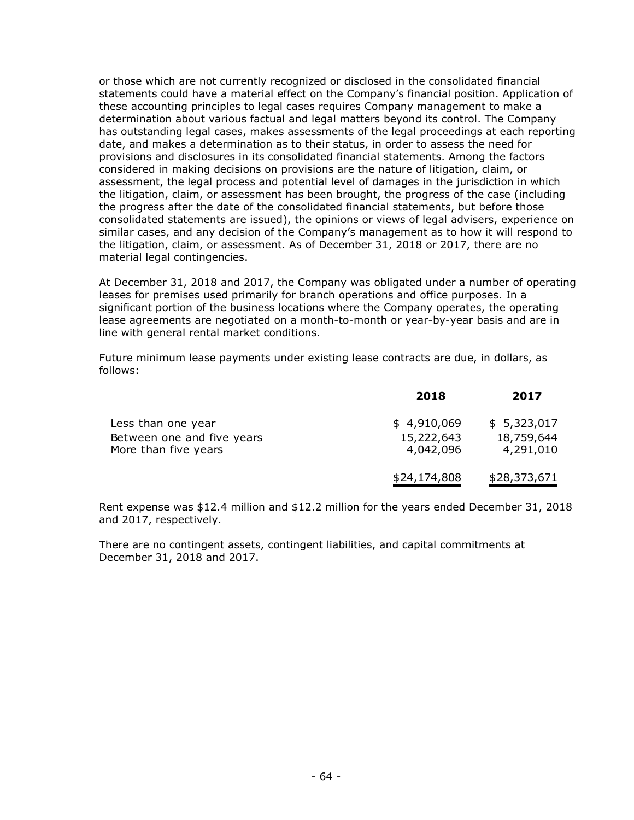or those which are not currently recognized or disclosed in the consolidated financial statements could have a material effect on the Company's financial position. Application of these accounting principles to legal cases requires Company management to make a determination about various factual and legal matters beyond its control. The Company has outstanding legal cases, makes assessments of the legal proceedings at each reporting date, and makes a determination as to their status, in order to assess the need for provisions and disclosures in its consolidated financial statements. Among the factors considered in making decisions on provisions are the nature of litigation, claim, or assessment, the legal process and potential level of damages in the jurisdiction in which the litigation, claim, or assessment has been brought, the progress of the case (including the progress after the date of the consolidated financial statements, but before those consolidated statements are issued), the opinions or views of legal advisers, experience on similar cases, and any decision of the Company's management as to how it will respond to the litigation, claim, or assessment. As of December 31, 2018 or 2017, there are no material legal contingencies.

At December 31, 2018 and 2017, the Company was obligated under a number of operating leases for premises used primarily for branch operations and office purposes. In a significant portion of the business locations where the Company operates, the operating lease agreements are negotiated on a month-to-month or year-by-year basis and are in line with general rental market conditions.

Future minimum lease payments under existing lease contracts are due, in dollars, as follows:

|                                                    | 2018                    | 2017                    |
|----------------------------------------------------|-------------------------|-------------------------|
| Less than one year                                 | \$4,910,069             | \$5,323,017             |
| Between one and five years<br>More than five years | 15,222,643<br>4,042,096 | 18,759,644<br>4,291,010 |
|                                                    | \$24,174,808            | \$28,373,671            |

Rent expense was \$12.4 million and \$12.2 million for the years ended December 31, 2018 and 2017, respectively.

There are no contingent assets, contingent liabilities, and capital commitments at December 31, 2018 and 2017.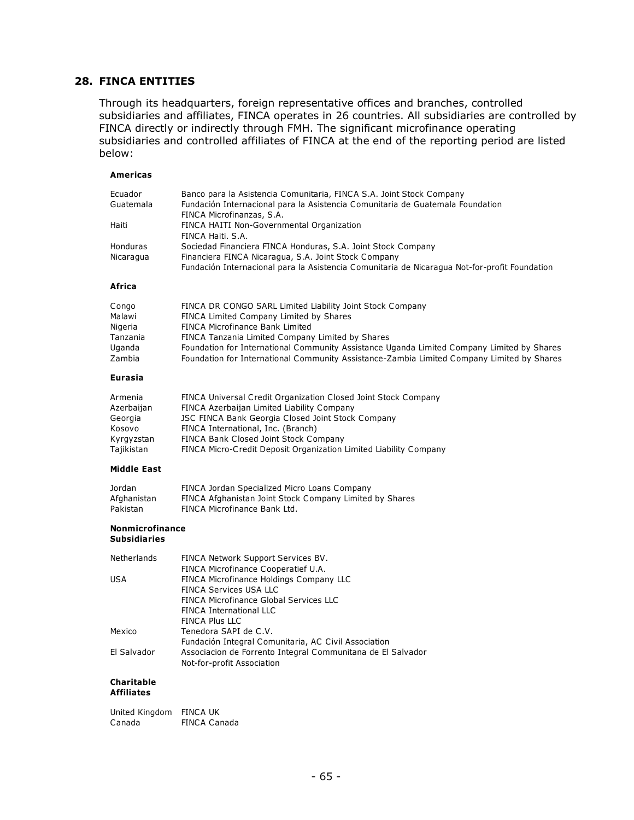#### **28. FINCA ENTITIES**

Through its headquarters, foreign representative offices and branches, controlled subsidiaries and affiliates, FINCA operates in 26 countries. All subsidiaries are controlled by FINCA directly or indirectly through FMH. The significant microfinance operating subsidiaries and controlled affiliates of FINCA at the end of the reporting period are listed below:

#### **Americas**

| Ecuador<br>Guatemala                                                   | Banco para la Asistencia Comunitaria, FINCA S.A. Joint Stock Company<br>Fundación Internacional para la Asistencia Comunitaria de Guatemala Foundation<br>FINCA Microfinanzas, S.A.                                                                                                                                                                                                            |
|------------------------------------------------------------------------|------------------------------------------------------------------------------------------------------------------------------------------------------------------------------------------------------------------------------------------------------------------------------------------------------------------------------------------------------------------------------------------------|
| Haiti                                                                  | FINCA HAITI Non-Governmental Organization<br>FINCA Haiti. S.A.                                                                                                                                                                                                                                                                                                                                 |
| Honduras<br>Nicaragua                                                  | Sociedad Financiera FINCA Honduras, S.A. Joint Stock Company<br>Financiera FINCA Nicaragua, S.A. Joint Stock Company<br>Fundación Internacional para la Asistencia Comunitaria de Nicaragua Not-for-profit Foundation                                                                                                                                                                          |
| Africa                                                                 |                                                                                                                                                                                                                                                                                                                                                                                                |
| Congo<br>Malawi<br>Nigeria<br>Tanzania<br>Uganda<br>Zambia             | FINCA DR CONGO SARL Limited Liability Joint Stock Company<br>FINCA Limited Company Limited by Shares<br><b>FINCA Microfinance Bank Limited</b><br>FINCA Tanzania Limited Company Limited by Shares<br>Foundation for International Community Assistance Uganda Limited Company Limited by Shares<br>Foundation for International Community Assistance-Zambia Limited Company Limited by Shares |
| Eurasia                                                                |                                                                                                                                                                                                                                                                                                                                                                                                |
| Armenia<br>Azerbaijan<br>Georgia<br>Kosovo<br>Kyrgyzstan<br>Tajikistan | FINCA Universal Credit Organization Closed Joint Stock Company<br>FINCA Azerbaijan Limited Liability Company<br>JSC FINCA Bank Georgia Closed Joint Stock Company<br>FINCA International, Inc. (Branch)<br>FINCA Bank Closed Joint Stock Company<br>FINCA Micro-Credit Deposit Organization Limited Liability Company                                                                          |
| Middle East                                                            |                                                                                                                                                                                                                                                                                                                                                                                                |
| Jordan<br>Afghanistan<br>Pakistan                                      | FINCA Jordan Specialized Micro Loans Company<br>FINCA Afghanistan Joint Stock Company Limited by Shares<br>FINCA Microfinance Bank Ltd.                                                                                                                                                                                                                                                        |
| Nonmicrofinance<br>Subsidiaries                                        |                                                                                                                                                                                                                                                                                                                                                                                                |
| Netherlands                                                            | FINCA Network Support Services BV.<br>FINCA Microfinance Cooperatief U.A.                                                                                                                                                                                                                                                                                                                      |
| USA                                                                    | FINCA Microfinance Holdings Company LLC<br>FINCA Services USA LLC<br>FINCA Microfinance Global Services LLC<br><b>FINCA International LLC</b><br><b>FINCA Plus LLC</b>                                                                                                                                                                                                                         |
| Mexico                                                                 | Tenedora SAPI de C.V.<br>Fundación Integral Comunitaria, AC Civil Association                                                                                                                                                                                                                                                                                                                  |
| El Salvador                                                            | Associacion de Forrento Integral Communitana de El Salvador<br>Not-for-profit Association                                                                                                                                                                                                                                                                                                      |
| Charitable<br>Affiliates                                               |                                                                                                                                                                                                                                                                                                                                                                                                |

| United Kingdom | <b>FINCA UK</b>     |
|----------------|---------------------|
| Canada         | <b>FINCA Canada</b> |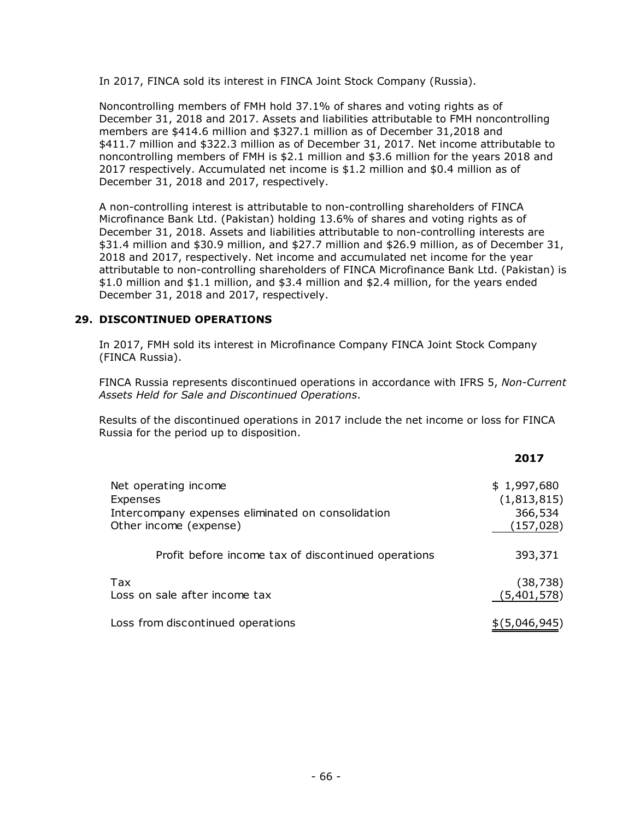In 2017, FINCA sold its interest in FINCA Joint Stock Company (Russia).

Noncontrolling members of FMH hold 37.1% of shares and voting rights as of December 31, 2018 and 2017. Assets and liabilities attributable to FMH noncontrolling members are \$414.6 million and \$327.1 million as of December 31,2018 and \$411.7 million and \$322.3 million as of December 31, 2017. Net income attributable to noncontrolling members of FMH is \$2.1 million and \$3.6 million for the years 2018 and 2017 respectively. Accumulated net income is \$1.2 million and \$0.4 million as of December 31, 2018 and 2017, respectively.

A non-controlling interest is attributable to non-controlling shareholders of FINCA Microfinance Bank Ltd. (Pakistan) holding 13.6% of shares and voting rights as of December 31, 2018. Assets and liabilities attributable to non-controlling interests are \$31.4 million and \$30.9 million, and \$27.7 million and \$26.9 million, as of December 31, 2018 and 2017, respectively. Net income and accumulated net income for the year attributable to non-controlling shareholders of FINCA Microfinance Bank Ltd. (Pakistan) is \$1.0 million and \$1.1 million, and \$3.4 million and \$2.4 million, for the years ended December 31, 2018 and 2017, respectively.

# **29. DISCONTINUED OPERATIONS**

In 2017, FMH sold its interest in Microfinance Company FINCA Joint Stock Company (FINCA Russia).

FINCA Russia represents discontinued operations in accordance with IFRS 5, *Non-Current Assets Held for Sale and Discontinued Operations*.

Results of the discontinued operations in 2017 include the net income or loss for FINCA Russia for the period up to disposition.

|                                                                                                                 | 2017                                               |
|-----------------------------------------------------------------------------------------------------------------|----------------------------------------------------|
| Net operating income<br>Expenses<br>Intercompany expenses eliminated on consolidation<br>Other income (expense) | \$1,997,680<br>(1,813,815)<br>366,534<br>(157,028) |
| Profit before income tax of discontinued operations                                                             | 393,371                                            |
| Tax<br>Loss on sale after income tax                                                                            | (38, 738)<br>(5,401,578)                           |
| Loss from discontinued operations                                                                               | \$(5,046,945)                                      |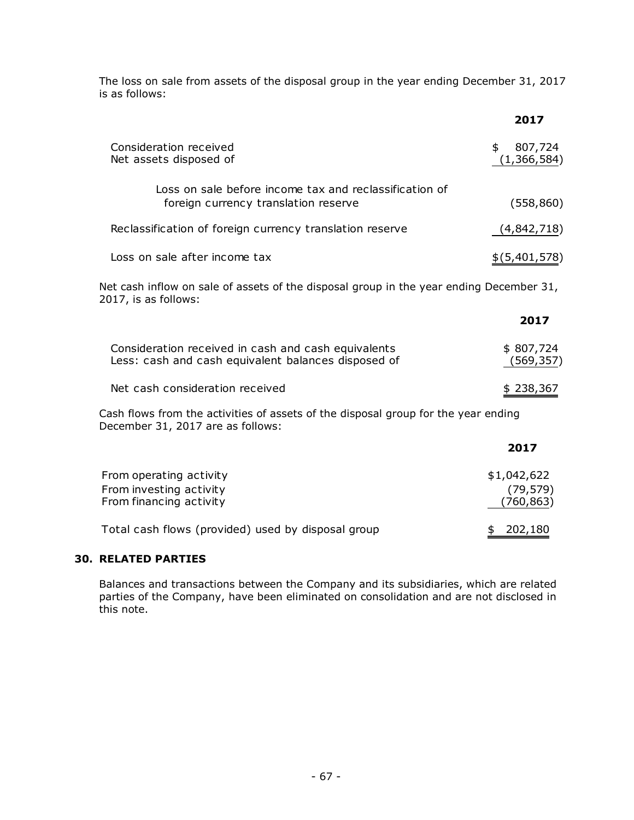The loss on sale from assets of the disposal group in the year ending December 31, 2017 is as follows:

|                                                                                                                         | 2017                                   |
|-------------------------------------------------------------------------------------------------------------------------|----------------------------------------|
| Consideration received<br>Net assets disposed of                                                                        | 807,724<br>\$<br>(1,366,584)           |
| Loss on sale before income tax and reclassification of<br>foreign currency translation reserve                          | (558, 860)                             |
| Reclassification of foreign currency translation reserve                                                                | (4,842,718)                            |
| Loss on sale after income tax                                                                                           | \$(5,401,578)                          |
| Net cash inflow on sale of assets of the disposal group in the year ending December 31,<br>2017, is as follows:         |                                        |
|                                                                                                                         | 2017                                   |
| Consideration received in cash and cash equivalents<br>Less: cash and cash equivalent balances disposed of              | \$807,724<br>(569,357)                 |
| Net cash consideration received                                                                                         | \$238,367                              |
| Cash flows from the activities of assets of the disposal group for the year ending<br>December 31, 2017 are as follows: |                                        |
|                                                                                                                         | 2017                                   |
| From operating activity<br>From investing activity<br>From financing activity                                           | \$1,042,622<br>(79, 579)<br>(760, 863) |
| Total cash flows (provided) used by disposal group                                                                      | 202,180                                |

# **30. RELATED PARTIES**

Balances and transactions between the Company and its subsidiaries, which are related parties of the Company, have been eliminated on consolidation and are not disclosed in this note.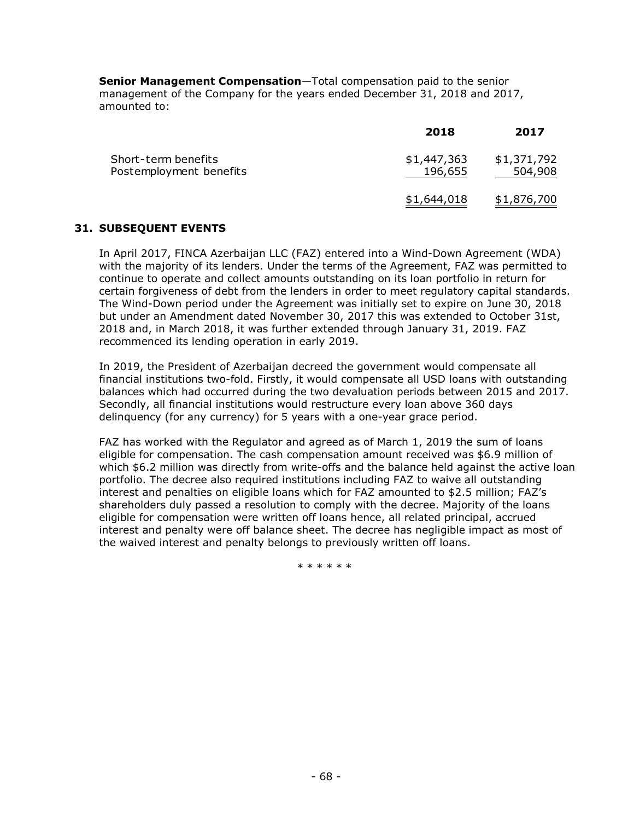**Senior Management Compensation**—Total compensation paid to the senior management of the Company for the years ended December 31, 2018 and 2017, amounted to:

|                                                | 2018                   | 2017                   |
|------------------------------------------------|------------------------|------------------------|
| Short-term benefits<br>Postemployment benefits | \$1,447,363<br>196,655 | \$1,371,792<br>504,908 |
|                                                | \$1,644,018            | \$1,876,700            |

# **31. SUBSEQUENT EVENTS**

In April 2017, FINCA Azerbaijan LLC (FAZ) entered into a Wind-Down Agreement (WDA) with the majority of its lenders. Under the terms of the Agreement, FAZ was permitted to continue to operate and collect amounts outstanding on its loan portfolio in return for certain forgiveness of debt from the lenders in order to meet regulatory capital standards. The Wind-Down period under the Agreement was initially set to expire on June 30, 2018 but under an Amendment dated November 30, 2017 this was extended to October 31st, 2018 and, in March 2018, it was further extended through January 31, 2019. FAZ recommenced its lending operation in early 2019.

In 2019, the President of Azerbaijan decreed the government would compensate all financial institutions two-fold. Firstly, it would compensate all USD loans with outstanding balances which had occurred during the two devaluation periods between 2015 and 2017. Secondly, all financial institutions would restructure every loan above 360 days delinquency (for any currency) for 5 years with a one-year grace period.

FAZ has worked with the Regulator and agreed as of March 1, 2019 the sum of loans eligible for compensation. The cash compensation amount received was \$6.9 million of which \$6.2 million was directly from write-offs and the balance held against the active loan portfolio. The decree also required institutions including FAZ to waive all outstanding interest and penalties on eligible loans which for FAZ amounted to \$2.5 million; FAZ's shareholders duly passed a resolution to comply with the decree. Majority of the loans eligible for compensation were written off loans hence, all related principal, accrued interest and penalty were off balance sheet. The decree has negligible impact as most of the waived interest and penalty belongs to previously written off loans.

\*\*\*\*\*\*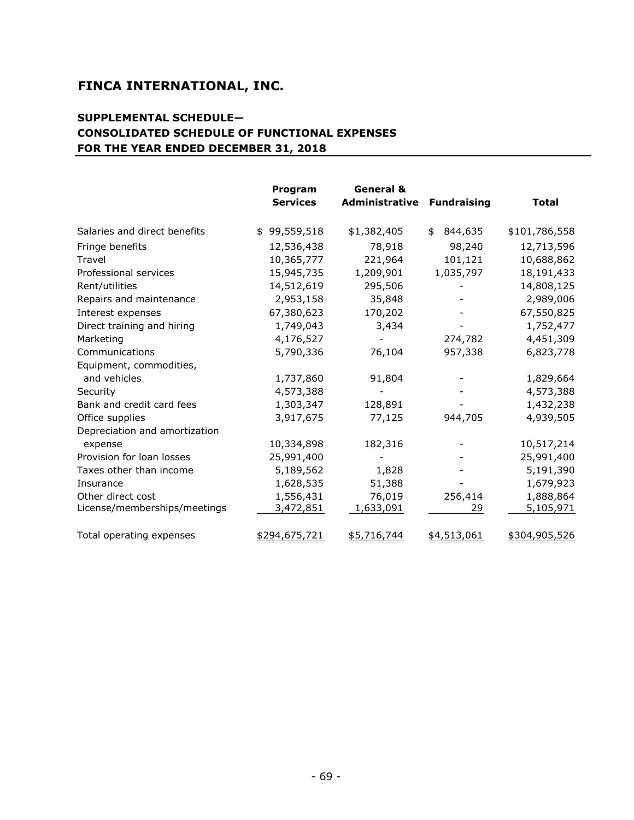# **FINCA INTERNATIONAL, INC.**

# **SUPPLEMENTAL SCHEDULE— CONSOLIDATED SCHEDULE OF FUNCTIONAL EXPENSES FOR THE YEAR ENDED DECEMBER 31, 2018**

|                               | Program<br><b>Services</b> | General &<br><b>Administrative</b> | <b>Fundraising</b> | <b>Total</b>  |
|-------------------------------|----------------------------|------------------------------------|--------------------|---------------|
| Salaries and direct benefits  | \$99,559,518               | \$1,382,405                        | 844,635<br>\$      | \$101,786,558 |
| Fringe benefits               | 12,536,438                 | 78,918                             | 98,240             | 12,713,596    |
| Travel                        | 10,365,777                 | 221,964                            | 101,121            | 10,688,862    |
| Professional services         | 15,945,735                 | 1,209,901                          | 1,035,797          | 18,191,433    |
| Rent/utilities                | 14,512,619                 | 295,506                            |                    | 14,808,125    |
| Repairs and maintenance       | 2,953,158                  | 35,848                             |                    | 2,989,006     |
| Interest expenses             | 67,380,623                 | 170,202                            |                    | 67,550,825    |
| Direct training and hiring    | 1,749,043                  | 3,434                              |                    | 1,752,477     |
| Marketing                     | 4,176,527                  |                                    | 274,782            | 4,451,309     |
| Communications                | 5,790,336                  | 76,104                             | 957,338            | 6,823,778     |
| Equipment, commodities,       |                            |                                    |                    |               |
| and vehicles                  | 1,737,860                  | 91,804                             |                    | 1,829,664     |
| Security                      | 4,573,388                  |                                    |                    | 4,573,388     |
| Bank and credit card fees     | 1,303,347                  | 128,891                            |                    | 1,432,238     |
| Office supplies               | 3,917,675                  | 77,125                             | 944,705            | 4,939,505     |
| Depreciation and amortization |                            |                                    |                    |               |
| expense                       | 10,334,898                 | 182,316                            |                    | 10,517,214    |
| Provision for loan losses     | 25,991,400                 |                                    |                    | 25,991,400    |
| Taxes other than income       | 5,189,562                  | 1,828                              |                    | 5,191,390     |
| Insurance                     | 1,628,535                  | 51,388                             |                    | 1,679,923     |
| Other direct cost             | 1,556,431                  | 76,019                             | 256,414            | 1,888,864     |
| License/memberships/meetings  | 3,472,851                  | 1,633,091                          | 29                 | 5,105,971     |
| Total operating expenses      | \$294,675,721              | \$5,716,744                        | \$4,513,061        | \$304,905,526 |